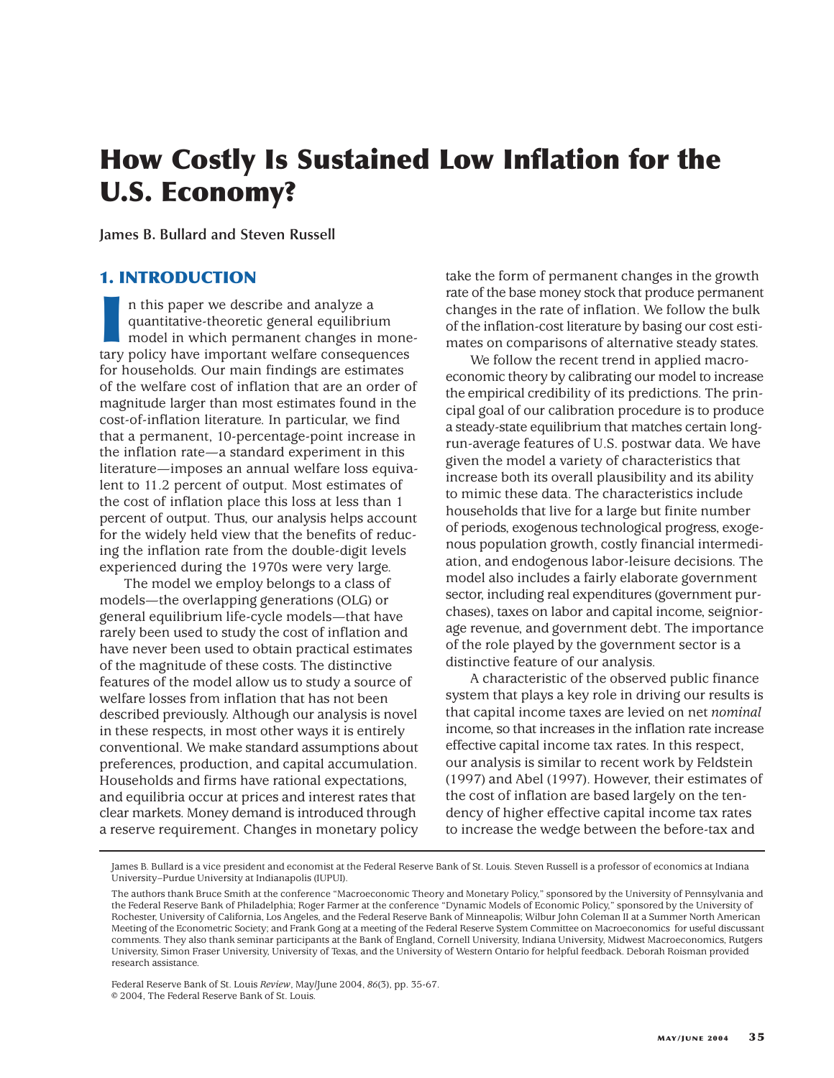# **How Costly Is Sustained Low Inflation for the U.S. Economy?**

**James B. Bullard and Steven Russell**

# **1. INTRODUCTION**

II In this paper we describe and analyze a<br>
quantitative-theoretic general equilibrium<br>
model in which permanent changes in mone<br>
tary policy have important welfare consequences n this paper we describe and analyze a quantitative-theoretic general equilibrium model in which permanent changes in monefor households. Our main findings are estimates of the welfare cost of inflation that are an order of magnitude larger than most estimates found in the cost-of-inflation literature. In particular, we find that a permanent, 10-percentage-point increase in the inflation rate—a standard experiment in this literature—imposes an annual welfare loss equivalent to 11.2 percent of output. Most estimates of the cost of inflation place this loss at less than 1 percent of output. Thus, our analysis helps account for the widely held view that the benefits of reducing the inflation rate from the double-digit levels experienced during the 1970s were very large.

The model we employ belongs to a class of models—the overlapping generations (OLG) or general equilibrium life-cycle models—that have rarely been used to study the cost of inflation and have never been used to obtain practical estimates of the magnitude of these costs. The distinctive features of the model allow us to study a source of welfare losses from inflation that has not been described previously. Although our analysis is novel in these respects, in most other ways it is entirely conventional. We make standard assumptions about preferences, production, and capital accumulation. Households and firms have rational expectations, and equilibria occur at prices and interest rates that clear markets. Money demand is introduced through a reserve requirement. Changes in monetary policy

take the form of permanent changes in the growth rate of the base money stock that produce permanent changes in the rate of inflation. We follow the bulk of the inflation-cost literature by basing our cost estimates on comparisons of alternative steady states.

We follow the recent trend in applied macroeconomic theory by calibrating our model to increase the empirical credibility of its predictions. The principal goal of our calibration procedure is to produce a steady-state equilibrium that matches certain longrun-average features of U.S. postwar data. We have given the model a variety of characteristics that increase both its overall plausibility and its ability to mimic these data. The characteristics include households that live for a large but finite number of periods, exogenous technological progress, exogenous population growth, costly financial intermediation, and endogenous labor-leisure decisions. The model also includes a fairly elaborate government sector, including real expenditures (government purchases), taxes on labor and capital income, seigniorage revenue, and government debt. The importance of the role played by the government sector is a distinctive feature of our analysis.

A characteristic of the observed public finance system that plays a key role in driving our results is that capital income taxes are levied on net *nominal* income, so that increases in the inflation rate increase effective capital income tax rates. In this respect, our analysis is similar to recent work by Feldstein (1997) and Abel (1997). However, their estimates of the cost of inflation are based largely on the tendency of higher effective capital income tax rates to increase the wedge between the before-tax and

Federal Reserve Bank of St. Louis *Review*, May/June 2004, *86*(3), pp. 35-67. © 2004, The Federal Reserve Bank of St. Louis.

James B. Bullard is a vice president and economist at the Federal Reserve Bank of St. Louis. Steven Russell is a professor of economics at Indiana University–Purdue University at Indianapolis (IUPUI).

The authors thank Bruce Smith at the conference "Macroeconomic Theory and Monetary Policy," sponsored by the University of Pennsylvania and the Federal Reserve Bank of Philadelphia; Roger Farmer at the conference "Dynamic Models of Economic Policy," sponsored by the University of Rochester, University of California, Los Angeles, and the Federal Reserve Bank of Minneapolis; Wilbur John Coleman II at a Summer North American Meeting of the Econometric Society; and Frank Gong at a meeting of the Federal Reserve System Committee on Macroeconomics for useful discussant comments. They also thank seminar participants at the Bank of England, Cornell University, Indiana University, Midwest Macroeconomics, Rutgers University, Simon Fraser University, University of Texas, and the University of Western Ontario for helpful feedback. Deborah Roisman provided research assistance.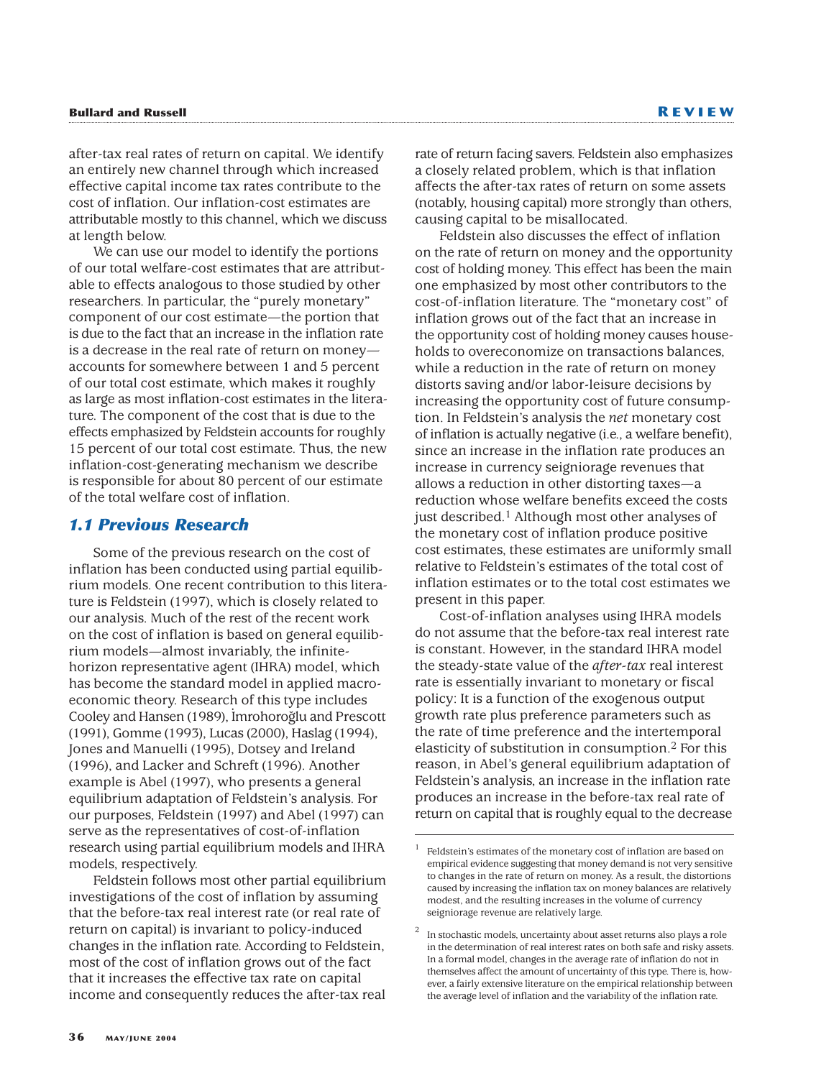after-tax real rates of return on capital. We identify an entirely new channel through which increased effective capital income tax rates contribute to the cost of inflation. Our inflation-cost estimates are attributable mostly to this channel, which we discuss at length below.

We can use our model to identify the portions of our total welfare-cost estimates that are attributable to effects analogous to those studied by other researchers. In particular, the "purely monetary" component of our cost estimate—the portion that is due to the fact that an increase in the inflation rate is a decrease in the real rate of return on money accounts for somewhere between 1 and 5 percent of our total cost estimate, which makes it roughly as large as most inflation-cost estimates in the literature. The component of the cost that is due to the effects emphasized by Feldstein accounts for roughly 15 percent of our total cost estimate. Thus, the new inflation-cost-generating mechanism we describe is responsible for about 80 percent of our estimate of the total welfare cost of inflation.

# *1.1 Previous Research*

Some of the previous research on the cost of inflation has been conducted using partial equilibrium models. One recent contribution to this literature is Feldstein (1997), which is closely related to our analysis. Much of the rest of the recent work on the cost of inflation is based on general equilibrium models—almost invariably, the infinitehorizon representative agent (IHRA) model, which has become the standard model in applied macroeconomic theory. Research of this type includes Cooley and Hansen (1989), I· mrohorog˘lu and Prescott (1991), Gomme (1993), Lucas (2000), Haslag (1994), Jones and Manuelli (1995), Dotsey and Ireland (1996), and Lacker and Schreft (1996). Another example is Abel (1997), who presents a general equilibrium adaptation of Feldstein's analysis. For our purposes, Feldstein (1997) and Abel (1997) can serve as the representatives of cost-of-inflation research using partial equilibrium models and IHRA models, respectively.

Feldstein follows most other partial equilibrium investigations of the cost of inflation by assuming that the before-tax real interest rate (or real rate of return on capital) is invariant to policy-induced changes in the inflation rate. According to Feldstein, most of the cost of inflation grows out of the fact that it increases the effective tax rate on capital income and consequently reduces the after-tax real

rate of return facing savers. Feldstein also emphasizes a closely related problem, which is that inflation affects the after-tax rates of return on some assets (notably, housing capital) more strongly than others, causing capital to be misallocated.

Feldstein also discusses the effect of inflation on the rate of return on money and the opportunity cost of holding money. This effect has been the main one emphasized by most other contributors to the cost-of-inflation literature. The "monetary cost" of inflation grows out of the fact that an increase in the opportunity cost of holding money causes households to overeconomize on transactions balances, while a reduction in the rate of return on money distorts saving and/or labor-leisure decisions by increasing the opportunity cost of future consumption. In Feldstein's analysis the *net* monetary cost of inflation is actually negative (i.e., a welfare benefit), since an increase in the inflation rate produces an increase in currency seigniorage revenues that allows a reduction in other distorting taxes—a reduction whose welfare benefits exceed the costs just described.1 Although most other analyses of the monetary cost of inflation produce positive cost estimates, these estimates are uniformly small relative to Feldstein's estimates of the total cost of inflation estimates or to the total cost estimates we present in this paper.

Cost-of-inflation analyses using IHRA models do not assume that the before-tax real interest rate is constant. However, in the standard IHRA model the steady-state value of the *after-tax* real interest rate is essentially invariant to monetary or fiscal policy: It is a function of the exogenous output growth rate plus preference parameters such as the rate of time preference and the intertemporal elasticity of substitution in consumption.2 For this reason, in Abel's general equilibrium adaptation of Feldstein's analysis, an increase in the inflation rate produces an increase in the before-tax real rate of return on capital that is roughly equal to the decrease

Feldstein's estimates of the monetary cost of inflation are based on empirical evidence suggesting that money demand is not very sensitive to changes in the rate of return on money. As a result, the distortions caused by increasing the inflation tax on money balances are relatively modest, and the resulting increases in the volume of currency seigniorage revenue are relatively large.

<sup>2</sup> In stochastic models, uncertainty about asset returns also plays a role in the determination of real interest rates on both safe and risky assets. In a formal model, changes in the average rate of inflation do not in themselves affect the amount of uncertainty of this type. There is, however, a fairly extensive literature on the empirical relationship between the average level of inflation and the variability of the inflation rate.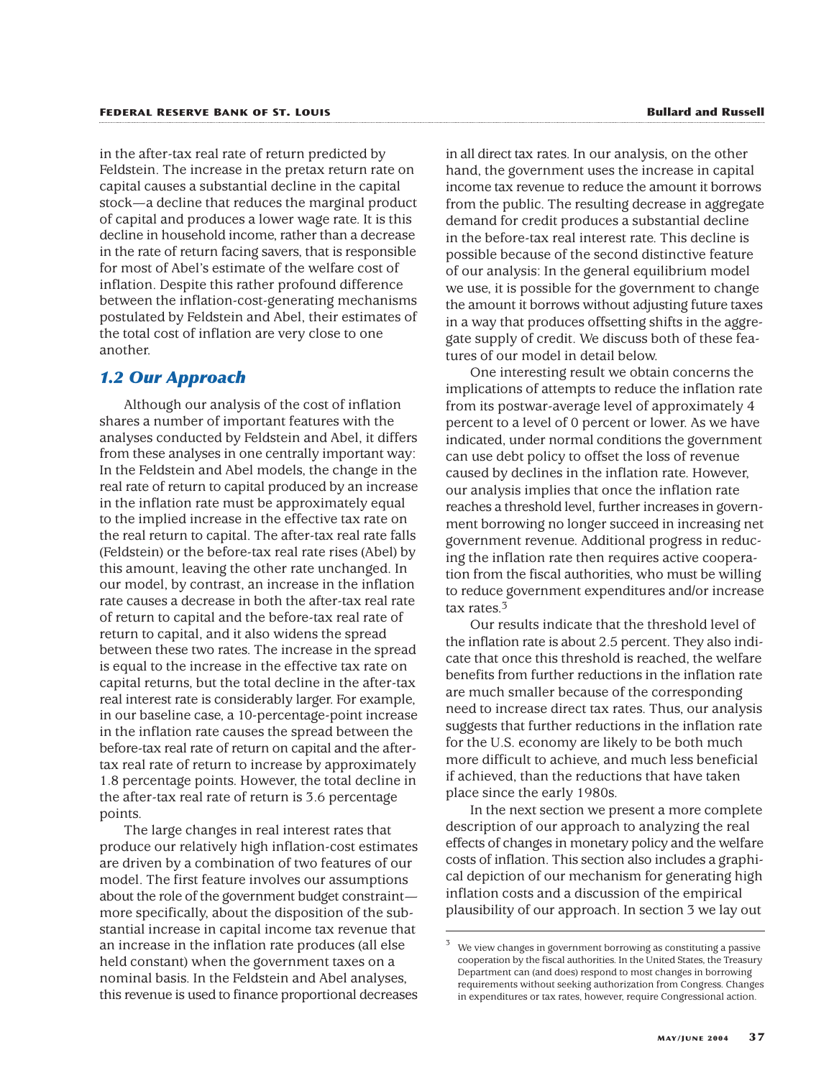in the after-tax real rate of return predicted by Feldstein. The increase in the pretax return rate on capital causes a substantial decline in the capital stock—a decline that reduces the marginal product of capital and produces a lower wage rate. It is this decline in household income, rather than a decrease in the rate of return facing savers, that is responsible for most of Abel's estimate of the welfare cost of inflation. Despite this rather profound difference between the inflation-cost-generating mechanisms postulated by Feldstein and Abel, their estimates of the total cost of inflation are very close to one another.

### *1.2 Our Approach*

Although our analysis of the cost of inflation shares a number of important features with the analyses conducted by Feldstein and Abel, it differs from these analyses in one centrally important way: In the Feldstein and Abel models, the change in the real rate of return to capital produced by an increase in the inflation rate must be approximately equal to the implied increase in the effective tax rate on the real return to capital. The after-tax real rate falls (Feldstein) or the before-tax real rate rises (Abel) by this amount, leaving the other rate unchanged. In our model, by contrast, an increase in the inflation rate causes a decrease in both the after-tax real rate of return to capital and the before-tax real rate of return to capital, and it also widens the spread between these two rates. The increase in the spread is equal to the increase in the effective tax rate on capital returns, but the total decline in the after-tax real interest rate is considerably larger. For example, in our baseline case, a 10-percentage-point increase in the inflation rate causes the spread between the before-tax real rate of return on capital and the aftertax real rate of return to increase by approximately 1.8 percentage points. However, the total decline in the after-tax real rate of return is 3.6 percentage points.

The large changes in real interest rates that produce our relatively high inflation-cost estimates are driven by a combination of two features of our model. The first feature involves our assumptions about the role of the government budget constraint more specifically, about the disposition of the substantial increase in capital income tax revenue that an increase in the inflation rate produces (all else held constant) when the government taxes on a nominal basis. In the Feldstein and Abel analyses, this revenue is used to finance proportional decreases

in all direct tax rates. In our analysis, on the other hand, the government uses the increase in capital income tax revenue to reduce the amount it borrows from the public. The resulting decrease in aggregate demand for credit produces a substantial decline in the before-tax real interest rate. This decline is possible because of the second distinctive feature of our analysis: In the general equilibrium model we use, it is possible for the government to change the amount it borrows without adjusting future taxes in a way that produces offsetting shifts in the aggregate supply of credit. We discuss both of these features of our model in detail below.

One interesting result we obtain concerns the implications of attempts to reduce the inflation rate from its postwar-average level of approximately 4 percent to a level of 0 percent or lower. As we have indicated, under normal conditions the government can use debt policy to offset the loss of revenue caused by declines in the inflation rate. However, our analysis implies that once the inflation rate reaches a threshold level, further increases in government borrowing no longer succeed in increasing net government revenue. Additional progress in reducing the inflation rate then requires active cooperation from the fiscal authorities, who must be willing to reduce government expenditures and/or increase tax rates.3

Our results indicate that the threshold level of the inflation rate is about 2.5 percent. They also indicate that once this threshold is reached, the welfare benefits from further reductions in the inflation rate are much smaller because of the corresponding need to increase direct tax rates. Thus, our analysis suggests that further reductions in the inflation rate for the U.S. economy are likely to be both much more difficult to achieve, and much less beneficial if achieved, than the reductions that have taken place since the early 1980s.

In the next section we present a more complete description of our approach to analyzing the real effects of changes in monetary policy and the welfare costs of inflation. This section also includes a graphical depiction of our mechanism for generating high inflation costs and a discussion of the empirical plausibility of our approach. In section 3 we lay out

We view changes in government borrowing as constituting a passive cooperation by the fiscal authorities. In the United States, the Treasury Department can (and does) respond to most changes in borrowing requirements without seeking authorization from Congress. Changes in expenditures or tax rates, however, require Congressional action.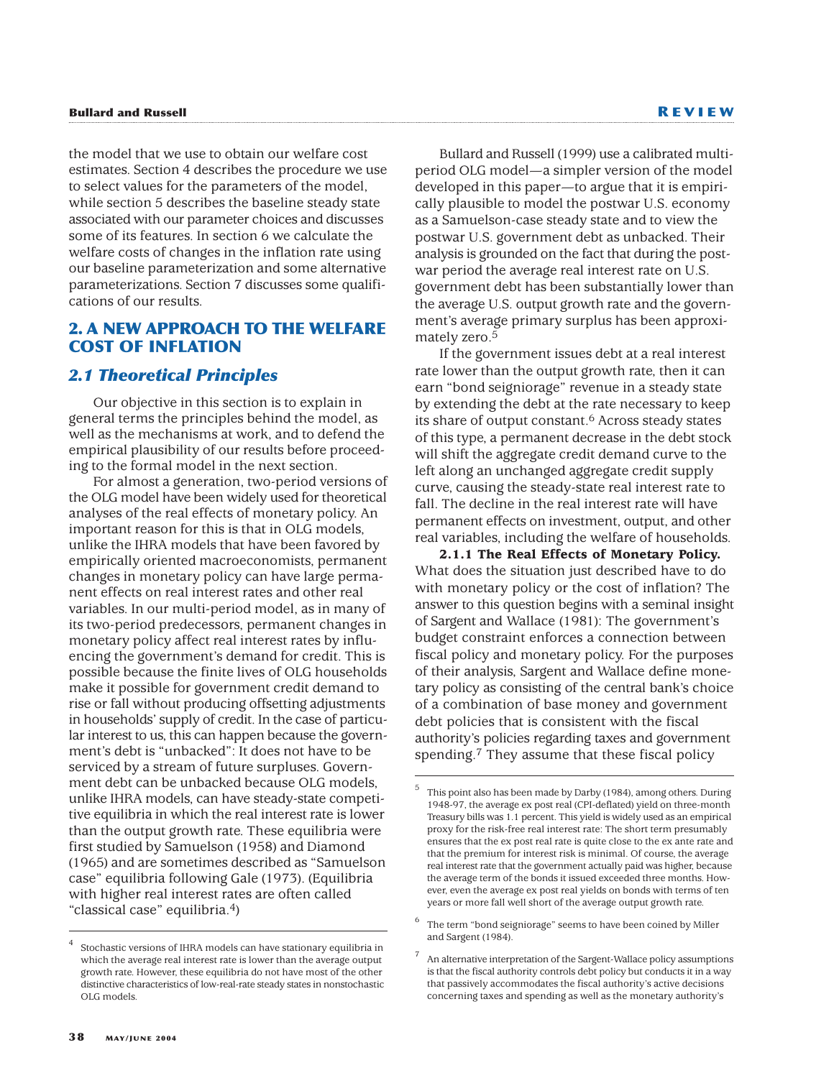**Bullard and Russell R EVIEW**

the model that we use to obtain our welfare cost estimates. Section 4 describes the procedure we use to select values for the parameters of the model, while section 5 describes the baseline steady state associated with our parameter choices and discusses some of its features. In section 6 we calculate the welfare costs of changes in the inflation rate using our baseline parameterization and some alternative parameterizations. Section 7 discusses some qualifications of our results.

# **2. A NEW APPROACH TO THE WELFARE COST OF INFLATION**

# *2.1 Theoretical Principles*

Our objective in this section is to explain in general terms the principles behind the model, as well as the mechanisms at work, and to defend the empirical plausibility of our results before proceeding to the formal model in the next section.

For almost a generation, two-period versions of the OLG model have been widely used for theoretical analyses of the real effects of monetary policy. An important reason for this is that in OLG models, unlike the IHRA models that have been favored by empirically oriented macroeconomists, permanent changes in monetary policy can have large permanent effects on real interest rates and other real variables. In our multi-period model, as in many of its two-period predecessors, permanent changes in monetary policy affect real interest rates by influencing the government's demand for credit. This is possible because the finite lives of OLG households make it possible for government credit demand to rise or fall without producing offsetting adjustments in households' supply of credit. In the case of particular interest to us, this can happen because the government's debt is "unbacked": It does not have to be serviced by a stream of future surpluses. Government debt can be unbacked because OLG models, unlike IHRA models, can have steady-state competitive equilibria in which the real interest rate is lower than the output growth rate. These equilibria were first studied by Samuelson (1958) and Diamond (1965) and are sometimes described as "Samuelson case" equilibria following Gale (1973). (Equilibria with higher real interest rates are often called "classical case" equilibria.4)

Bullard and Russell (1999) use a calibrated multiperiod OLG model—a simpler version of the model developed in this paper—to argue that it is empirically plausible to model the postwar U.S. economy as a Samuelson-case steady state and to view the postwar U.S. government debt as unbacked. Their analysis is grounded on the fact that during the postwar period the average real interest rate on U.S. government debt has been substantially lower than the average U.S. output growth rate and the government's average primary surplus has been approximately zero.5

If the government issues debt at a real interest rate lower than the output growth rate, then it can earn "bond seigniorage" revenue in a steady state by extending the debt at the rate necessary to keep its share of output constant.6 Across steady states of this type, a permanent decrease in the debt stock will shift the aggregate credit demand curve to the left along an unchanged aggregate credit supply curve, causing the steady-state real interest rate to fall. The decline in the real interest rate will have permanent effects on investment, output, and other real variables, including the welfare of households.

**2.1.1 The Real Effects of Monetary Policy.** What does the situation just described have to do with monetary policy or the cost of inflation? The answer to this question begins with a seminal insight of Sargent and Wallace (1981): The government's budget constraint enforces a connection between fiscal policy and monetary policy. For the purposes of their analysis, Sargent and Wallace define monetary policy as consisting of the central bank's choice of a combination of base money and government debt policies that is consistent with the fiscal authority's policies regarding taxes and government spending.7 They assume that these fiscal policy

<sup>6</sup> The term "bond seigniorage" seems to have been coined by Miller and Sargent (1984).

Stochastic versions of IHRA models can have stationary equilibria in which the average real interest rate is lower than the average output growth rate. However, these equilibria do not have most of the other distinctive characteristics of low-real-rate steady states in nonstochastic OLG models.

<sup>5</sup> This point also has been made by Darby (1984), among others. During 1948-97, the average ex post real (CPI-deflated) yield on three-month Treasury bills was 1.1 percent. This yield is widely used as an empirical proxy for the risk-free real interest rate: The short term presumably ensures that the ex post real rate is quite close to the ex ante rate and that the premium for interest risk is minimal. Of course, the average real interest rate that the government actually paid was higher, because the average term of the bonds it issued exceeded three months. However, even the average ex post real yields on bonds with terms of ten years or more fall well short of the average output growth rate.

An alternative interpretation of the Sargent-Wallace policy assumptions is that the fiscal authority controls debt policy but conducts it in a way that passively accommodates the fiscal authority's active decisions concerning taxes and spending as well as the monetary authority's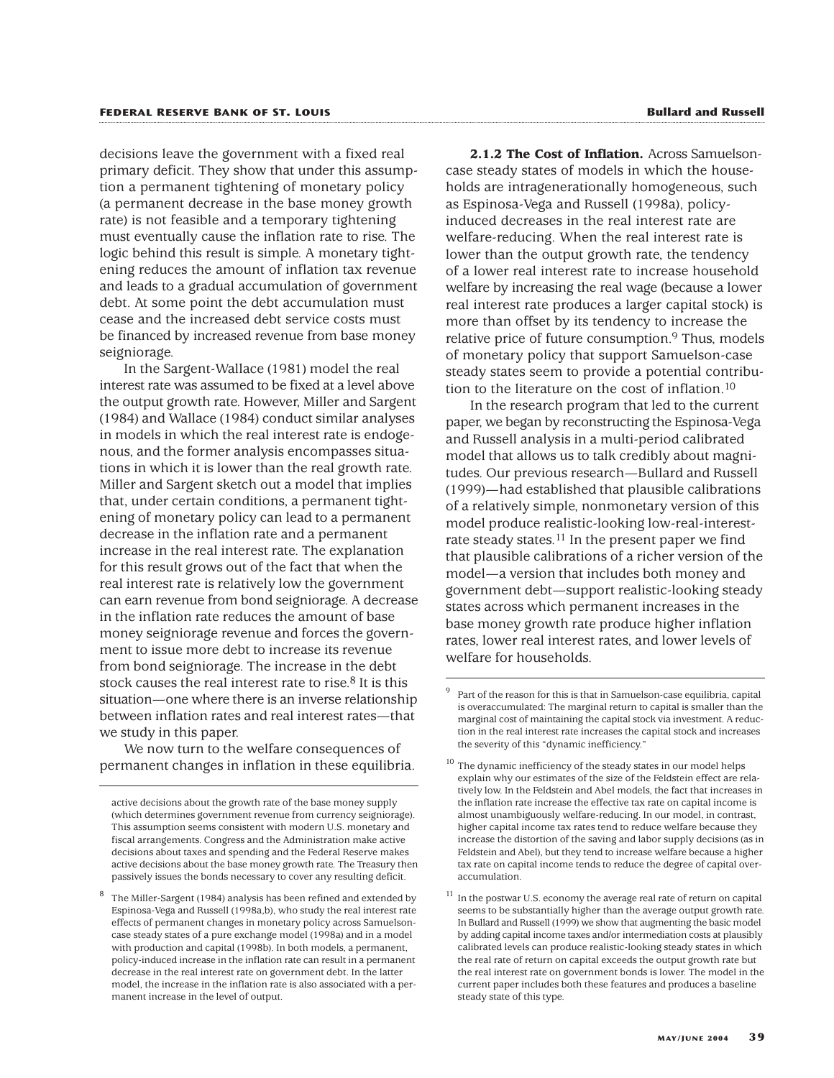decisions leave the government with a fixed real primary deficit. They show that under this assumption a permanent tightening of monetary policy (a permanent decrease in the base money growth rate) is not feasible and a temporary tightening must eventually cause the inflation rate to rise. The logic behind this result is simple. A monetary tightening reduces the amount of inflation tax revenue and leads to a gradual accumulation of government debt. At some point the debt accumulation must cease and the increased debt service costs must be financed by increased revenue from base money seigniorage.

In the Sargent-Wallace (1981) model the real interest rate was assumed to be fixed at a level above the output growth rate. However, Miller and Sargent (1984) and Wallace (1984) conduct similar analyses in models in which the real interest rate is endogenous, and the former analysis encompasses situations in which it is lower than the real growth rate. Miller and Sargent sketch out a model that implies that, under certain conditions, a permanent tightening of monetary policy can lead to a permanent decrease in the inflation rate and a permanent increase in the real interest rate. The explanation for this result grows out of the fact that when the real interest rate is relatively low the government can earn revenue from bond seigniorage. A decrease in the inflation rate reduces the amount of base money seigniorage revenue and forces the government to issue more debt to increase its revenue from bond seigniorage. The increase in the debt stock causes the real interest rate to rise. $8$  It is this situation—one where there is an inverse relationship between inflation rates and real interest rates—that we study in this paper.

We now turn to the welfare consequences of permanent changes in inflation in these equilibria.

**2.1.2 The Cost of Inflation.** Across Samuelsoncase steady states of models in which the households are intragenerationally homogeneous, such as Espinosa-Vega and Russell (1998a), policyinduced decreases in the real interest rate are welfare-reducing. When the real interest rate is lower than the output growth rate, the tendency of a lower real interest rate to increase household welfare by increasing the real wage (because a lower real interest rate produces a larger capital stock) is more than offset by its tendency to increase the relative price of future consumption.<sup>9</sup> Thus, models of monetary policy that support Samuelson-case steady states seem to provide a potential contribution to the literature on the cost of inflation.10

In the research program that led to the current paper, we began by reconstructing the Espinosa-Vega and Russell analysis in a multi-period calibrated model that allows us to talk credibly about magnitudes. Our previous research—Bullard and Russell (1999)—had established that plausible calibrations of a relatively simple, nonmonetary version of this model produce realistic-looking low-real-interestrate steady states.<sup>11</sup> In the present paper we find that plausible calibrations of a richer version of the model—a version that includes both money and government debt—support realistic-looking steady states across which permanent increases in the base money growth rate produce higher inflation rates, lower real interest rates, and lower levels of welfare for households.

active decisions about the growth rate of the base money supply (which determines government revenue from currency seigniorage). This assumption seems consistent with modern U.S. monetary and fiscal arrangements. Congress and the Administration make active decisions about taxes and spending and the Federal Reserve makes active decisions about the base money growth rate. The Treasury then passively issues the bonds necessary to cover any resulting deficit.

The Miller-Sargent (1984) analysis has been refined and extended by Espinosa-Vega and Russell (1998a,b), who study the real interest rate effects of permanent changes in monetary policy across Samuelsoncase steady states of a pure exchange model (1998a) and in a model with production and capital (1998b). In both models, a permanent, policy-induced increase in the inflation rate can result in a permanent decrease in the real interest rate on government debt. In the latter model, the increase in the inflation rate is also associated with a permanent increase in the level of output.

<sup>9</sup> Part of the reason for this is that in Samuelson-case equilibria, capital is overaccumulated: The marginal return to capital is smaller than the marginal cost of maintaining the capital stock via investment. A reduction in the real interest rate increases the capital stock and increases the severity of this "dynamic inefficiency."

 $10$  The dynamic inefficiency of the steady states in our model helps explain why our estimates of the size of the Feldstein effect are relatively low. In the Feldstein and Abel models, the fact that increases in the inflation rate increase the effective tax rate on capital income is almost unambiguously welfare-reducing. In our model, in contrast, higher capital income tax rates tend to reduce welfare because they increase the distortion of the saving and labor supply decisions (as in Feldstein and Abel), but they tend to increase welfare because a higher tax rate on capital income tends to reduce the degree of capital overaccumulation.

 $^{11}\,$  In the postwar U.S. economy the average real rate of return on capital seems to be substantially higher than the average output growth rate. In Bullard and Russell (1999) we show that augmenting the basic model by adding capital income taxes and/or intermediation costs at plausibly calibrated levels can produce realistic-looking steady states in which the real rate of return on capital exceeds the output growth rate but the real interest rate on government bonds is lower. The model in the current paper includes both these features and produces a baseline steady state of this type.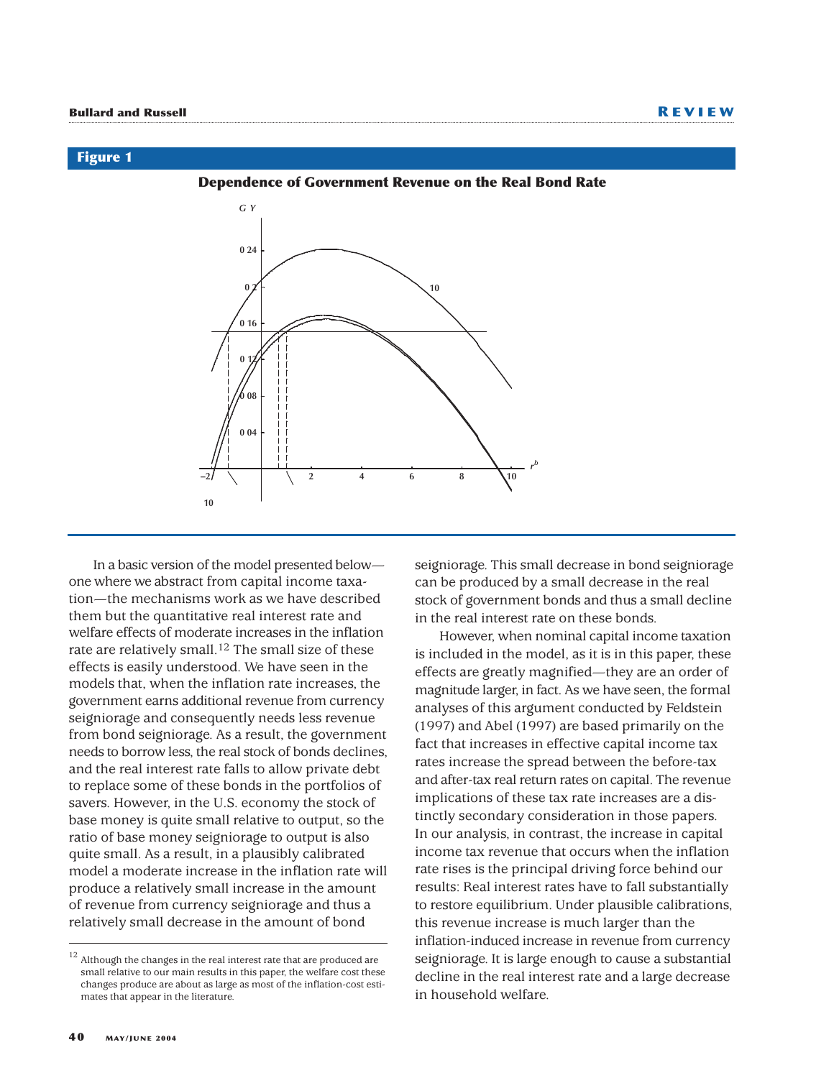#### **Figure 1**

**Dependence of Government Revenue on the Real Bond Rate**



In a basic version of the model presented below one where we abstract from capital income taxation—the mechanisms work as we have described them but the quantitative real interest rate and welfare effects of moderate increases in the inflation rate are relatively small.12 The small size of these effects is easily understood. We have seen in the models that, when the inflation rate increases, the government earns additional revenue from currency seigniorage and consequently needs less revenue from bond seigniorage. As a result, the government needs to borrow less, the real stock of bonds declines, and the real interest rate falls to allow private debt to replace some of these bonds in the portfolios of savers. However, in the U.S. economy the stock of base money is quite small relative to output, so the ratio of base money seigniorage to output is also quite small. As a result, in a plausibly calibrated model a moderate increase in the inflation rate will produce a relatively small increase in the amount of revenue from currency seigniorage and thus a relatively small decrease in the amount of bond

seigniorage. This small decrease in bond seigniorage can be produced by a small decrease in the real stock of government bonds and thus a small decline in the real interest rate on these bonds.

However, when nominal capital income taxation is included in the model, as it is in this paper, these effects are greatly magnified—they are an order of magnitude larger, in fact. As we have seen, the formal analyses of this argument conducted by Feldstein (1997) and Abel (1997) are based primarily on the fact that increases in effective capital income tax rates increase the spread between the before-tax and after-tax real return rates on capital. The revenue implications of these tax rate increases are a distinctly secondary consideration in those papers. In our analysis, in contrast, the increase in capital income tax revenue that occurs when the inflation rate rises is the principal driving force behind our results: Real interest rates have to fall substantially to restore equilibrium. Under plausible calibrations, this revenue increase is much larger than the inflation-induced increase in revenue from currency seigniorage. It is large enough to cause a substantial decline in the real interest rate and a large decrease in household welfare.

 $^{12}$  Although the changes in the real interest rate that are produced are small relative to our main results in this paper, the welfare cost these changes produce are about as large as most of the inflation-cost estimates that appear in the literature.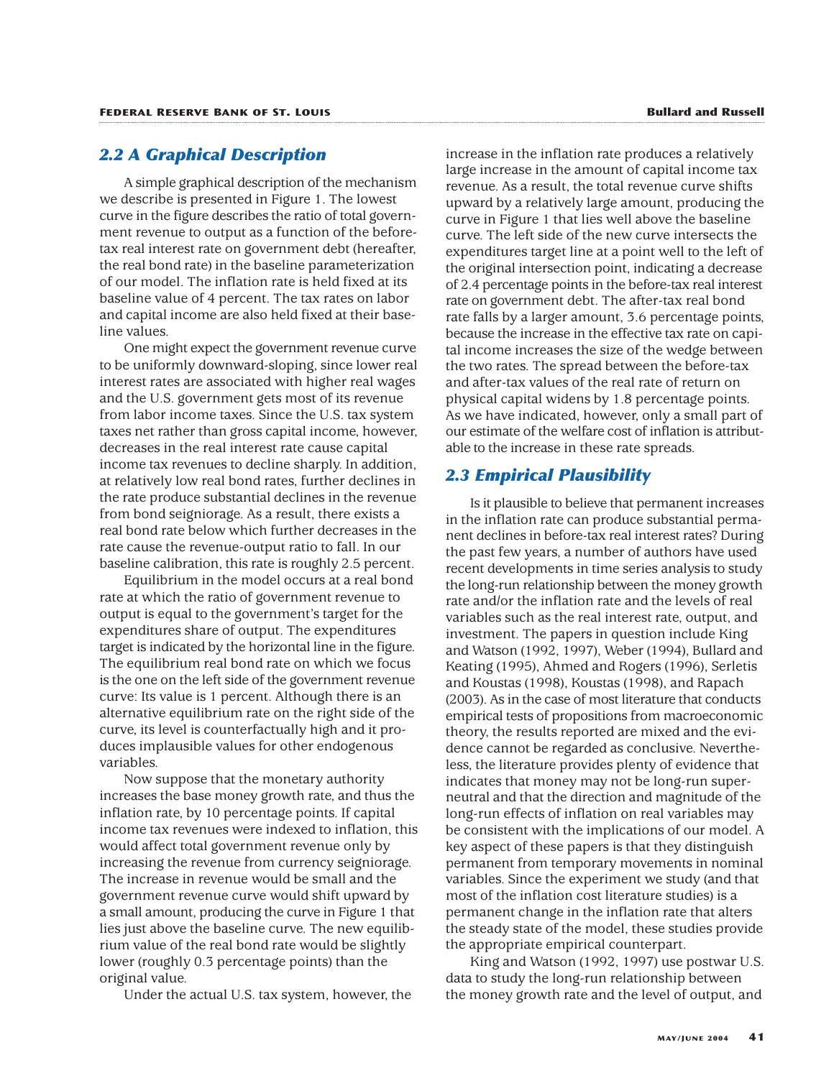# *2.2 A Graphical Description*

A simple graphical description of the mechanism we describe is presented in Figure 1. The lowest curve in the figure describes the ratio of total government revenue to output as a function of the beforetax real interest rate on government debt (hereafter, the real bond rate) in the baseline parameterization of our model. The inflation rate is held fixed at its baseline value of 4 percent. The tax rates on labor and capital income are also held fixed at their baseline values.

One might expect the government revenue curve to be uniformly downward-sloping, since lower real interest rates are associated with higher real wages and the U.S. government gets most of its revenue from labor income taxes. Since the U.S. tax system taxes net rather than gross capital income, however, decreases in the real interest rate cause capital income tax revenues to decline sharply. In addition, at relatively low real bond rates, further declines in the rate produce substantial declines in the revenue from bond seigniorage. As a result, there exists a real bond rate below which further decreases in the rate cause the revenue-output ratio to fall. In our baseline calibration, this rate is roughly 2.5 percent.

Equilibrium in the model occurs at a real bond rate at which the ratio of government revenue to output is equal to the government's target for the expenditures share of output. The expenditures target is indicated by the horizontal line in the figure. The equilibrium real bond rate on which we focus is the one on the left side of the government revenue curve: Its value is 1 percent. Although there is an alternative equilibrium rate on the right side of the curve, its level is counterfactually high and it produces implausible values for other endogenous variables.

Now suppose that the monetary authority increases the base money growth rate, and thus the inflation rate, by 10 percentage points. If capital income tax revenues were indexed to inflation, this would affect total government revenue only by increasing the revenue from currency seigniorage. The increase in revenue would be small and the government revenue curve would shift upward by a small amount, producing the curve in Figure 1 that lies just above the baseline curve. The new equilibrium value of the real bond rate would be slightly lower (roughly 0.3 percentage points) than the original value.

Under the actual U.S. tax system, however, the

increase in the inflation rate produces a relatively large increase in the amount of capital income tax revenue. As a result, the total revenue curve shifts upward by a relatively large amount, producing the curve in Figure 1 that lies well above the baseline curve. The left side of the new curve intersects the expenditures target line at a point well to the left of the original intersection point, indicating a decrease of 2.4 percentage points in the before-tax real interest rate on government debt. The after-tax real bond rate falls by a larger amount, 3.6 percentage points, because the increase in the effective tax rate on capital income increases the size of the wedge between the two rates. The spread between the before-tax and after-tax values of the real rate of return on physical capital widens by 1.8 percentage points. As we have indicated, however, only a small part of our estimate of the welfare cost of inflation is attributable to the increase in these rate spreads.

# *2.3 Empirical Plausibility*

Is it plausible to believe that permanent increases in the inflation rate can produce substantial permanent declines in before-tax real interest rates? During the past few years, a number of authors have used recent developments in time series analysis to study the long-run relationship between the money growth rate and/or the inflation rate and the levels of real variables such as the real interest rate, output, and investment. The papers in question include King and Watson (1992, 1997), Weber (1994), Bullard and Keating (1995), Ahmed and Rogers (1996), Serletis and Koustas (1998), Koustas (1998), and Rapach (2003). As in the case of most literature that conducts empirical tests of propositions from macroeconomic theory, the results reported are mixed and the evidence cannot be regarded as conclusive. Nevertheless, the literature provides plenty of evidence that indicates that money may not be long-run superneutral and that the direction and magnitude of the long-run effects of inflation on real variables may be consistent with the implications of our model. A key aspect of these papers is that they distinguish permanent from temporary movements in nominal variables. Since the experiment we study (and that most of the inflation cost literature studies) is a permanent change in the inflation rate that alters the steady state of the model, these studies provide the appropriate empirical counterpart.

King and Watson (1992, 1997) use postwar U.S. data to study the long-run relationship between the money growth rate and the level of output, and

#### **MAY/JUNE 2004 41**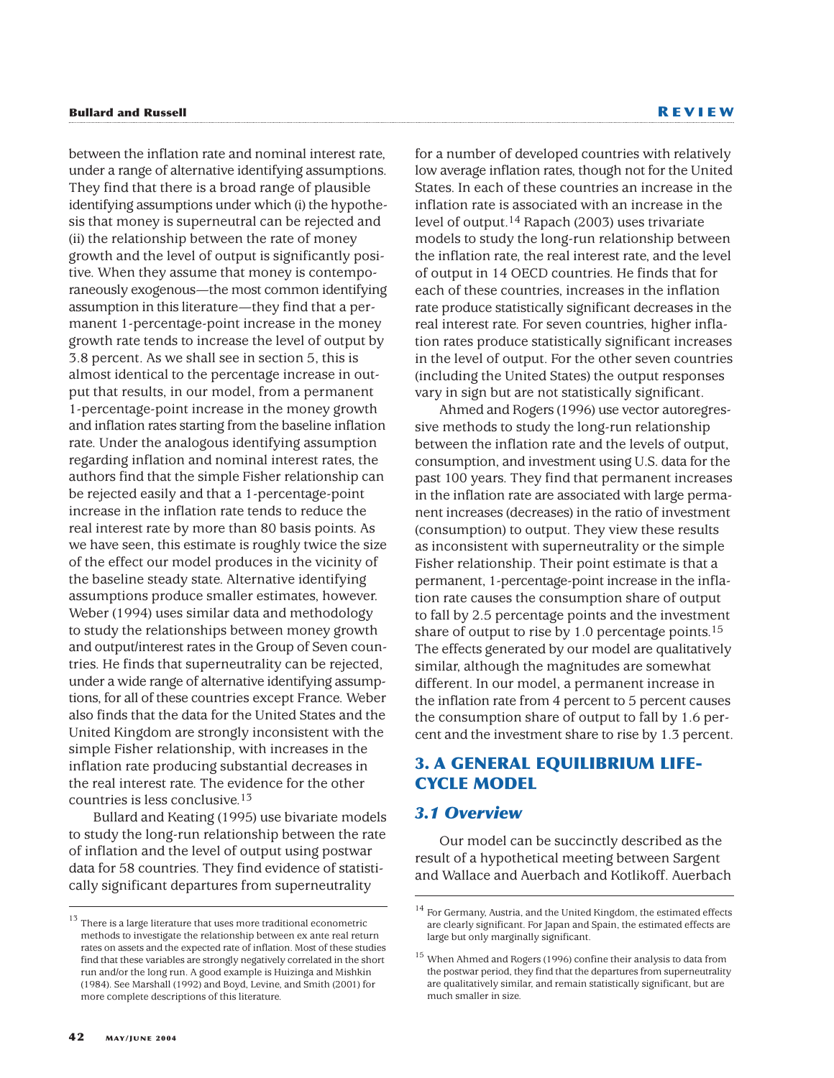between the inflation rate and nominal interest rate, under a range of alternative identifying assumptions. They find that there is a broad range of plausible identifying assumptions under which (i) the hypothesis that money is superneutral can be rejected and (ii) the relationship between the rate of money growth and the level of output is significantly positive. When they assume that money is contemporaneously exogenous—the most common identifying assumption in this literature—they find that a permanent 1-percentage-point increase in the money growth rate tends to increase the level of output by 3.8 percent. As we shall see in section 5, this is almost identical to the percentage increase in output that results, in our model, from a permanent 1-percentage-point increase in the money growth and inflation rates starting from the baseline inflation rate. Under the analogous identifying assumption regarding inflation and nominal interest rates, the authors find that the simple Fisher relationship can be rejected easily and that a 1-percentage-point increase in the inflation rate tends to reduce the real interest rate by more than 80 basis points. As we have seen, this estimate is roughly twice the size of the effect our model produces in the vicinity of the baseline steady state. Alternative identifying assumptions produce smaller estimates, however. Weber (1994) uses similar data and methodology to study the relationships between money growth and output/interest rates in the Group of Seven countries. He finds that superneutrality can be rejected, under a wide range of alternative identifying assumptions, for all of these countries except France. Weber also finds that the data for the United States and the United Kingdom are strongly inconsistent with the simple Fisher relationship, with increases in the inflation rate producing substantial decreases in the real interest rate. The evidence for the other countries is less conclusive.13

Bullard and Keating (1995) use bivariate models to study the long-run relationship between the rate of inflation and the level of output using postwar data for 58 countries. They find evidence of statistically significant departures from superneutrality

for a number of developed countries with relatively low average inflation rates, though not for the United States. In each of these countries an increase in the inflation rate is associated with an increase in the level of output.14 Rapach (2003) uses trivariate models to study the long-run relationship between the inflation rate, the real interest rate, and the level of output in 14 OECD countries. He finds that for each of these countries, increases in the inflation rate produce statistically significant decreases in the real interest rate. For seven countries, higher inflation rates produce statistically significant increases in the level of output. For the other seven countries (including the United States) the output responses vary in sign but are not statistically significant.

Ahmed and Rogers (1996) use vector autoregressive methods to study the long-run relationship between the inflation rate and the levels of output, consumption, and investment using U.S. data for the past 100 years. They find that permanent increases in the inflation rate are associated with large permanent increases (decreases) in the ratio of investment (consumption) to output. They view these results as inconsistent with superneutrality or the simple Fisher relationship. Their point estimate is that a permanent, 1-percentage-point increase in the inflation rate causes the consumption share of output to fall by 2.5 percentage points and the investment share of output to rise by 1.0 percentage points.15 The effects generated by our model are qualitatively similar, although the magnitudes are somewhat different. In our model, a permanent increase in the inflation rate from 4 percent to 5 percent causes the consumption share of output to fall by 1.6 percent and the investment share to rise by 1.3 percent.

# **3. A GENERAL EQUILIBRIUM LIFE-CYCLE MODEL**

### *3.1 Overview*

Our model can be succinctly described as the result of a hypothetical meeting between Sargent and Wallace and Auerbach and Kotlikoff. Auerbach

 $^{13}$  There is a large literature that uses more traditional econometric methods to investigate the relationship between ex ante real return rates on assets and the expected rate of inflation. Most of these studies find that these variables are strongly negatively correlated in the short run and/or the long run. A good example is Huizinga and Mishkin (1984). See Marshall (1992) and Boyd, Levine, and Smith (2001) for more complete descriptions of this literature.

 $^{14}$  For Germany, Austria, and the United Kingdom, the estimated effects are clearly significant. For Japan and Spain, the estimated effects are large but only marginally significant.

<sup>&</sup>lt;sup>15</sup> When Ahmed and Rogers (1996) confine their analysis to data from the postwar period, they find that the departures from superneutrality are qualitatively similar, and remain statistically significant, but are much smaller in size.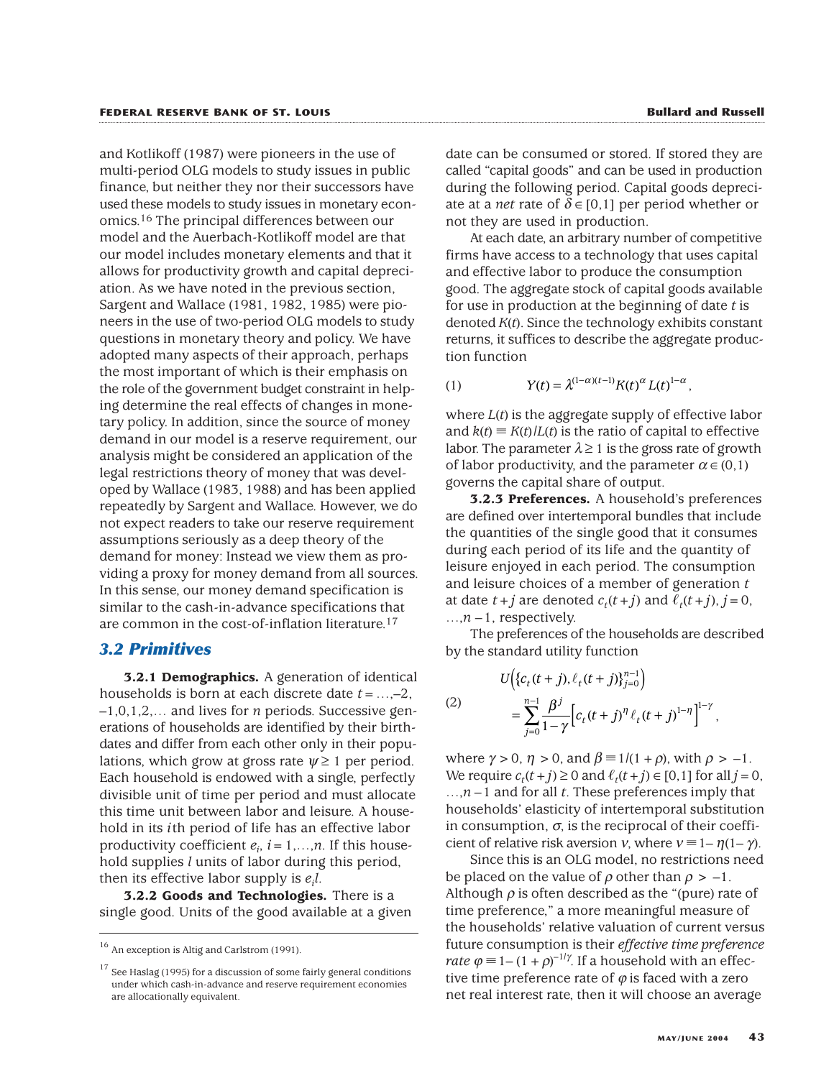and Kotlikoff (1987) were pioneers in the use of multi-period OLG models to study issues in public finance, but neither they nor their successors have used these models to study issues in monetary economics.16 The principal differences between our model and the Auerbach-Kotlikoff model are that our model includes monetary elements and that it allows for productivity growth and capital depreciation. As we have noted in the previous section, Sargent and Wallace (1981, 1982, 1985) were pioneers in the use of two-period OLG models to study questions in monetary theory and policy. We have adopted many aspects of their approach, perhaps the most important of which is their emphasis on the role of the government budget constraint in helping determine the real effects of changes in monetary policy. In addition, since the source of money demand in our model is a reserve requirement, our analysis might be considered an application of the legal restrictions theory of money that was developed by Wallace (1983, 1988) and has been applied repeatedly by Sargent and Wallace. However, we do not expect readers to take our reserve requirement assumptions seriously as a deep theory of the demand for money: Instead we view them as providing a proxy for money demand from all sources. In this sense, our money demand specification is similar to the cash-in-advance specifications that are common in the cost-of-inflation literature.17

#### *3.2 Primitives*

**3.2.1 Demographics.** A generation of identical households is born at each discrete date *t*=…,–2, –1,0,1,2,… and lives for *n* periods. Successive generations of households are identified by their birthdates and differ from each other only in their populations, which grow at gross rate  $\psi \geq 1$  per period. Each household is endowed with a single, perfectly divisible unit of time per period and must allocate this time unit between labor and leisure. A household in its *i*th period of life has an effective labor productivity coefficient  $e_i$ ,  $i = 1,...,n$ . If this household supplies *l* units of labor during this period, then its effective labor supply is *ei l*.

**3.2.2 Goods and Technologies.** There is a single good. Units of the good available at a given

date can be consumed or stored. If stored they are called "capital goods" and can be used in production during the following period. Capital goods depreciate at a *net* rate of  $\delta \in [0,1]$  per period whether or not they are used in production.

At each date, an arbitrary number of competitive firms have access to a technology that uses capital and effective labor to produce the consumption good. The aggregate stock of capital goods available for use in production at the beginning of date *t* is denoted *K*(*t*). Since the technology exhibits constant returns, it suffices to describe the aggregate production function

(1) 
$$
Y(t) = \lambda^{(1-\alpha)(t-1)} K(t)^{\alpha} L(t)^{1-\alpha},
$$

where  $L(t)$  is the aggregate supply of effective labor and  $k(t) \equiv K(t)/L(t)$  is the ratio of capital to effective labor. The parameter  $\lambda \geq 1$  is the gross rate of growth of labor productivity, and the parameter  $\alpha \in (0,1)$ governs the capital share of output.

**3.2.3 Preferences.** A household's preferences are defined over intertemporal bundles that include the quantities of the single good that it consumes during each period of its life and the quantity of leisure enjoyed in each period. The consumption and leisure choices of a member of generation *t* at date  $t + j$  are denoted  $c_t(t + j)$  and  $\ell_t(t + j)$ ,  $j = 0$ ,  $\dots$ ,  $n-1$ , respectively.

The preferences of the households are described by the standard utility function

(2)  

$$
U\Big(\{c_t(t+j), \ell_t(t+j)\}_{j=0}^{n-1}\Big)
$$

$$
= \sum_{j=0}^{n-1} \frac{\beta^j}{1-\gamma} \Big[c_t(t+j)^{\eta} \ell_t(t+j)^{1-\eta}\Big]^{1-\gamma},
$$

where  $\gamma > 0$ ,  $\eta > 0$ , and  $\beta \equiv 1/(1+\rho)$ , with  $\rho > -1$ . We require  $c_t(t + j) \ge 0$  and  $\ell_t(t + j) \in [0, 1]$  for all  $j = 0$ , …,*n* –1 and for all *t*. These preferences imply that households' elasticity of intertemporal substitution in consumption,  $\sigma$ , is the reciprocal of their coefficient of relative risk aversion *v*, where  $v \equiv 1 - \eta(1 - \gamma)$ .

Since this is an OLG model, no restrictions need be placed on the value of  $\rho$  other than  $\rho > -1$ . Although  $\rho$  is often described as the "(pure) rate of time preference," a more meaningful measure of the households' relative valuation of current versus future consumption is their *effective time preference rate*  $\varphi \equiv 1 - (1 + \rho)^{-1/\gamma}$ . If a household with an effective time preference rate of  $\varphi$  is faced with a zero net real interest rate, then it will choose an average

<sup>&</sup>lt;sup>16</sup> An exception is Altig and Carlstrom (1991).

 $17$  See Haslag (1995) for a discussion of some fairly general conditions under which cash-in-advance and reserve requirement economies are allocationally equivalent.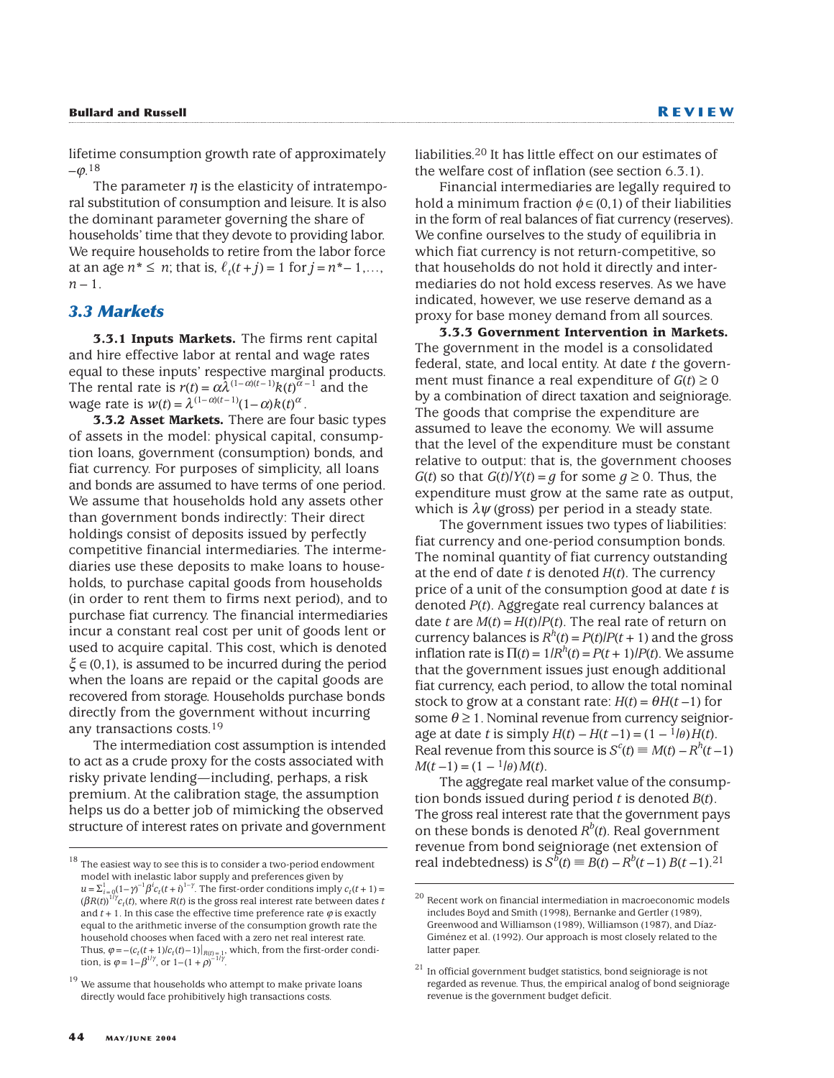#### **Bullard and Russell R EVIEW**

lifetime consumption growth rate of approximately  $-$ (0.18)

The parameter  $\eta$  is the elasticity of intratemporal substitution of consumption and leisure. It is also the dominant parameter governing the share of households' time that they devote to providing labor. We require households to retire from the labor force at an age  $n^* \le n$ ; that is,  $\ell_t(t+j) = 1$  for  $j = n^* - 1, ...,$  $n-1$ .

#### *3.3 Markets*

**3.3.1 Inputs Markets.** The firms rent capital and hire effective labor at rental and wage rates equal to these inputs' respective marginal products. The rental rate is  $r(t) = \alpha \lambda^{(1-\alpha)(t-1)} k(t)^{\alpha-1}$  and the wage rate is  $w(t) = \lambda^{(1-\alpha)(t-1)}(1-\alpha)k(t)^{\alpha}$ .

**3.3.2 Asset Markets.** There are four basic types of assets in the model: physical capital, consumption loans, government (consumption) bonds, and fiat currency. For purposes of simplicity, all loans and bonds are assumed to have terms of one period. We assume that households hold any assets other than government bonds indirectly: Their direct holdings consist of deposits issued by perfectly competitive financial intermediaries. The intermediaries use these deposits to make loans to households, to purchase capital goods from households (in order to rent them to firms next period), and to purchase fiat currency. The financial intermediaries incur a constant real cost per unit of goods lent or used to acquire capital. This cost, which is denoted  $\xi \in (0,1)$ , is assumed to be incurred during the period when the loans are repaid or the capital goods are recovered from storage. Households purchase bonds directly from the government without incurring any transactions costs.19

The intermediation cost assumption is intended to act as a crude proxy for the costs associated with risky private lending—including, perhaps, a risk premium. At the calibration stage, the assumption helps us do a better job of mimicking the observed structure of interest rates on private and government liabilities.20 It has little effect on our estimates of the welfare cost of inflation (see section 6.3.1).

Financial intermediaries are legally required to hold a minimum fraction  $\phi \in (0,1)$  of their liabilities in the form of real balances of fiat currency (reserves). We confine ourselves to the study of equilibria in which fiat currency is not return-competitive, so that households do not hold it directly and intermediaries do not hold excess reserves. As we have indicated, however, we use reserve demand as a proxy for base money demand from all sources.

**3.3.3 Government Intervention in Markets.** The government in the model is a consolidated federal, state, and local entity. At date *t* the government must finance a real expenditure of  $G(t) \ge 0$ by a combination of direct taxation and seigniorage. The goods that comprise the expenditure are assumed to leave the economy. We will assume that the level of the expenditure must be constant relative to output: that is, the government chooses *G*(*t*) so that *G*(*t*)/*Y*(*t*) = *g* for some  $g \ge 0$ . Thus, the expenditure must grow at the same rate as output, which is  $\lambda \psi$  (gross) per period in a steady state.

The government issues two types of liabilities: fiat currency and one-period consumption bonds. The nominal quantity of fiat currency outstanding at the end of date *t* is denoted *H*(*t*). The currency price of a unit of the consumption good at date *t* is denoted *P*(*t*). Aggregate real currency balances at date *t* are  $M(t) = H(t)/P(t)$ . The real rate of return on currency balances is  $R<sup>h</sup>(t) = P(t)/P(t + 1)$  and the gross inflation rate is  $\Pi(t) = 1/R<sup>h</sup>(t) = P(t + 1)/P(t)$ . We assume that the government issues just enough additional fiat currency, each period, to allow the total nominal stock to grow at a constant rate:  $H(t) = \theta H(t-1)$  for some  $\theta \geq 1$ . Nominal revenue from currency seigniorage at date *t* is simply  $H(t) - H(t-1) = (1 - \frac{1}{\theta})H(t)$ . Real revenue from this source is  $S^c(t) \equiv M(t) - R^h(t-1)$  $M(t-1) = (1 - {}^{1}l\theta) M(t)$ .

The aggregate real market value of the consumption bonds issued during period *t* is denoted *B*(*t*). The gross real interest rate that the government pays on these bonds is denoted *Rb* (*t*). Real government revenue from bond seigniorage (net extension of real indebtedness) is  $S^b(t) \equiv B(t) - R^b(t-1) B(t-1)$ .<sup>21</sup>

The easiest way to see this is to consider a two-period endowment model with inelastic labor supply and preferences given by  $u = \sum_{i=0}^{1} (1 - \gamma)^{-1} \beta^{i} c_t (t + i)^{1-\gamma}$ . The first-order conditions imply  $c_t(t + 1) =$  $(\beta R(t))^{1/\gamma}c_t(t)$ , where  $R(t)$  is the gross real interest rate between dates *t* and  $t + 1$ . In this case the effective time preference rate  $\varphi$  is exactly equal to the arithmetic inverse of the consumption growth rate the household chooses when faced with a zero net real interest rate. Thus,  $\varphi = -(c_t(t+1)/c_t(t)-1)|_{R(t)=1}$ , which, from the first-order condition, is  $\varphi = 1 - \beta^{1/\gamma}$ , or  $1 - (1 + \rho)^{-1/\gamma}$ .

 $19$  We assume that households who attempt to make private loans directly would face prohibitively high transactions costs.

 $^{20}$  Recent work on financial intermediation in macroeconomic models includes Boyd and Smith (1998), Bernanke and Gertler (1989), Greenwood and Williamson (1989), Williamson (1987), and Díaz-Giménez et al. (1992). Our approach is most closely related to the latter paper.

 $21$  In official government budget statistics, bond seigniorage is not regarded as revenue. Thus, the empirical analog of bond seigniorage revenue is the government budget deficit.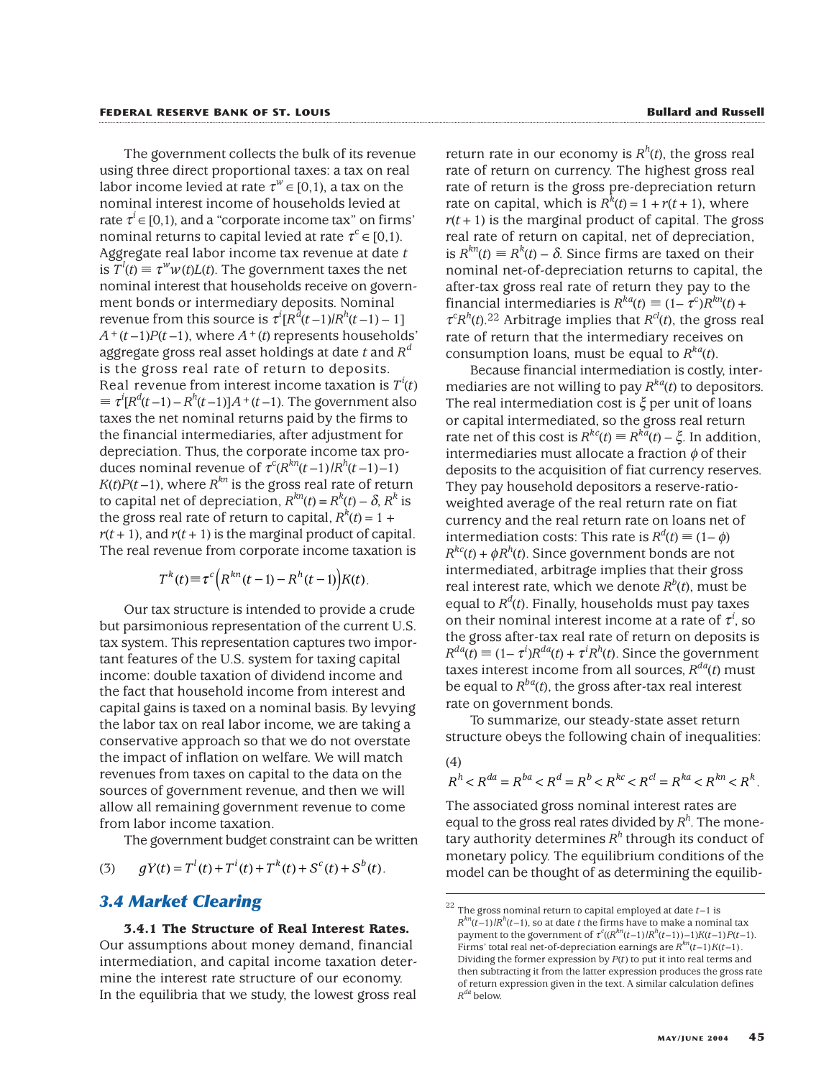The government collects the bulk of its revenue using three direct proportional taxes: a tax on real labor income levied at rate  $\tau^w \in [0,1)$ , a tax on the nominal interest income of households levied at rate  $\tau^i \in [0,1)$ , and a "corporate income tax" on firms' nominal returns to capital levied at rate  $\tau^c \in [0,1)$ . Aggregate real labor income tax revenue at date *t* is  $T^l(t) \equiv \tau^w w(t) L(t)$ . The government taxes the net nominal interest that households receive on government bonds or intermediary deposits. Nominal revenue from this source is  $\tau^{i}[R^{d}(t-1)|R^{h}(t-1)-1]$  $A^+(t-1)P(t-1)$ , where  $A^+(t)$  represents households' aggregate gross real asset holdings at date *t* and *R<sup>d</sup>* is the gross real rate of return to deposits. Real revenue from interest income taxation is  $T^i(t)$  $\equiv \tau^i[R^d(t-1)-R^h(t-1)]A^+(t-1)$ . The government also taxes the net nominal returns paid by the firms to the financial intermediaries, after adjustment for depreciation. Thus, the corporate income tax produces nominal revenue of  $\tau^c(R^{kn}(t-1)/R^h(t-1)-1)$  $K(t)P(t-1)$ , where  $R^{kn}$  is the gross real rate of return to capital net of depreciation,  $R^{kn}(t) = R^k(t) - \delta$ ,  $R^k$  is the gross real rate of return to capital,  $R^k(t) = 1 +$  $r(t+1)$ , and  $r(t+1)$  is the marginal product of capital. The real revenue from corporate income taxation is

$$
T^{k}(t) \equiv \tau^{c}\left(R^{kn}(t-1) - R^{h}(t-1)\right)K(t).
$$

Our tax structure is intended to provide a crude but parsimonious representation of the current U.S. tax system. This representation captures two important features of the U.S. system for taxing capital income: double taxation of dividend income and the fact that household income from interest and capital gains is taxed on a nominal basis. By levying the labor tax on real labor income, we are taking a conservative approach so that we do not overstate the impact of inflation on welfare. We will match revenues from taxes on capital to the data on the sources of government revenue, and then we will allow all remaining government revenue to come from labor income taxation.

The government budget constraint can be written

(3) 
$$
gY(t) = T^{l}(t) + T^{i}(t) + T^{k}(t) + S^{c}(t) + S^{b}(t).
$$

# *3.4 Market Clearing*

**3.4.1 The Structure of Real Interest Rates.**

Our assumptions about money demand, financial intermediation, and capital income taxation determine the interest rate structure of our economy. In the equilibria that we study, the lowest gross real

return rate in our economy is  $R^h(t)$ , the gross real rate of return on currency. The highest gross real rate of return is the gross pre-depreciation return rate on capital, which is  $R^k(t) = 1 + r(t + 1)$ , where  $r(t+1)$  is the marginal product of capital. The gross real rate of return on capital, net of depreciation, is  $R^{kn}(t) \equiv R^k(t) - \delta$ . Since firms are taxed on their nominal net-of-depreciation returns to capital, the after-tax gross real rate of return they pay to the financial intermediaries is  $R^{ka}(t) \equiv (1 - \tau^c)R^{kn}(t) +$  $\tau^{c}R^{h}(t)$ .<sup>22</sup> Arbitrage implies that  $R^{cl}(t)$ , the gross real rate of return that the intermediary receives on consumption loans, must be equal to  $R^{ka}(t)$ .

Because financial intermediation is costly, intermediaries are not willing to pay  $R^{ka}(t)$  to depositors. The real intermediation cost is  $\xi$  per unit of loans or capital intermediated, so the gross real return rate net of this cost is  $R^{kc}(t) = R^{k\bar{a}}(t) - \xi$ . In addition, intermediaries must allocate a fraction  $\phi$  of their deposits to the acquisition of fiat currency reserves. They pay household depositors a reserve-ratioweighted average of the real return rate on fiat currency and the real return rate on loans net of intermediation costs: This rate is  $R^d(t) \equiv (1-\phi)$  $R^{kc}(t) + \phi R^{h}(t)$ . Since government bonds are not intermediated, arbitrage implies that their gross real interest rate, which we denote  $R^b(t)$ , must be equal to *Rd* (*t*). Finally, households must pay taxes on their nominal interest income at a rate of  $\tau^i$ , so the gross after-tax real rate of return on deposits is  $R^{da}(t) \equiv (1 - \tau^i) R^{da}(t) + \tau^i R^h(t)$ . Since the government taxes interest income from all sources,  $R^{da}(t)$  must be equal to  $R^{ba}(t)$ , the gross after-tax real interest rate on government bonds.

To summarize, our steady-state asset return structure obeys the following chain of inequalities:

(4)  
\n
$$
R^h < R^{da} = R^{ba} < R^d = R^b < R^{kc} < R^{cl} = R^{ka} < R^{kn} < R^k
$$

The associated gross nominal interest rates are equal to the gross real rates divided by  $R^h$ . The monetary authority determines  $R<sup>h</sup>$  through its conduct of monetary policy. The equilibrium conditions of the model can be thought of as determining the equilib-

<sup>22</sup> The gross nominal return to capital employed at date *t*–1 is  $R^{kn}(t-1)$  *IR<sup>h</sup>(t–*1), so at date *t* the firms have to make a nominal tax payment to the government of  $\tau^c((R^{kn}(t-1)/R^h(t-1))-1)K(t-1)P(t-1)$ . Firms' total real net-of-depreciation earnings are  $R^{kn}(t-1)K(t-1)$ . Dividing the former expression by *P*(*t*) to put it into real terms and then subtracting it from the latter expression produces the gross rate of return expression given in the text. A similar calculation defines *Rda* below.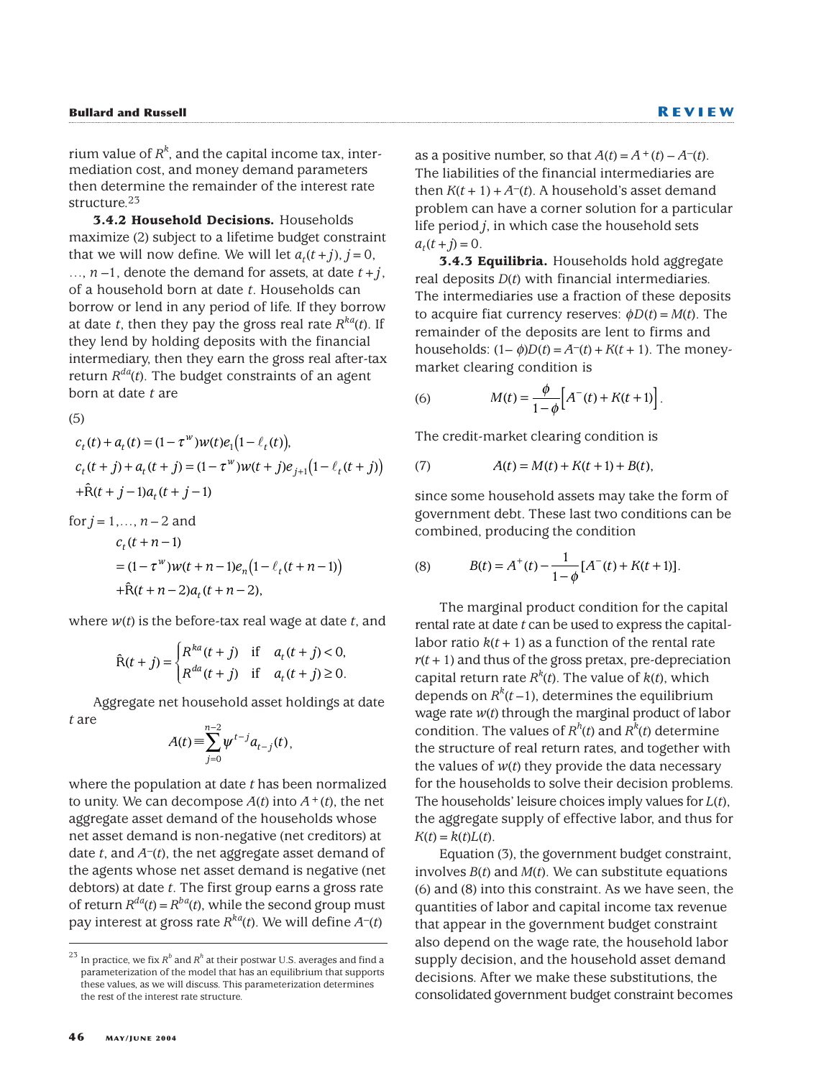rium value of  $R^k$ , and the capital income tax, intermediation cost, and money demand parameters then determine the remainder of the interest rate structure<sup>23</sup>

**3.4.2 Household Decisions.** Households maximize (2) subject to a lifetime budget constraint that we will now define. We will let  $a_t(t+j)$ ,  $j=0$ , ...,  $n-1$ , denote the demand for assets, at date  $t+j$ , of a household born at date *t*. Households can borrow or lend in any period of life. If they borrow at date *t*, then they pay the gross real rate  $R^{ka}(t)$ . If they lend by holding deposits with the financial intermediary, then they earn the gross real after-tax return  $R^{da}(t)$ . The budget constraints of an agent born at date *t* are

(5)

$$
c_t(t) + a_t(t) = (1 - \tau^w)w(t)e_1(1 - \ell_t(t)),
$$
  
\n
$$
c_t(t + j) + a_t(t + j) = (1 - \tau^w)w(t + j)e_{j+1}(1 - \ell_t(t + j))
$$
  
\n
$$
+ \hat{R}(t + j - 1)a_t(t + j - 1)
$$

for 
$$
j = 1,..., n-2
$$
 and  
\n
$$
c_t(t+n-1)
$$
\n
$$
= (1 - \tau^w)w(t+n-1)e_n(1 - \ell_t(t+n-1))
$$
\n
$$
+ \hat{R}(t+n-2)a_t(t+n-2),
$$

where *w*(*t*) is the before-tax real wage at date *t*, and

$$
\hat{\mathcal{R}}(t+j) = \begin{cases} R^{ka}(t+j) & \text{if } a_t(t+j) < 0, \\ R^{da}(t+j) & \text{if } a_t(t+j) \ge 0. \end{cases}
$$

Aggregate net household asset holdings at date *t* are

$$
A(t) = \sum_{j=0}^{n-2} \psi^{t-j} a_{t-j}(t),
$$

where the population at date *t* has been normalized to unity. We can decompose  $A(t)$  into  $A^+(t)$ , the net aggregate asset demand of the households whose net asset demand is non-negative (net creditors) at date *t*, and *A*–(*t*), the net aggregate asset demand of the agents whose net asset demand is negative (net debtors) at date *t*. The first group earns a gross rate of return  $R^{da}(t) = R^{ba}(t)$ , while the second group must pay interest at gross rate  $R^{kq}(t)$ . We will define  $A^{-}(t)$ 

as a positive number, so that  $A(t) = A^+(t) - A^-(t)$ . The liabilities of the financial intermediaries are then  $K(t + 1) + A<sup>-</sup>(t)$ . A household's asset demand problem can have a corner solution for a particular life period *j*, in which case the household sets  $a_{t}(t + j) = 0.$ 

**3.4.3 Equilibria.** Households hold aggregate real deposits *D*(*t*) with financial intermediaries. The intermediaries use a fraction of these deposits to acquire fiat currency reserves:  $\phi D(t) = M(t)$ . The remainder of the deposits are lent to firms and households:  $(1-\phi)D(t) = A^{-}(t) + K(t+1)$ . The moneymarket clearing condition is

(6) 
$$
M(t) = \frac{\phi}{1 - \phi} \Big[ A^{-}(t) + K(t + 1) \Big].
$$

The credit-market clearing condition is

(7) 
$$
A(t) = M(t) + K(t+1) + B(t),
$$

since some household assets may take the form of government debt. These last two conditions can be combined, producing the condition

(8) 
$$
B(t) = A^{+}(t) - \frac{1}{1-\phi}[A^{-}(t) + K(t+1)].
$$

The marginal product condition for the capital rental rate at date *t* can be used to express the capitallabor ratio  $k(t + 1)$  as a function of the rental rate  $r(t+1)$  and thus of the gross pretax, pre-depreciation capital return rate  $R^k(t)$ . The value of  $k(t)$ , which depends on  $R^k(t-1)$ , determines the equilibrium wage rate *w*(*t*) through the marginal product of labor condition. The values of  $R^h(t)$  and  $R^k(t)$  determine the structure of real return rates, and together with the values of  $w(t)$  they provide the data necessary for the households to solve their decision problems. The households' leisure choices imply values for *L*(*t*), the aggregate supply of effective labor, and thus for  $K(t) = k(t)L(t)$ .

Equation (3), the government budget constraint, involves *B*(*t*) and *M*(*t*). We can substitute equations (6) and (8) into this constraint. As we have seen, the quantities of labor and capital income tax revenue that appear in the government budget constraint also depend on the wage rate, the household labor supply decision, and the household asset demand decisions. After we make these substitutions, the consolidated government budget constraint becomes

 $^{23}$  In practice, we fix  $R^{b}$  and  $R^{h}$  at their postwar U.S. averages and find a parameterization of the model that has an equilibrium that supports these values, as we will discuss. This parameterization determines the rest of the interest rate structure.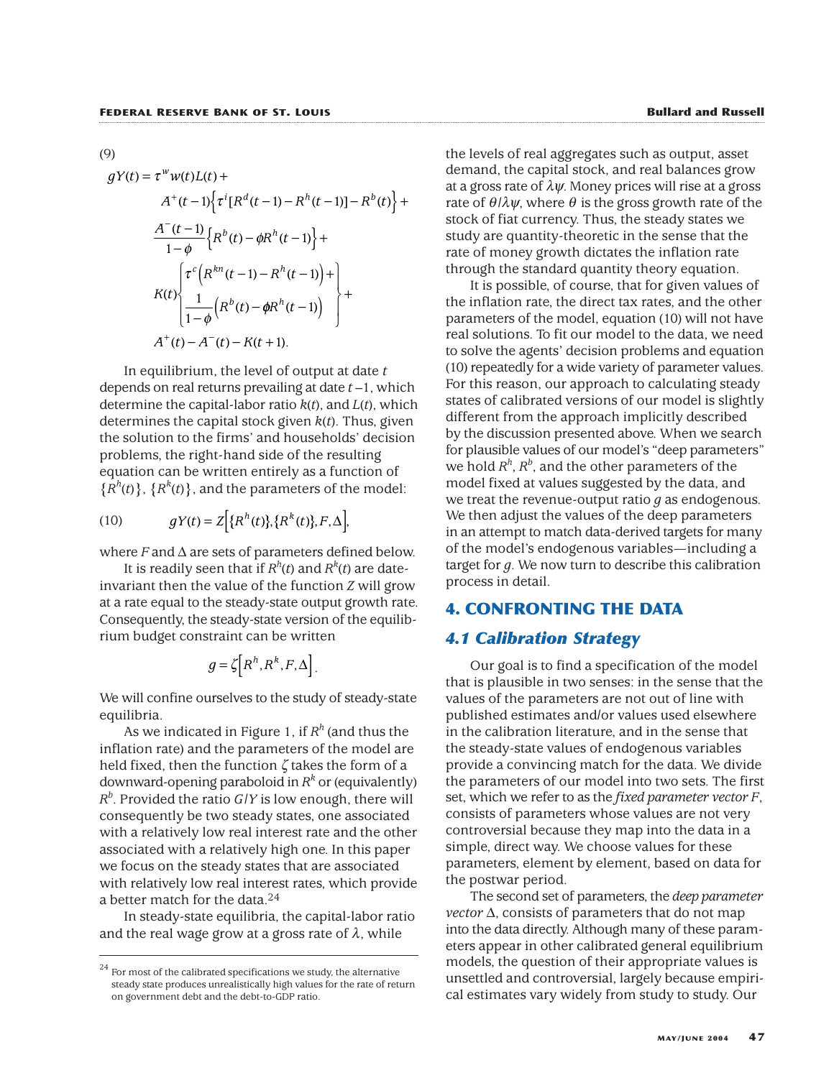(9)

$$
gY(t) = \tau^w w(t)L(t) +
$$
  
\n
$$
A^+(t-1)\Big\{\tau^i[R^d(t-1) - R^h(t-1)] - R^b(t)\Big\} +
$$
  
\n
$$
\frac{A^-(t-1)}{1-\phi}\Big\{R^b(t) - \phi R^h(t-1)\Big\} +
$$
  
\n
$$
K(t)\Big\{\tau^c\Big(R^{kn}(t-1) - R^h(t-1)\Big) +
$$
  
\n
$$
K(t)\Big\{\frac{1}{1-\phi}\Big(R^b(t) - \phi R^h(t-1)\Big)\Big\} +
$$
  
\n
$$
A^+(t) - A^-(t) - K(t+1).
$$

In equilibrium, the level of output at date *t* depends on real returns prevailing at date *t* –1, which determine the capital-labor ratio *k*(*t*), and *L*(*t*), which determines the capital stock given *k*(*t*). Thus, given the solution to the firms' and households' decision problems, the right-hand side of the resulting equation can be written entirely as a function of  ${R<sup>h</sup>(t)}$ ,  ${R<sup>k</sup>(t)}$ , and the parameters of the model:

(10) 
$$
gY(t) = Z\Big[\{R^{h}(t)\}, \{R^{k}(t)\}, F, \Delta\Big],
$$

where *F* and ∆ are sets of parameters defined below.

It is readily seen that if  $R^h(t)$  and  $R^k(t)$  are dateinvariant then the value of the function *Z* will grow at a rate equal to the steady-state output growth rate. Consequently, the steady-state version of the equilibrium budget constraint can be written

$$
g = \zeta \left[ R^h, R^k, F, \Delta \right].
$$

We will confine ourselves to the study of steady-state equilibria.

As we indicated in Figure 1, if  $R<sup>h</sup>$  (and thus the inflation rate) and the parameters of the model are held fixed, then the function ζ takes the form of a downward-opening paraboloid in  $R^k$  or (equivalently) *Rb* . Provided the ratio *G*/*Y* is low enough, there will consequently be two steady states, one associated with a relatively low real interest rate and the other associated with a relatively high one. In this paper we focus on the steady states that are associated with relatively low real interest rates, which provide a better match for the data.24

In steady-state equilibria, the capital-labor ratio and the real wage grow at a gross rate of  $\lambda$ , while

the levels of real aggregates such as output, asset demand, the capital stock, and real balances grow at a gross rate of  $\lambda \psi$ . Money prices will rise at a gross rate of  $\theta/\lambda\psi$ , where  $\theta$  is the gross growth rate of the stock of fiat currency. Thus, the steady states we study are quantity-theoretic in the sense that the rate of money growth dictates the inflation rate through the standard quantity theory equation.

It is possible, of course, that for given values of the inflation rate, the direct tax rates, and the other parameters of the model, equation (10) will not have real solutions. To fit our model to the data, we need to solve the agents' decision problems and equation (10) repeatedly for a wide variety of parameter values. For this reason, our approach to calculating steady states of calibrated versions of our model is slightly different from the approach implicitly described by the discussion presented above. When we search for plausible values of our model's "deep parameters" we hold  $R^h$ ,  $R^b$ , and the other parameters of the model fixed at values suggested by the data, and we treat the revenue-output ratio *g* as endogenous. We then adjust the values of the deep parameters in an attempt to match data-derived targets for many of the model's endogenous variables—including a target for *g*. We now turn to describe this calibration process in detail.

# **4. CONFRONTING THE DATA**

# *4.1 Calibration Strategy*

Our goal is to find a specification of the model that is plausible in two senses: in the sense that the values of the parameters are not out of line with published estimates and/or values used elsewhere in the calibration literature, and in the sense that the steady-state values of endogenous variables provide a convincing match for the data. We divide the parameters of our model into two sets. The first set, which we refer to as the *fixed parameter vector F*, consists of parameters whose values are not very controversial because they map into the data in a simple, direct way. We choose values for these parameters, element by element, based on data for the postwar period.

The second set of parameters, the *deep parameter vector* ∆, consists of parameters that do not map into the data directly. Although many of these parameters appear in other calibrated general equilibrium models, the question of their appropriate values is unsettled and controversial, largely because empirical estimates vary widely from study to study. Our

 $^{24}$  For most of the calibrated specifications we study, the alternative steady state produces unrealistically high values for the rate of return on government debt and the debt-to-GDP ratio.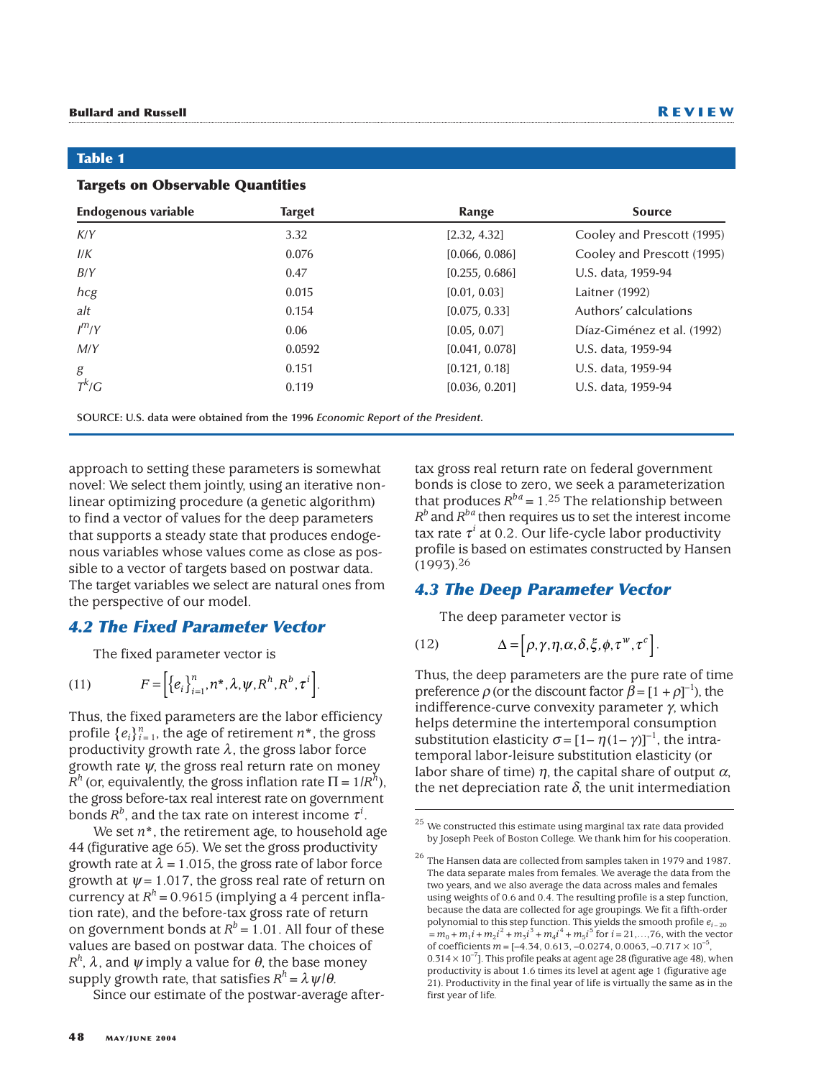#### **Table 1**

#### **Targets on Observable Quantities**

| <b>Endogenous variable</b> | <b>Target</b> | Range          | <b>Source</b>              |  |  |
|----------------------------|---------------|----------------|----------------------------|--|--|
| K/Y                        | 3.32          | [2.32, 4.32]   | Cooley and Prescott (1995) |  |  |
| I/K                        | 0.076         | [0.066, 0.086] | Cooley and Prescott (1995) |  |  |
| B/Y                        | 0.47          | [0.255, 0.686] | U.S. data, 1959-94         |  |  |
| hcg                        | 0.015         | [0.01, 0.03]   | Laitner (1992)             |  |  |
| alt                        | 0.154         | [0.075, 0.33]  | Authors' calculations      |  |  |
| $I^{m}/Y$                  | 0.06          | [0.05, 0.07]   | Díaz-Giménez et al. (1992) |  |  |
| M/Y                        | 0.0592        | [0.041, 0.078] | U.S. data, 1959-94         |  |  |
| g                          | 0.151         | [0.121, 0.18]  | U.S. data, 1959-94         |  |  |
| $T^k/G$                    | 0.119         | [0.036, 0.201] | U.S. data, 1959-94         |  |  |

**SOURCE: U.S. data were obtained from the 1996** *Economic Report of the President***.**

approach to setting these parameters is somewhat novel: We select them jointly, using an iterative nonlinear optimizing procedure (a genetic algorithm) to find a vector of values for the deep parameters that supports a steady state that produces endogenous variables whose values come as close as possible to a vector of targets based on postwar data. The target variables we select are natural ones from the perspective of our model.

# *4.2 The Fixed Parameter Vector*

The fixed parameter vector is

(11) 
$$
F = \left[\left\{e_i\right\}_{i=1}^n, n^*, \lambda, \psi, R^h, R^b, \tau^i\right].
$$

Thus, the fixed parameters are the labor efficiency profile  $\{e_i\}_{i=1}^n$ , the age of retirement  $n^*$ , the gross productivity growth rate  $\lambda$ , the gross labor force growth rate  $\psi$ , the gross real return rate on money *R<sup>h</sup>* (or, equivalently, the gross inflation rate  $\Pi = 1/R<sup>h</sup>$ ), the gross before-tax real interest rate on government bonds  $R^b$ , and the tax rate on interest income  $\tau^i$ .

We set  $n^*$ , the retirement age, to household age 44 (figurative age 65). We set the gross productivity growth rate at  $\lambda = 1.015$ , the gross rate of labor force growth at  $\psi$  = 1.017, the gross real rate of return on currency at  $R<sup>h</sup>$  = 0.9615 (implying a 4 percent inflation rate), and the before-tax gross rate of return on government bonds at  $R^b = 1.01$ . All four of these values are based on postwar data. The choices of *R<sup>h</sup>*, λ, and  $\psi$  imply a value for θ, the base money supply growth rate, that satisfies  $R^h = \lambda \psi/\theta$ .

Since our estimate of the postwar-average after-

tax gross real return rate on federal government bonds is close to zero, we seek a parameterization that produces  $R^{ba} = 1.25$  The relationship between  $R^b$  and  $R^{ba}$  then requires us to set the interest income tax rate  $\tau^i$  at 0.2. Our life-cycle labor productivity profile is based on estimates constructed by Hansen (1993).26

# *4.3 The Deep Parameter Vector*

The deep parameter vector is

(12) 
$$
\Delta = [\rho, \gamma, \eta, \alpha, \delta, \xi, \phi, \tau^w, \tau^c].
$$

Thus, the deep parameters are the pure rate of time preference  $\rho$  (or the discount factor  $\hat{\beta} = [1 + \rho]^{-1}$ ), the indifference-curve convexity parameter γ, which helps determine the intertemporal consumption substitution elasticity  $\sigma = \left[1 - \eta(1 - \gamma)\right]^{-1}$ , the intratemporal labor-leisure substitution elasticity (or labor share of time)  $\eta$ , the capital share of output  $\alpha$ , the net depreciation rate  $\delta$ , the unit intermediation

 $25$  We constructed this estimate using marginal tax rate data provided by Joseph Peek of Boston College. We thank him for his cooperation.

<sup>26</sup> The Hansen data are collected from samples taken in 1979 and 1987. The data separate males from females. We average the data from the two years, and we also average the data across males and females using weights of 0.6 and 0.4. The resulting profile is a step function, because the data are collected for age groupings. We fit a fifth-order polynomial to this step function. This yields the smooth profile  $e_{i-20}$  $= m_0 + m_1 i + m_2 i^2 + m_3 i^3 + m_4 i^4 + m_5 i^5$  for  $i = 21, ..., 76$ , with the vector of coefficients  $m = [-4.34, 0.613, -0.0274, 0.0063, -0.717 \times 10^{-5},$  $0.314 \times 10^{-7}$ ]. This profile peaks at agent age 28 (figurative age 48), when productivity is about 1.6 times its level at agent age 1 (figurative age 21). Productivity in the final year of life is virtually the same as in the first year of life.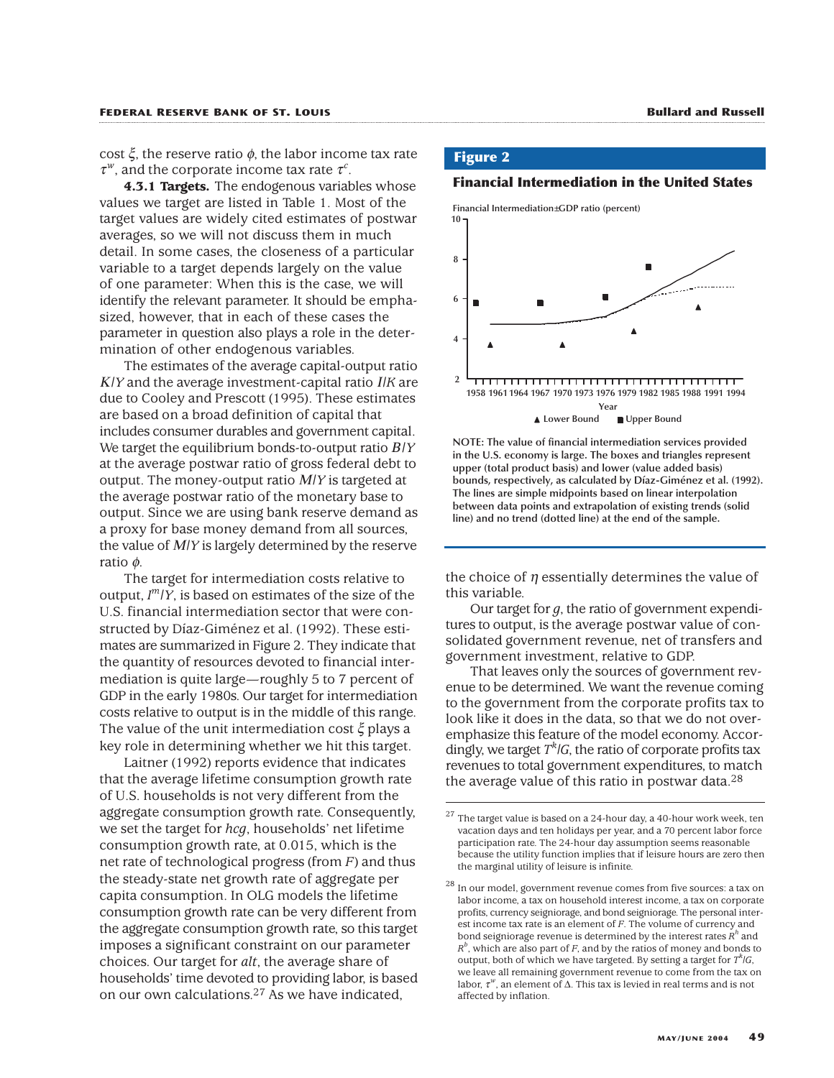cost  $ξ$ , the reserve ratio  $φ$ , the labor income tax rate  $\tau^w$ , and the corporate income tax rate  $\tau^c$ .

**4.3.1 Targets.** The endogenous variables whose values we target are listed in Table 1. Most of the target values are widely cited estimates of postwar averages, so we will not discuss them in much detail. In some cases, the closeness of a particular variable to a target depends largely on the value of one parameter: When this is the case, we will identify the relevant parameter. It should be emphasized, however, that in each of these cases the parameter in question also plays a role in the determination of other endogenous variables.

The estimates of the average capital-output ratio <sup>Κ</sup>/*Y* and the average investment-capital ratio Ι/*K* are due to Cooley and Prescott (1995). These estimates are based on a broad definition of capital that includes consumer durables and government capital. We target the equilibrium bonds-to-output ratio Β/*Y* at the average postwar ratio of gross federal debt to output. The money-output ratio Μ/*Y* is targeted at the average postwar ratio of the monetary base to output. Since we are using bank reserve demand as a proxy for base money demand from all sources, the value of Μ/*Y* is largely determined by the reserve ratio φ.

The target for intermediation costs relative to output, *I <sup>m</sup>*/*Y*, is based on estimates of the size of the U.S. financial intermediation sector that were constructed by Díaz-Giménez et al. (1992). These estimates are summarized in Figure 2. They indicate that the quantity of resources devoted to financial intermediation is quite large—roughly 5 to 7 percent of GDP in the early 1980s. Our target for intermediation costs relative to output is in the middle of this range. The value of the unit intermediation cost ξ plays a key role in determining whether we hit this target.

Laitner (1992) reports evidence that indicates that the average lifetime consumption growth rate of U.S. households is not very different from the aggregate consumption growth rate. Consequently, we set the target for *hcg*, households' net lifetime consumption growth rate, at 0.015, which is the net rate of technological progress (from *F*) and thus the steady-state net growth rate of aggregate per capita consumption. In OLG models the lifetime consumption growth rate can be very different from the aggregate consumption growth rate, so this target imposes a significant constraint on our parameter choices. Our target for *alt*, the average share of households' time devoted to providing labor, is based on our own calculations.27 As we have indicated,

### **Figure 2**

**Financial Intermediation in the United States**



**NOTE: The value of financial intermediation services provided in the U.S. economy is large. The boxes and triangles represent upper (total product basis) and lower (value added basis) bounds, respectively, as calculated by Díaz-Giménez et al. (1992). The lines are simple midpoints based on linear interpolation between data points and extrapolation of existing trends (solid line) and no trend (dotted line) at the end of the sample.**

the choice of  $\eta$  essentially determines the value of this variable.

Our target for *g*, the ratio of government expenditures to output, is the average postwar value of consolidated government revenue, net of transfers and government investment, relative to GDP.

That leaves only the sources of government revenue to be determined. We want the revenue coming to the government from the corporate profits tax to look like it does in the data, so that we do not overemphasize this feature of the model economy. Accordingly, we target *T<sup>k</sup>* /*G*, the ratio of corporate profits tax revenues to total government expenditures, to match the average value of this ratio in postwar data.<sup>28</sup>

 $27$  The target value is based on a 24-hour day, a 40-hour work week, ten vacation days and ten holidays per year, and a 70 percent labor force participation rate. The 24-hour day assumption seems reasonable because the utility function implies that if leisure hours are zero then the marginal utility of leisure is infinite.

<sup>28</sup> In our model, government revenue comes from five sources: a tax on labor income, a tax on household interest income, a tax on corporate profits, currency seigniorage, and bond seigniorage. The personal interest income tax rate is an element of *F*. The volume of currency and bond seigniorage revenue is determined by the interest rates  $R^n$  and  $R^b$ , which are also part of *F*, and by the ratios of money and bonds to output, both of which we have targeted. By setting a target for  $T^k/G$ , we leave all remaining government revenue to come from the tax on labor,  $\tau^w$ , an element of  $\Delta$ . This tax is levied in real terms and is not affected by inflation.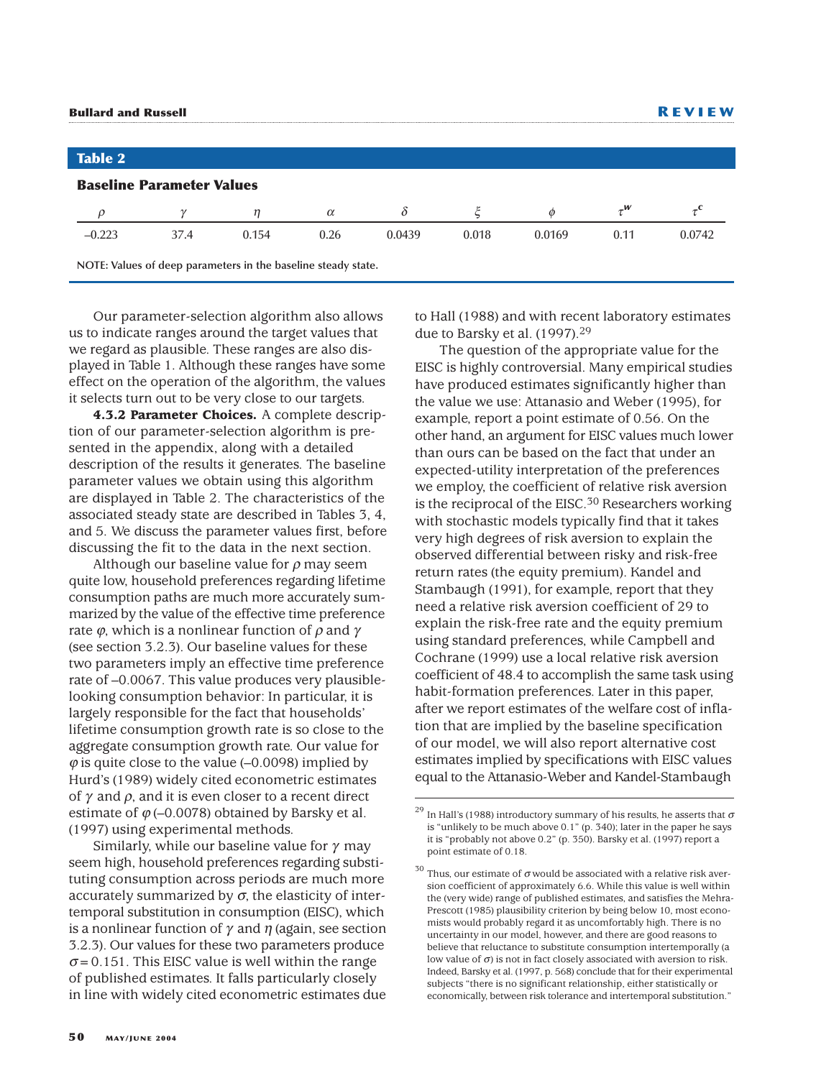| <b>Bullard and Russell</b> |                                  |                                                               |          |        |       |        | <b>REVIEW</b> |        |  |
|----------------------------|----------------------------------|---------------------------------------------------------------|----------|--------|-------|--------|---------------|--------|--|
|                            |                                  |                                                               |          |        |       |        |               |        |  |
| <b>Table 2</b>             |                                  |                                                               |          |        |       |        |               |        |  |
|                            | <b>Baseline Parameter Values</b> |                                                               |          |        |       |        |               |        |  |
|                            |                                  | η                                                             | $\alpha$ | δ      |       | Ø      | $\tau^w$      |        |  |
| $-0.223$                   | 37.4                             | 0.154                                                         | 0.26     | 0.0439 | 0.018 | 0.0169 | 0.11          | 0.0742 |  |
|                            |                                  | NOTE: Values of deep parameters in the baseline steady state. |          |        |       |        |               |        |  |

Our parameter-selection algorithm also allows us to indicate ranges around the target values that we regard as plausible. These ranges are also displayed in Table 1. Although these ranges have some effect on the operation of the algorithm, the values it selects turn out to be very close to our targets.

**4.3.2 Parameter Choices.** A complete description of our parameter-selection algorithm is presented in the appendix, along with a detailed description of the results it generates. The baseline parameter values we obtain using this algorithm are displayed in Table 2. The characteristics of the associated steady state are described in Tables 3, 4, and 5. We discuss the parameter values first, before discussing the fit to the data in the next section.

Although our baseline value for  $\rho$  may seem quite low, household preferences regarding lifetime consumption paths are much more accurately summarized by the value of the effective time preference rate  $\varphi$ , which is a nonlinear function of  $\rho$  and  $\gamma$ (see section 3.2.3). Our baseline values for these two parameters imply an effective time preference rate of –0.0067. This value produces very plausiblelooking consumption behavior: In particular, it is largely responsible for the fact that households' lifetime consumption growth rate is so close to the aggregate consumption growth rate. Our value for  $\varphi$  is quite close to the value (-0.0098) implied by Hurd's (1989) widely cited econometric estimates of  $\gamma$  and  $\rho$ , and it is even closer to a recent direct estimate of  $\varphi$  (–0.0078) obtained by Barsky et al. (1997) using experimental methods.

Similarly, while our baseline value for  $\gamma$  may seem high, household preferences regarding substituting consumption across periods are much more accurately summarized by  $\sigma$ , the elasticity of intertemporal substitution in consumption (EISC), which is a nonlinear function of  $\gamma$  and  $\eta$  (again, see section 3.2.3). Our values for these two parameters produce  $\sigma$ = 0.151. This EISC value is well within the range of published estimates. It falls particularly closely in line with widely cited econometric estimates due

to Hall (1988) and with recent laboratory estimates due to Barsky et al. (1997).29

The question of the appropriate value for the EISC is highly controversial. Many empirical studies have produced estimates significantly higher than the value we use: Attanasio and Weber (1995), for example, report a point estimate of 0.56. On the other hand, an argument for EISC values much lower than ours can be based on the fact that under an expected-utility interpretation of the preferences we employ, the coefficient of relative risk aversion is the reciprocal of the EISC. $30$  Researchers working with stochastic models typically find that it takes very high degrees of risk aversion to explain the observed differential between risky and risk-free return rates (the equity premium). Kandel and Stambaugh (1991), for example, report that they need a relative risk aversion coefficient of 29 to explain the risk-free rate and the equity premium using standard preferences, while Campbell and Cochrane (1999) use a local relative risk aversion coefficient of 48.4 to accomplish the same task using habit-formation preferences. Later in this paper, after we report estimates of the welfare cost of inflation that are implied by the baseline specification of our model, we will also report alternative cost estimates implied by specifications with EISC values equal to the Attanasio-Weber and Kandel-Stambaugh

<sup>&</sup>lt;sup>29</sup> In Hall's (1988) introductory summary of his results, he asserts that  $\sigma$ is "unlikely to be much above 0.1" (p. 340); later in the paper he says it is "probably not above 0.2" (p. 350). Barsky et al. (1997) report a point estimate of 0.18.

<sup>&</sup>lt;sup>30</sup> Thus, our estimate of  $\sigma$  would be associated with a relative risk aversion coefficient of approximately 6.6. While this value is well within the (very wide) range of published estimates, and satisfies the Mehra-Prescott (1985) plausibility criterion by being below 10, most economists would probably regard it as uncomfortably high. There is no uncertainty in our model, however, and there are good reasons to believe that reluctance to substitute consumption intertemporally (a low value of  $\sigma$ ) is not in fact closely associated with aversion to risk. Indeed, Barsky et al. (1997, p. 568) conclude that for their experimental subjects "there is no significant relationship, either statistically or economically, between risk tolerance and intertemporal substitution."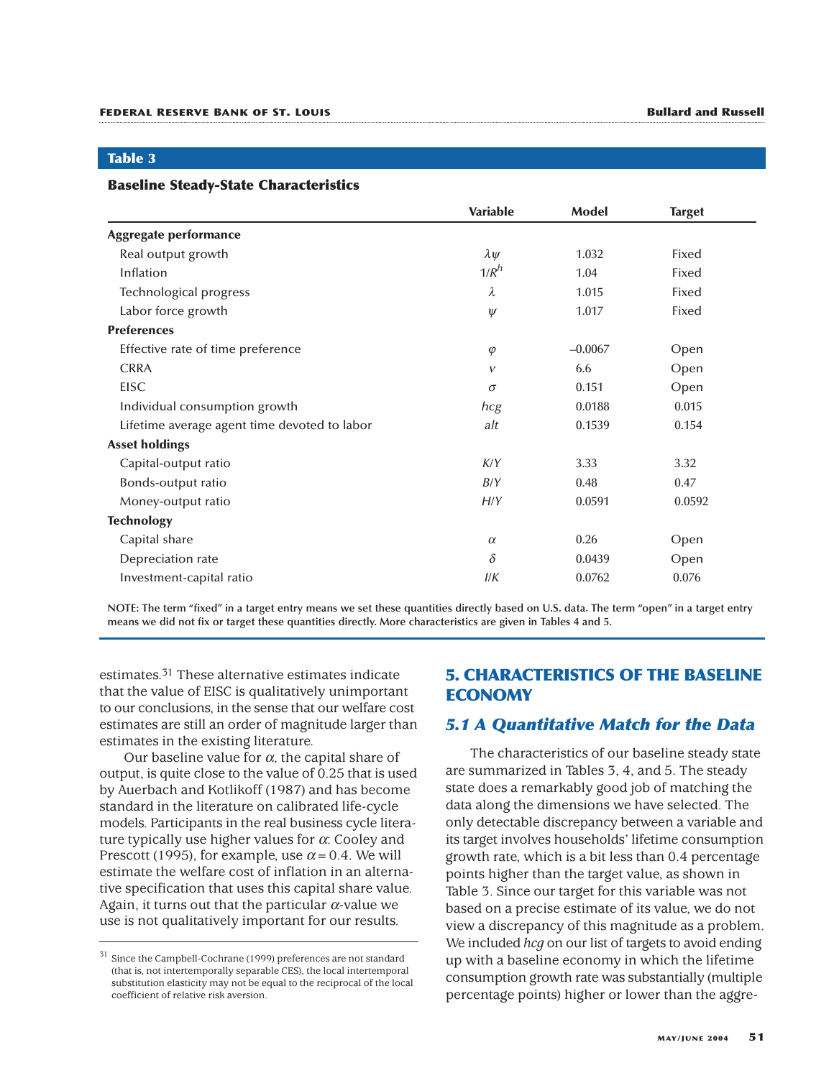#### **Table 3**

#### **Baseline Steady-State Characteristics**

|                                              | <b>Variable</b> | Model     | <b>Target</b> |
|----------------------------------------------|-----------------|-----------|---------------|
| Aggregate performance                        |                 |           |               |
| Real output growth                           | $\lambda \psi$  | 1.032     | Fixed         |
| Inflation                                    | $1/R^h$         | 1.04      | Fixed         |
| Technological progress                       | $\lambda$       | 1.015     | Fixed         |
| Labor force growth                           | $\psi$          | 1.017     | Fixed         |
| <b>Preferences</b>                           |                 |           |               |
| Effective rate of time preference            | $\varphi$       | $-0.0067$ | Open          |
| <b>CRRA</b>                                  | $\mathcal V$    | 6.6       | Open          |
| <b>EISC</b>                                  | $\sigma$        | 0.151     | Open          |
| Individual consumption growth                | hcg             | 0.0188    | 0.015         |
| Lifetime average agent time devoted to labor | alt             | 0.1539    | 0.154         |
| <b>Asset holdings</b>                        |                 |           |               |
| Capital-output ratio                         | K/Y             | 3.33      | 3.32          |
| Bonds-output ratio                           | B/Y             | 0.48      | 0.47          |
| Money-output ratio                           | H/Y             | 0.0591    | 0.0592        |
| <b>Technology</b>                            |                 |           |               |
| Capital share                                | $\alpha$        | 0.26      | Open          |
| Depreciation rate                            | $\delta$        | 0.0439    | Open          |
| Investment-capital ratio                     | I/K             | 0.0762    | 0.076         |

**NOTE: The term "fixed" in a target entry means we set these quantities directly based on U.S. data. The term "open" in a target entry means we did not fix or target these quantities directly. More characteristics are given in Tables 4 and 5.**

estimates.31 These alternative estimates indicate that the value of EISC is qualitatively unimportant to our conclusions, in the sense that our welfare cost estimates are still an order of magnitude larger than estimates in the existing literature.

Our baseline value for  $\alpha$ , the capital share of output, is quite close to the value of 0.25 that is used by Auerbach and Kotlikoff (1987) and has become standard in the literature on calibrated life-cycle models. Participants in the real business cycle literature typically use higher values for  $\alpha$ : Cooley and Prescott (1995), for example, use  $\alpha$  = 0.4. We will estimate the welfare cost of inflation in an alternative specification that uses this capital share value. Again, it turns out that the particular  $\alpha$ -value we use is not qualitatively important for our results.

# **5. CHARACTERISTICS OF THE BASELINE ECONOMY**

# *5.1 A Quantitative Match for the Data*

The characteristics of our baseline steady state are summarized in Tables 3, 4, and 5. The steady state does a remarkably good job of matching the data along the dimensions we have selected. The only detectable discrepancy between a variable and its target involves households' lifetime consumption growth rate, which is a bit less than 0.4 percentage points higher than the target value, as shown in Table 3. Since our target for this variable was not based on a precise estimate of its value, we do not view a discrepancy of this magnitude as a problem. We included *hcg* on our list of targets to avoid ending up with a baseline economy in which the lifetime consumption growth rate was substantially (multiple percentage points) higher or lower than the aggre-

<sup>31</sup> Since the Campbell-Cochrane (1999) preferences are not standard (that is, not intertemporally separable CES), the local intertemporal substitution elasticity may not be equal to the reciprocal of the local coefficient of relative risk aversion.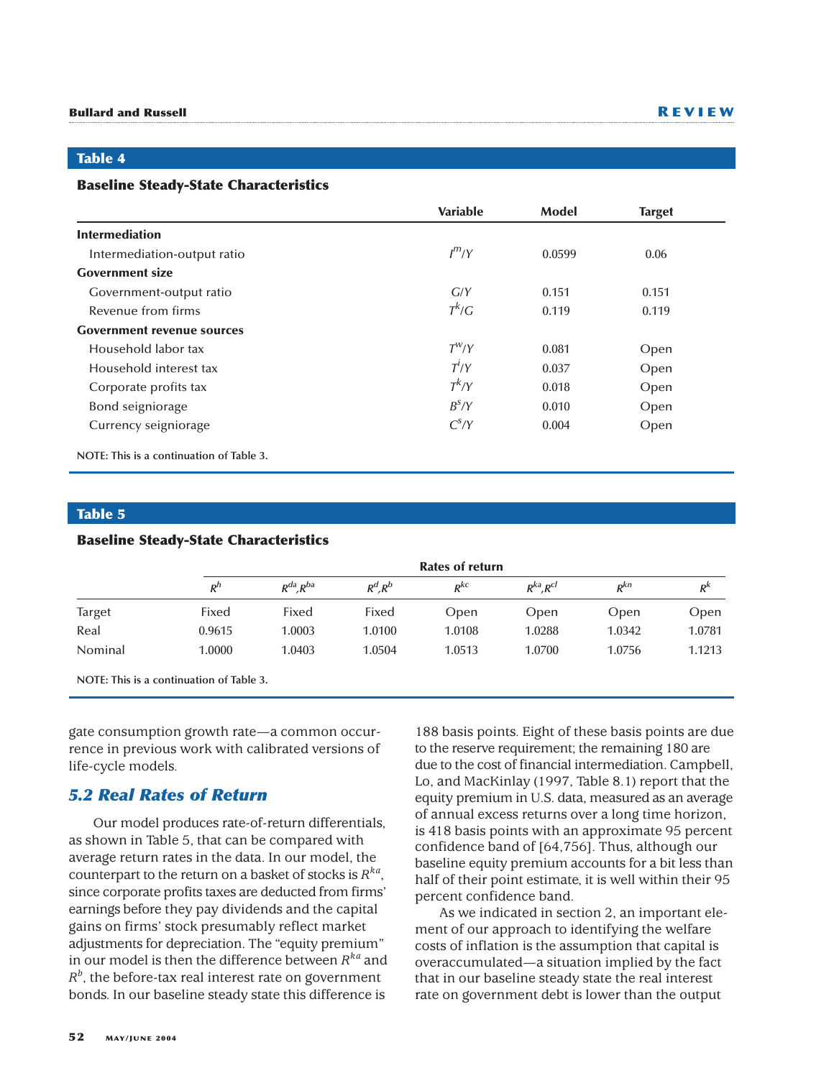# **Table 4**

#### **Baseline Steady-State Characteristics**

|                                          | <b>Variable</b> | Model  | <b>Target</b> |
|------------------------------------------|-----------------|--------|---------------|
| <b>Intermediation</b>                    |                 |        |               |
| Intermediation-output ratio              | $I^{m}/Y$       | 0.0599 | 0.06          |
| <b>Government size</b>                   |                 |        |               |
| Government-output ratio                  | G/Y             | 0.151  | 0.151         |
| Revenue from firms                       | $T^k/G$         | 0.119  | 0.119         |
| <b>Government revenue sources</b>        |                 |        |               |
| Household labor tax                      | $T^{W}/Y$       | 0.081  | Open          |
| Household interest tax                   | $T^i/Y$         | 0.037  | Open          |
| Corporate profits tax                    | $T^k/Y$         | 0.018  | Open          |
| Bond seigniorage                         | $B^S/Y$         | 0.010  | Open          |
| Currency seigniorage                     | $C^S/Y$         | 0.004  | Open          |
| NOTE: This is a continuation of Table 3. |                 |        |               |

# **Table 5**

#### **Baseline Steady-State Characteristics**

|               | <b>Rates of return</b> |                |            |          |                     |          |         |
|---------------|------------------------|----------------|------------|----------|---------------------|----------|---------|
|               | $R^h$                  | $R^{da}R^{ba}$ | $R^d, R^b$ | $R^{kc}$ | $R^{ka}$ , $R^{cl}$ | $R^{kn}$ | $R^{k}$ |
| <b>Target</b> | Fixed                  | Fixed          | Fixed      | Open     | Open                | Open     | Open    |
| Real          | 0.9615                 | 1.0003         | 1.0100     | 1.0108   | 1.0288              | 1.0342   | 1.0781  |
| Nominal       | 1.0000                 | 1.0403         | 1.0504     | 1.0513   | 1.0700              | 1.0756   | 1.1213  |

**NOTE: This is a continuation of Table 3.**

gate consumption growth rate—a common occurrence in previous work with calibrated versions of life-cycle models.

# *5.2 Real Rates of Return*

Our model produces rate-of-return differentials, as shown in Table 5, that can be compared with average return rates in the data. In our model, the counterpart to the return on a basket of stocks is  $R^{ka}$ , since corporate profits taxes are deducted from firms' earnings before they pay dividends and the capital gains on firms' stock presumably reflect market adjustments for depreciation. The "equity premium" in our model is then the difference between *Rka* and  $R^b$ , the before-tax real interest rate on government bonds. In our baseline steady state this difference is

188 basis points. Eight of these basis points are due to the reserve requirement; the remaining 180 are due to the cost of financial intermediation. Campbell, Lo, and MacKinlay (1997, Table 8.1) report that the equity premium in U.S. data, measured as an average of annual excess returns over a long time horizon, is 418 basis points with an approximate 95 percent confidence band of [64,756]. Thus, although our baseline equity premium accounts for a bit less than half of their point estimate, it is well within their 95 percent confidence band.

As we indicated in section 2, an important element of our approach to identifying the welfare costs of inflation is the assumption that capital is overaccumulated—a situation implied by the fact that in our baseline steady state the real interest rate on government debt is lower than the output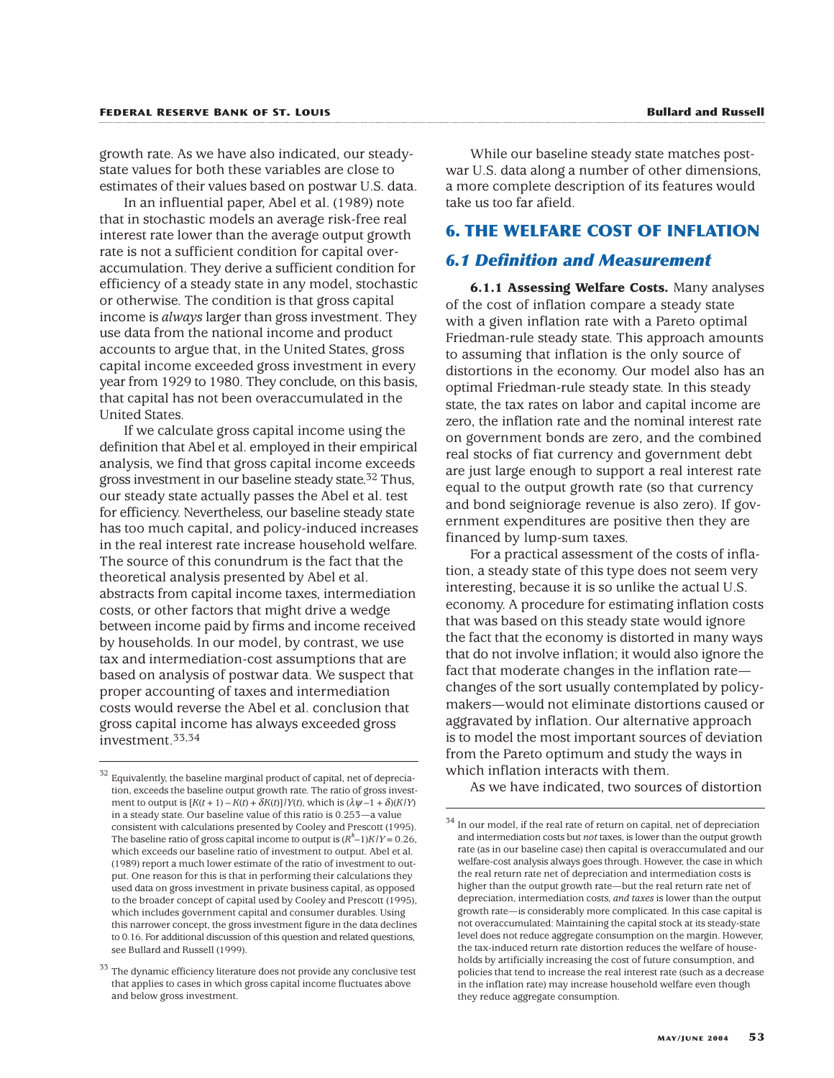growth rate. As we have also indicated, our steadystate values for both these variables are close to estimates of their values based on postwar U.S. data.

In an influential paper, Abel et al. (1989) note that in stochastic models an average risk-free real interest rate lower than the average output growth rate is not a sufficient condition for capital overaccumulation. They derive a sufficient condition for efficiency of a steady state in any model, stochastic or otherwise. The condition is that gross capital income is *always* larger than gross investment. They use data from the national income and product accounts to argue that, in the United States, gross capital income exceeded gross investment in every year from 1929 to 1980. They conclude, on this basis, that capital has not been overaccumulated in the United States.

If we calculate gross capital income using the definition that Abel et al. employed in their empirical analysis, we find that gross capital income exceeds gross investment in our baseline steady state.<sup>32</sup> Thus, our steady state actually passes the Abel et al. test for efficiency. Nevertheless, our baseline steady state has too much capital, and policy-induced increases in the real interest rate increase household welfare. The source of this conundrum is the fact that the theoretical analysis presented by Abel et al. abstracts from capital income taxes, intermediation costs, or other factors that might drive a wedge between income paid by firms and income received by households. In our model, by contrast, we use tax and intermediation-cost assumptions that are based on analysis of postwar data. We suspect that proper accounting of taxes and intermediation costs would reverse the Abel et al. conclusion that gross capital income has always exceeded gross investment.33,34

While our baseline steady state matches postwar U.S. data along a number of other dimensions, a more complete description of its features would take us too far afield.

#### **6. THE WELFARE COST OF INFLATION**

#### *6.1 Definition and Measurement*

**6.1.1 Assessing Welfare Costs.** Many analyses of the cost of inflation compare a steady state with a given inflation rate with a Pareto optimal Friedman-rule steady state. This approach amounts to assuming that inflation is the only source of distortions in the economy. Our model also has an optimal Friedman-rule steady state. In this steady state, the tax rates on labor and capital income are zero, the inflation rate and the nominal interest rate on government bonds are zero, and the combined real stocks of fiat currency and government debt are just large enough to support a real interest rate equal to the output growth rate (so that currency and bond seigniorage revenue is also zero). If government expenditures are positive then they are financed by lump-sum taxes.

For a practical assessment of the costs of inflation, a steady state of this type does not seem very interesting, because it is so unlike the actual U.S. economy. A procedure for estimating inflation costs that was based on this steady state would ignore the fact that the economy is distorted in many ways that do not involve inflation; it would also ignore the fact that moderate changes in the inflation rate changes of the sort usually contemplated by policymakers—would not eliminate distortions caused or aggravated by inflation. Our alternative approach is to model the most important sources of deviation from the Pareto optimum and study the ways in which inflation interacts with them.

As we have indicated, two sources of distortion

Equivalently, the baseline marginal product of capital, net of depreciation, exceeds the baseline output growth rate. The ratio of gross investment to output is  $[K(t + 1) - K(t) + \delta K(t)]/Y(t)$ , which is  $(\lambda \psi - 1 + \delta)(K/Y)$ in a steady state. Our baseline value of this ratio is 0.253—a value consistent with calculations presented by Cooley and Prescott (1995). The baseline ratio of gross capital income to output is  $(R<sup>k</sup>-1)K/Y = 0.26$ , which exceeds our baseline ratio of investment to output. Abel et al. (1989) report a much lower estimate of the ratio of investment to output. One reason for this is that in performing their calculations they used data on gross investment in private business capital, as opposed to the broader concept of capital used by Cooley and Prescott (1995), which includes government capital and consumer durables. Using this narrower concept, the gross investment figure in the data declines to 0.16. For additional discussion of this question and related questions, see Bullard and Russell (1999).

 $33$  The dynamic efficiency literature does not provide any conclusive test that applies to cases in which gross capital income fluctuates above and below gross investment.

 $^{34}$  In our model, if the real rate of return on capital, net of depreciation and intermediation costs but *not* taxes, is lower than the output growth rate (as in our baseline case) then capital is overaccumulated and our welfare-cost analysis always goes through. However, the case in which the real return rate net of depreciation and intermediation costs is higher than the output growth rate—but the real return rate net of depreciation, intermediation costs, *and taxes* is lower than the output growth rate—is considerably more complicated. In this case capital is not overaccumulated: Maintaining the capital stock at its steady-state level does not reduce aggregate consumption on the margin. However, the tax-induced return rate distortion reduces the welfare of households by artificially increasing the cost of future consumption, and policies that tend to increase the real interest rate (such as a decrease in the inflation rate) may increase household welfare even though they reduce aggregate consumption.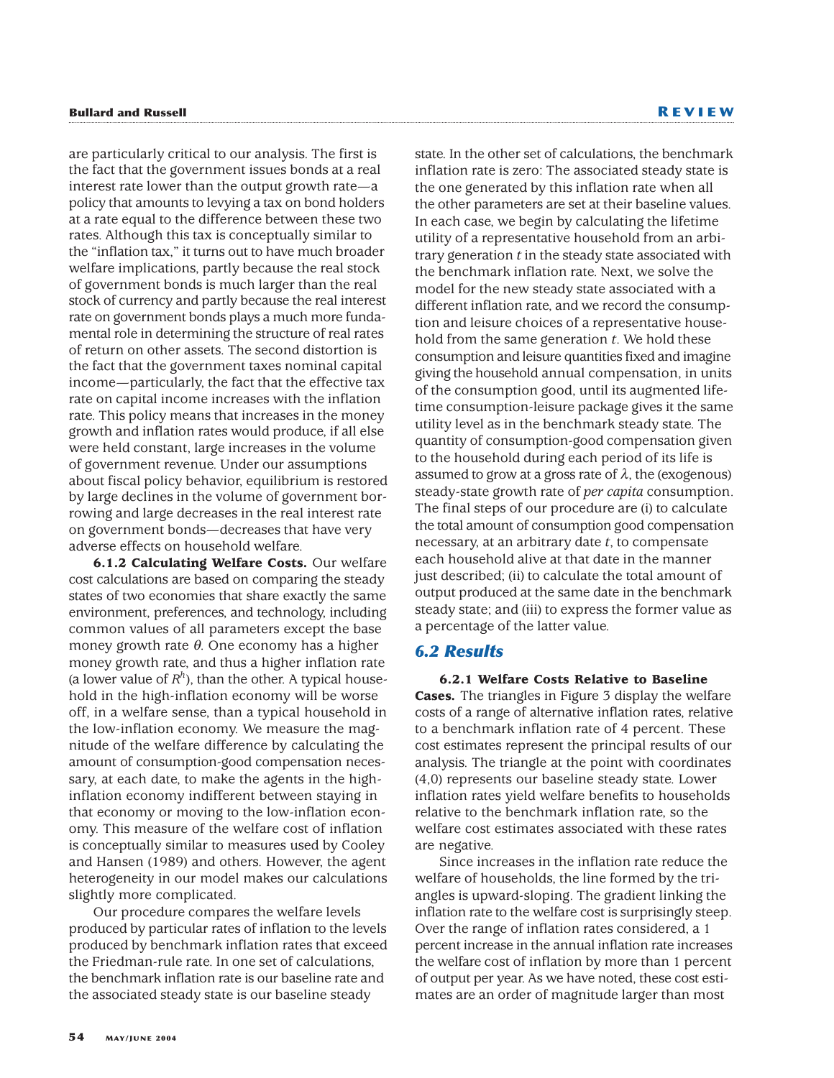are particularly critical to our analysis. The first is the fact that the government issues bonds at a real interest rate lower than the output growth rate—a policy that amounts to levying a tax on bond holders at a rate equal to the difference between these two rates. Although this tax is conceptually similar to the "inflation tax," it turns out to have much broader welfare implications, partly because the real stock of government bonds is much larger than the real stock of currency and partly because the real interest rate on government bonds plays a much more fundamental role in determining the structure of real rates of return on other assets. The second distortion is the fact that the government taxes nominal capital income—particularly, the fact that the effective tax rate on capital income increases with the inflation rate. This policy means that increases in the money growth and inflation rates would produce, if all else were held constant, large increases in the volume of government revenue. Under our assumptions about fiscal policy behavior, equilibrium is restored by large declines in the volume of government borrowing and large decreases in the real interest rate on government bonds—decreases that have very adverse effects on household welfare.

**6.1.2 Calculating Welfare Costs.** Our welfare cost calculations are based on comparing the steady states of two economies that share exactly the same environment, preferences, and technology, including common values of all parameters except the base money growth rate  $\theta$ . One economy has a higher money growth rate, and thus a higher inflation rate (a lower value of  $R<sup>h</sup>$ ), than the other. A typical household in the high-inflation economy will be worse off, in a welfare sense, than a typical household in the low-inflation economy. We measure the magnitude of the welfare difference by calculating the amount of consumption-good compensation necessary, at each date, to make the agents in the highinflation economy indifferent between staying in that economy or moving to the low-inflation economy. This measure of the welfare cost of inflation is conceptually similar to measures used by Cooley and Hansen (1989) and others. However, the agent heterogeneity in our model makes our calculations slightly more complicated.

Our procedure compares the welfare levels produced by particular rates of inflation to the levels produced by benchmark inflation rates that exceed the Friedman-rule rate. In one set of calculations, the benchmark inflation rate is our baseline rate and the associated steady state is our baseline steady

state. In the other set of calculations, the benchmark inflation rate is zero: The associated steady state is the one generated by this inflation rate when all the other parameters are set at their baseline values. In each case, we begin by calculating the lifetime utility of a representative household from an arbitrary generation *t* in the steady state associated with the benchmark inflation rate. Next, we solve the model for the new steady state associated with a different inflation rate, and we record the consumption and leisure choices of a representative household from the same generation *t*. We hold these consumption and leisure quantities fixed and imagine giving the household annual compensation, in units of the consumption good, until its augmented lifetime consumption-leisure package gives it the same utility level as in the benchmark steady state. The quantity of consumption-good compensation given to the household during each period of its life is assumed to grow at a gross rate of  $\lambda$ , the (exogenous) steady-state growth rate of *per capita* consumption. The final steps of our procedure are (i) to calculate the total amount of consumption good compensation necessary, at an arbitrary date *t*, to compensate each household alive at that date in the manner just described; (ii) to calculate the total amount of output produced at the same date in the benchmark steady state; and (iii) to express the former value as a percentage of the latter value.

# *6.2 Results*

**6.2.1 Welfare Costs Relative to Baseline Cases.** The triangles in Figure 3 display the welfare costs of a range of alternative inflation rates, relative to a benchmark inflation rate of 4 percent. These cost estimates represent the principal results of our analysis. The triangle at the point with coordinates (4,0) represents our baseline steady state. Lower inflation rates yield welfare benefits to households relative to the benchmark inflation rate, so the welfare cost estimates associated with these rates are negative.

Since increases in the inflation rate reduce the welfare of households, the line formed by the triangles is upward-sloping. The gradient linking the inflation rate to the welfare cost is surprisingly steep. Over the range of inflation rates considered, a 1 percent increase in the annual inflation rate increases the welfare cost of inflation by more than 1 percent of output per year. As we have noted, these cost estimates are an order of magnitude larger than most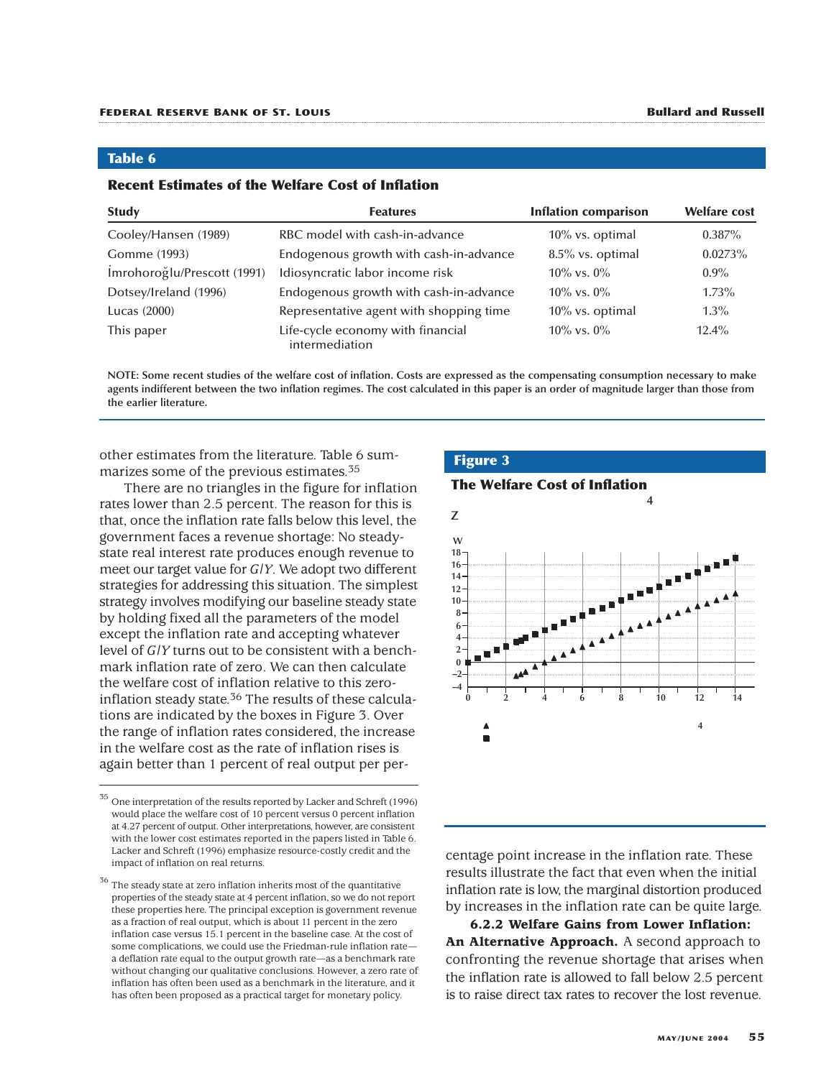#### **Table 6**

#### **Recent Estimates of the Welfare Cost of Inflation**

| <b>Study</b>                | <b>Features</b>                                     | <b>Inflation comparison</b> | <b>Welfare cost</b> |
|-----------------------------|-----------------------------------------------------|-----------------------------|---------------------|
| Cooley/Hansen (1989)        | RBC model with cash-in-advance                      | 10% vs. optimal             | $0.387\%$           |
| Gomme (1993)                | Endogenous growth with cash-in-advance              | 8.5% vs. optimal            | $0.0273\%$          |
| Imrohoroğlu/Prescott (1991) | Idiosyncratic labor income risk                     | $10\%$ vs. $0\%$            | $0.9\%$             |
| Dotsey/Ireland (1996)       | Endogenous growth with cash-in-advance              | $10\%$ vs. $0\%$            | $1.73\%$            |
| Lucas (2000)                | Representative agent with shopping time             | 10% vs. optimal             | $1.3\%$             |
| This paper                  | Life-cycle economy with financial<br>intermediation | $10\%$ vs. $0\%$            | $12.4\%$            |

**NOTE: Some recent studies of the welfare cost of inflation. Costs are expressed as the compensating consumption necessary to make agents indifferent between the two inflation regimes. The cost calculated in this paper is an order of magnitude larger than those from the earlier literature.**

other estimates from the literature. Table 6 summarizes some of the previous estimates.<sup>35</sup>

There are no triangles in the figure for inflation rates lower than 2.5 percent. The reason for this is that, once the inflation rate falls below this level, the government faces a revenue shortage: No steadystate real interest rate produces enough revenue to meet our target value for *G*/*Y*. We adopt two different strategies for addressing this situation. The simplest strategy involves modifying our baseline steady state by holding fixed all the parameters of the model except the inflation rate and accepting whatever level of *G*/*Y* turns out to be consistent with a benchmark inflation rate of zero. We can then calculate the welfare cost of inflation relative to this zeroinflation steady state.<sup>36</sup> The results of these calculations are indicated by the boxes in Figure 3. Over the range of inflation rates considered, the increase in the welfare cost as the rate of inflation rises is again better than 1 percent of real output per per-

 $36$  The steady state at zero inflation inherits most of the quantitative properties of the steady state at 4 percent inflation, so we do not report these properties here. The principal exception is government revenue as a fraction of real output, which is about 11 percent in the zero inflation case versus 15.1 percent in the baseline case. At the cost of some complications, we could use the Friedman-rule inflation rate a deflation rate equal to the output growth rate—as a benchmark rate without changing our qualitative conclusions. However, a zero rate of inflation has often been used as a benchmark in the literature, and it has often been proposed as a practical target for monetary policy.



centage point increase in the inflation rate. These results illustrate the fact that even when the initial inflation rate is low, the marginal distortion produced by increases in the inflation rate can be quite large.

**6.2.2 Welfare Gains from Lower Inflation: An Alternative Approach.** A second approach to confronting the revenue shortage that arises when the inflation rate is allowed to fall below 2.5 percent is to raise direct tax rates to recover the lost revenue.

 $^{35}$  One interpretation of the results reported by Lacker and Schreft (1996) would place the welfare cost of 10 percent versus 0 percent inflation at 4.27 percent of output. Other interpretations, however, are consistent with the lower cost estimates reported in the papers listed in Table 6. Lacker and Schreft (1996) emphasize resource-costly credit and the impact of inflation on real returns.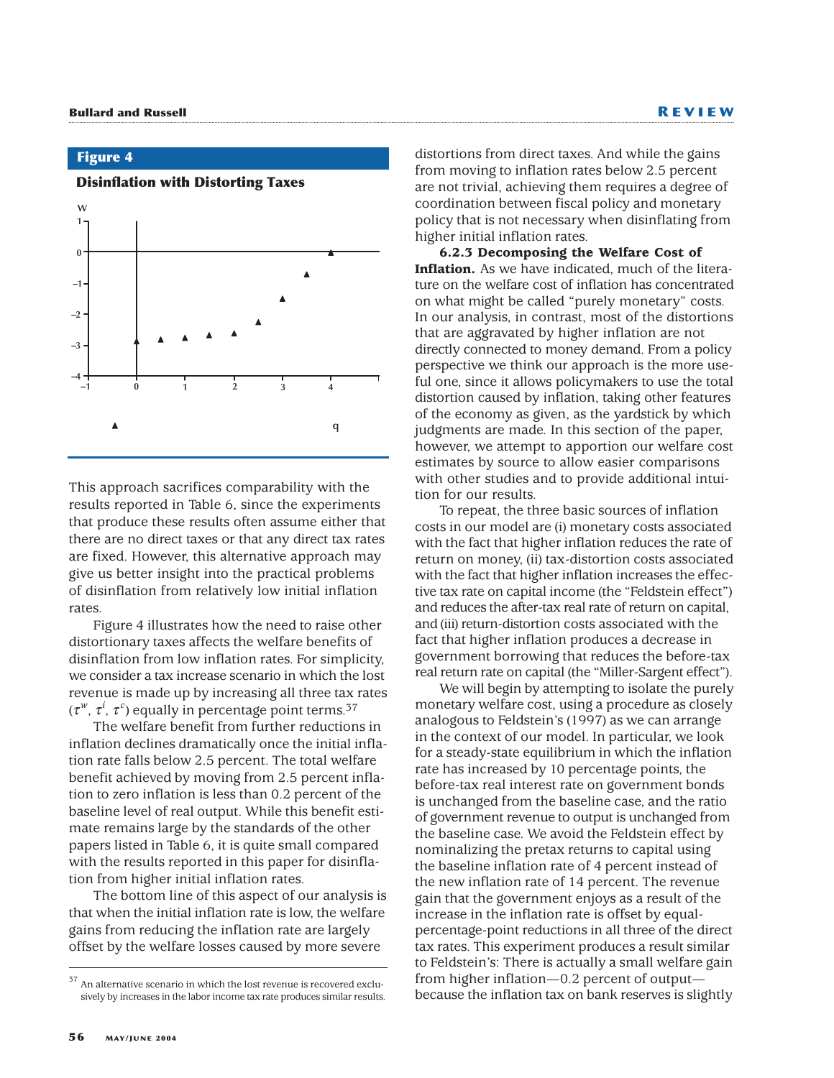# **Figure 4**



**Disinflation with Distorting Taxes**

This approach sacrifices comparability with the results reported in Table 6, since the experiments that produce these results often assume either that there are no direct taxes or that any direct tax rates are fixed. However, this alternative approach may give us better insight into the practical problems of disinflation from relatively low initial inflation rates.

Figure 4 illustrates how the need to raise other distortionary taxes affects the welfare benefits of disinflation from low inflation rates. For simplicity, we consider a tax increase scenario in which the lost revenue is made up by increasing all three tax rates (τ<sup>w</sup>, τ<sup>*i*</sup>, τ<sup>*c*</sup>) equally in percentage point terms.<sup>37</sup>

The welfare benefit from further reductions in inflation declines dramatically once the initial inflation rate falls below 2.5 percent. The total welfare benefit achieved by moving from 2.5 percent inflation to zero inflation is less than 0.2 percent of the baseline level of real output. While this benefit estimate remains large by the standards of the other papers listed in Table 6, it is quite small compared with the results reported in this paper for disinflation from higher initial inflation rates.

The bottom line of this aspect of our analysis is that when the initial inflation rate is low, the welfare gains from reducing the inflation rate are largely offset by the welfare losses caused by more severe

distortions from direct taxes. And while the gains from moving to inflation rates below 2.5 percent are not trivial, achieving them requires a degree of coordination between fiscal policy and monetary policy that is not necessary when disinflating from higher initial inflation rates.

**6.2.3 Decomposing the Welfare Cost of Inflation.** As we have indicated, much of the literature on the welfare cost of inflation has concentrated on what might be called "purely monetary" costs. In our analysis, in contrast, most of the distortions that are aggravated by higher inflation are not directly connected to money demand. From a policy perspective we think our approach is the more useful one, since it allows policymakers to use the total distortion caused by inflation, taking other features of the economy as given, as the yardstick by which judgments are made. In this section of the paper, however, we attempt to apportion our welfare cost estimates by source to allow easier comparisons with other studies and to provide additional intuition for our results.

To repeat, the three basic sources of inflation costs in our model are (i) monetary costs associated with the fact that higher inflation reduces the rate of return on money, (ii) tax-distortion costs associated with the fact that higher inflation increases the effective tax rate on capital income (the "Feldstein effect") and reduces the after-tax real rate of return on capital, and (iii) return-distortion costs associated with the fact that higher inflation produces a decrease in government borrowing that reduces the before-tax real return rate on capital (the "Miller-Sargent effect").

We will begin by attempting to isolate the purely monetary welfare cost, using a procedure as closely analogous to Feldstein's (1997) as we can arrange in the context of our model. In particular, we look for a steady-state equilibrium in which the inflation rate has increased by 10 percentage points, the before-tax real interest rate on government bonds is unchanged from the baseline case, and the ratio of government revenue to output is unchanged from the baseline case. We avoid the Feldstein effect by nominalizing the pretax returns to capital using the baseline inflation rate of 4 percent instead of the new inflation rate of 14 percent. The revenue gain that the government enjoys as a result of the increase in the inflation rate is offset by equalpercentage-point reductions in all three of the direct tax rates. This experiment produces a result similar to Feldstein's: There is actually a small welfare gain from higher inflation—0.2 percent of output because the inflation tax on bank reserves is slightly

<sup>37</sup> An alternative scenario in which the lost revenue is recovered exclusively by increases in the labor income tax rate produces similar results.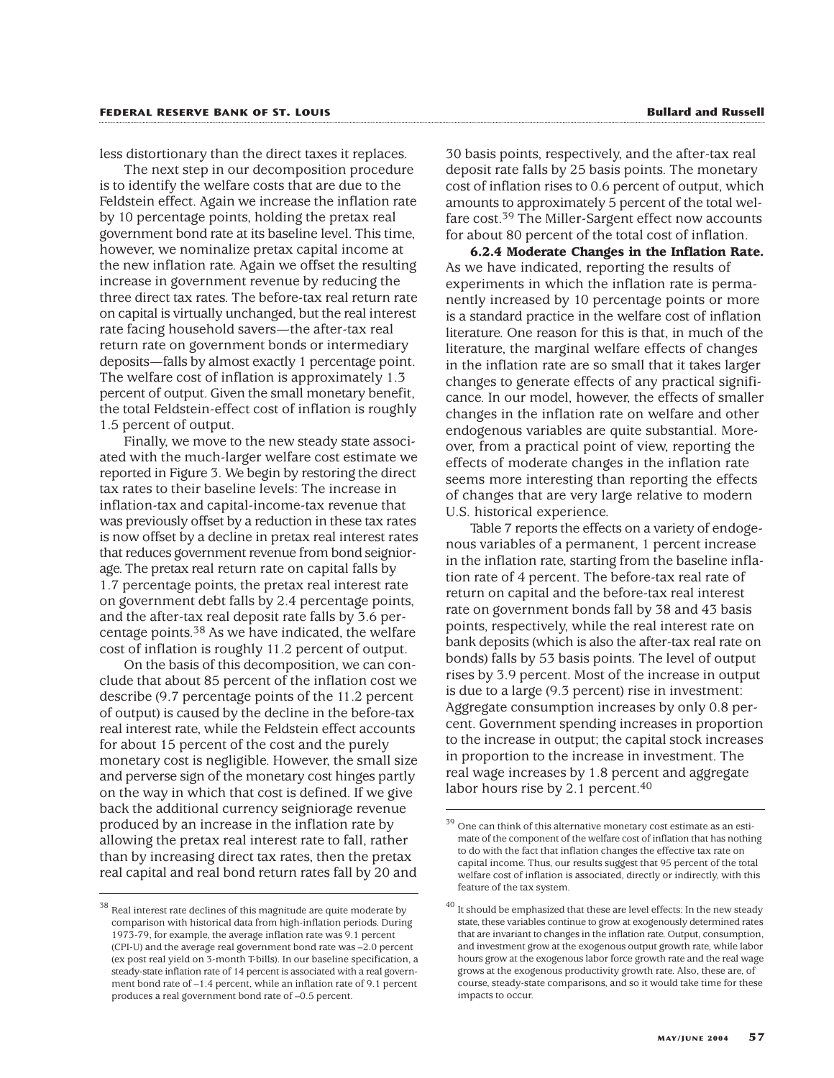less distortionary than the direct taxes it replaces.

The next step in our decomposition procedure is to identify the welfare costs that are due to the Feldstein effect. Again we increase the inflation rate by 10 percentage points, holding the pretax real government bond rate at its baseline level. This time, however, we nominalize pretax capital income at the new inflation rate. Again we offset the resulting increase in government revenue by reducing the three direct tax rates. The before-tax real return rate on capital is virtually unchanged, but the real interest rate facing household savers—the after-tax real return rate on government bonds or intermediary deposits—falls by almost exactly 1 percentage point. The welfare cost of inflation is approximately 1.3 percent of output. Given the small monetary benefit, the total Feldstein-effect cost of inflation is roughly 1.5 percent of output.

Finally, we move to the new steady state associated with the much-larger welfare cost estimate we reported in Figure 3. We begin by restoring the direct tax rates to their baseline levels: The increase in inflation-tax and capital-income-tax revenue that was previously offset by a reduction in these tax rates is now offset by a decline in pretax real interest rates that reduces government revenue from bond seigniorage. The pretax real return rate on capital falls by 1.7 percentage points, the pretax real interest rate on government debt falls by 2.4 percentage points, and the after-tax real deposit rate falls by 3.6 percentage points.38 As we have indicated, the welfare cost of inflation is roughly 11.2 percent of output.

On the basis of this decomposition, we can conclude that about 85 percent of the inflation cost we describe (9.7 percentage points of the 11.2 percent of output) is caused by the decline in the before-tax real interest rate, while the Feldstein effect accounts for about 15 percent of the cost and the purely monetary cost is negligible. However, the small size and perverse sign of the monetary cost hinges partly on the way in which that cost is defined. If we give back the additional currency seigniorage revenue produced by an increase in the inflation rate by allowing the pretax real interest rate to fall, rather than by increasing direct tax rates, then the pretax real capital and real bond return rates fall by 20 and

30 basis points, respectively, and the after-tax real deposit rate falls by 25 basis points. The monetary cost of inflation rises to 0.6 percent of output, which amounts to approximately 5 percent of the total welfare cost.<sup>39</sup> The Miller-Sargent effect now accounts for about 80 percent of the total cost of inflation.

**6.2.4 Moderate Changes in the Inflation Rate.** As we have indicated, reporting the results of experiments in which the inflation rate is permanently increased by 10 percentage points or more is a standard practice in the welfare cost of inflation literature. One reason for this is that, in much of the literature, the marginal welfare effects of changes in the inflation rate are so small that it takes larger changes to generate effects of any practical significance. In our model, however, the effects of smaller changes in the inflation rate on welfare and other endogenous variables are quite substantial. Moreover, from a practical point of view, reporting the effects of moderate changes in the inflation rate seems more interesting than reporting the effects of changes that are very large relative to modern U.S. historical experience.

Table 7 reports the effects on a variety of endogenous variables of a permanent, 1 percent increase in the inflation rate, starting from the baseline inflation rate of 4 percent. The before-tax real rate of return on capital and the before-tax real interest rate on government bonds fall by 38 and 43 basis points, respectively, while the real interest rate on bank deposits (which is also the after-tax real rate on bonds) falls by 53 basis points. The level of output rises by 3.9 percent. Most of the increase in output is due to a large (9.3 percent) rise in investment: Aggregate consumption increases by only 0.8 percent. Government spending increases in proportion to the increase in output; the capital stock increases in proportion to the increase in investment. The real wage increases by 1.8 percent and aggregate labor hours rise by 2.1 percent.<sup>40</sup>

 $38$  Real interest rate declines of this magnitude are quite moderate by comparison with historical data from high-inflation periods. During 1973-79, for example, the average inflation rate was 9.1 percent (CPI-U) and the average real government bond rate was –2.0 percent (ex post real yield on 3-month T-bills). In our baseline specification, a steady-state inflation rate of 14 percent is associated with a real government bond rate of –1.4 percent, while an inflation rate of 9.1 percent produces a real government bond rate of –0.5 percent.

 $39$  One can think of this alternative monetary cost estimate as an estimate of the component of the welfare cost of inflation that has nothing to do with the fact that inflation changes the effective tax rate on capital income. Thus, our results suggest that 95 percent of the total welfare cost of inflation is associated, directly or indirectly, with this feature of the tax system.

 $^{40}$  It should be emphasized that these are level effects: In the new steady state, these variables continue to grow at exogenously determined rates that are invariant to changes in the inflation rate. Output, consumption, and investment grow at the exogenous output growth rate, while labor hours grow at the exogenous labor force growth rate and the real wage grows at the exogenous productivity growth rate. Also, these are, of course, steady-state comparisons, and so it would take time for these impacts to occur.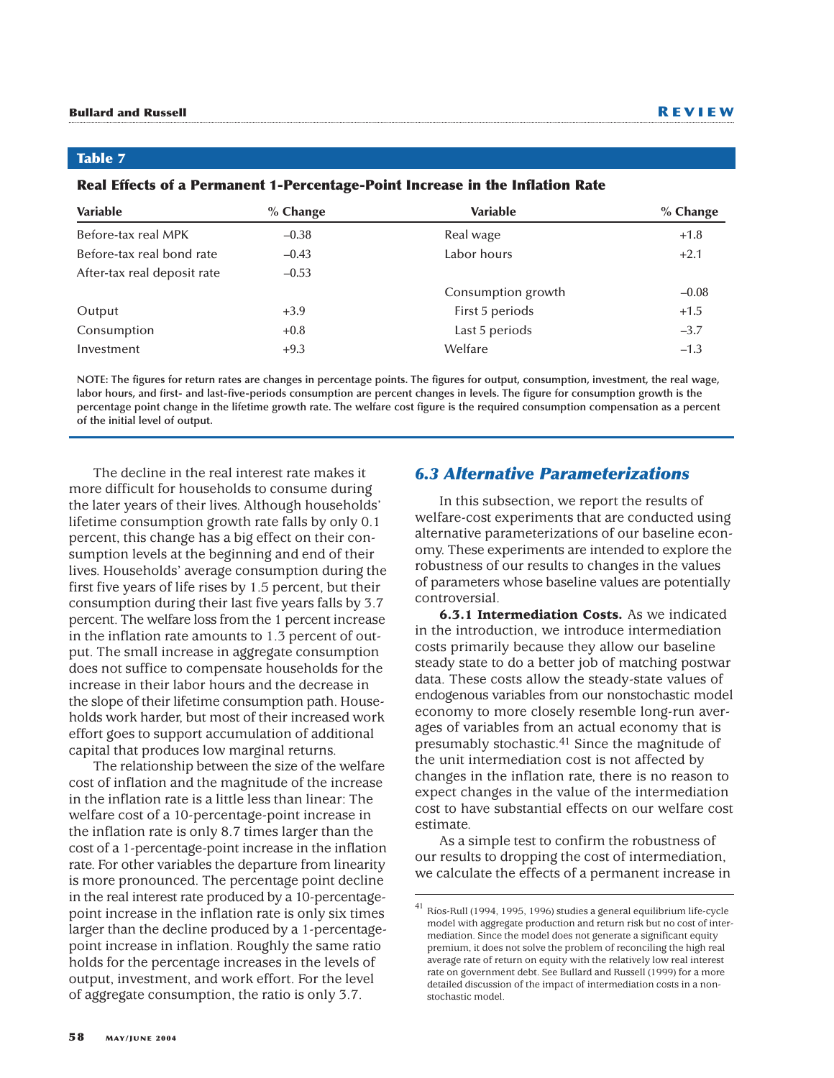**Table 7**

| <b>Variable</b>             | $%$ Change | Variable           | $%$ Change |
|-----------------------------|------------|--------------------|------------|
| Before-tax real MPK         | $-0.38$    | Real wage          | $+1.8$     |
| Before-tax real bond rate   | $-0.43$    | Labor hours        | $+2.1$     |
| After-tax real deposit rate | $-0.53$    |                    |            |
|                             |            | Consumption growth | $-0.08$    |
| Output                      | $+3.9$     | First 5 periods    | $+1.5$     |
| Consumption                 | $+0.8$     | Last 5 periods     | $-3.7$     |
| Investment                  | $+9.3$     | Welfare            | $-1.3$     |
|                             |            |                    |            |

#### **Real Effects of a Permanent 1-Percentage-Point Increase in the Inflation Rate**

**NOTE: The figures for return rates are changes in percentage points. The figures for output, consumption, investment, the real wage, labor hours, and first- and last-five-periods consumption are percent changes in levels. The figure for consumption growth is the percentage point change in the lifetime growth rate. The welfare cost figure is the required consumption compensation as a percent of the initial level of output.**

The decline in the real interest rate makes it more difficult for households to consume during the later years of their lives. Although households' lifetime consumption growth rate falls by only 0.1 percent, this change has a big effect on their consumption levels at the beginning and end of their lives. Households' average consumption during the first five years of life rises by 1.5 percent, but their consumption during their last five years falls by 3.7 percent. The welfare loss from the 1 percent increase in the inflation rate amounts to 1.3 percent of output. The small increase in aggregate consumption does not suffice to compensate households for the increase in their labor hours and the decrease in the slope of their lifetime consumption path. Households work harder, but most of their increased work effort goes to support accumulation of additional capital that produces low marginal returns.

The relationship between the size of the welfare cost of inflation and the magnitude of the increase in the inflation rate is a little less than linear: The welfare cost of a 10-percentage-point increase in the inflation rate is only 8.7 times larger than the cost of a 1-percentage-point increase in the inflation rate. For other variables the departure from linearity is more pronounced. The percentage point decline in the real interest rate produced by a 10-percentagepoint increase in the inflation rate is only six times larger than the decline produced by a 1-percentagepoint increase in inflation. Roughly the same ratio holds for the percentage increases in the levels of output, investment, and work effort. For the level of aggregate consumption, the ratio is only 3.7.

# *6.3 Alternative Parameterizations*

In this subsection, we report the results of welfare-cost experiments that are conducted using alternative parameterizations of our baseline economy. These experiments are intended to explore the robustness of our results to changes in the values of parameters whose baseline values are potentially controversial.

**6.3.1 Intermediation Costs.** As we indicated in the introduction, we introduce intermediation costs primarily because they allow our baseline steady state to do a better job of matching postwar data. These costs allow the steady-state values of endogenous variables from our nonstochastic model economy to more closely resemble long-run averages of variables from an actual economy that is presumably stochastic.41 Since the magnitude of the unit intermediation cost is not affected by changes in the inflation rate, there is no reason to expect changes in the value of the intermediation cost to have substantial effects on our welfare cost estimate.

As a simple test to confirm the robustness of our results to dropping the cost of intermediation, we calculate the effects of a permanent increase in

<sup>41</sup> Ríos-Rull (1994, 1995, 1996) studies a general equilibrium life-cycle model with aggregate production and return risk but no cost of intermediation. Since the model does not generate a significant equity premium, it does not solve the problem of reconciling the high real average rate of return on equity with the relatively low real interest rate on government debt. See Bullard and Russell (1999) for a more detailed discussion of the impact of intermediation costs in a nonstochastic model.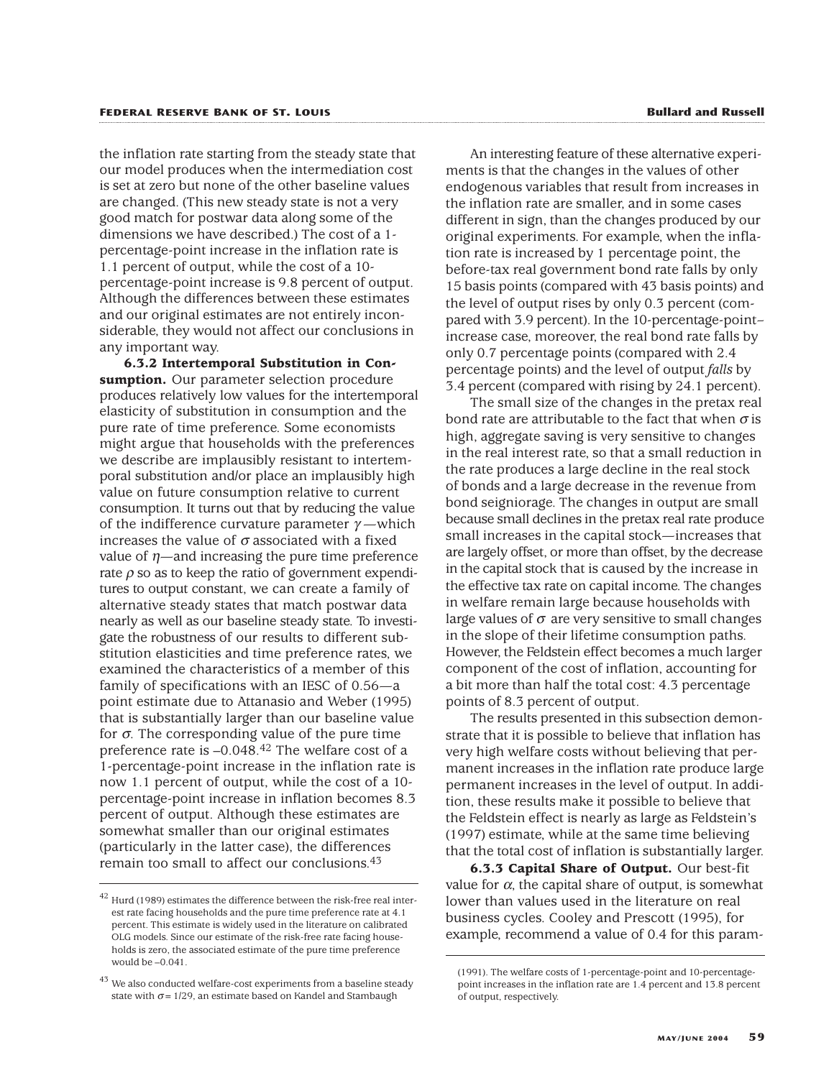the inflation rate starting from the steady state that our model produces when the intermediation cost is set at zero but none of the other baseline values are changed. (This new steady state is not a very good match for postwar data along some of the dimensions we have described.) The cost of a 1 percentage-point increase in the inflation rate is 1.1 percent of output, while the cost of a 10 percentage-point increase is 9.8 percent of output. Although the differences between these estimates and our original estimates are not entirely inconsiderable, they would not affect our conclusions in any important way.

**6.3.2 Intertemporal Substitution in Consumption.** Our parameter selection procedure produces relatively low values for the intertemporal elasticity of substitution in consumption and the pure rate of time preference. Some economists might argue that households with the preferences we describe are implausibly resistant to intertemporal substitution and/or place an implausibly high value on future consumption relative to current consumption. It turns out that by reducing the value of the indifference curvature parameter  $\gamma$  —which increases the value of  $\sigma$  associated with a fixed value of  $\eta$ —and increasing the pure time preference rate  $\rho$  so as to keep the ratio of government expenditures to output constant, we can create a family of alternative steady states that match postwar data nearly as well as our baseline steady state. To investigate the robustness of our results to different substitution elasticities and time preference rates, we examined the characteristics of a member of this family of specifications with an IESC of 0.56—a point estimate due to Attanasio and Weber (1995) that is substantially larger than our baseline value for  $\sigma$ . The corresponding value of the pure time preference rate is –0.048.42 The welfare cost of a 1-percentage-point increase in the inflation rate is now 1.1 percent of output, while the cost of a 10 percentage-point increase in inflation becomes 8.3 percent of output. Although these estimates are somewhat smaller than our original estimates (particularly in the latter case), the differences remain too small to affect our conclusions.43

An interesting feature of these alternative experiments is that the changes in the values of other endogenous variables that result from increases in the inflation rate are smaller, and in some cases different in sign, than the changes produced by our original experiments. For example, when the inflation rate is increased by 1 percentage point, the before-tax real government bond rate falls by only 15 basis points (compared with 43 basis points) and the level of output rises by only 0.3 percent (compared with 3.9 percent). In the 10-percentage-point– increase case, moreover, the real bond rate falls by only 0.7 percentage points (compared with 2.4 percentage points) and the level of output *falls* by 3.4 percent (compared with rising by 24.1 percent).

The small size of the changes in the pretax real bond rate are attributable to the fact that when  $\sigma$  is high, aggregate saving is very sensitive to changes in the real interest rate, so that a small reduction in the rate produces a large decline in the real stock of bonds and a large decrease in the revenue from bond seigniorage. The changes in output are small because small declines in the pretax real rate produce small increases in the capital stock—increases that are largely offset, or more than offset, by the decrease in the capital stock that is caused by the increase in the effective tax rate on capital income. The changes in welfare remain large because households with large values of  $\sigma$  are very sensitive to small changes in the slope of their lifetime consumption paths. However, the Feldstein effect becomes a much larger component of the cost of inflation, accounting for a bit more than half the total cost: 4.3 percentage points of 8.3 percent of output.

The results presented in this subsection demonstrate that it is possible to believe that inflation has very high welfare costs without believing that permanent increases in the inflation rate produce large permanent increases in the level of output. In addition, these results make it possible to believe that the Feldstein effect is nearly as large as Feldstein's (1997) estimate, while at the same time believing that the total cost of inflation is substantially larger.

**6.3.3 Capital Share of Output.** Our best-fit value for α, the capital share of output, is somewhat lower than values used in the literature on real business cycles. Cooley and Prescott (1995), for example, recommend a value of 0.4 for this param-

<sup>42</sup> Hurd (1989) estimates the difference between the risk-free real interest rate facing households and the pure time preference rate at 4.1 percent. This estimate is widely used in the literature on calibrated OLG models. Since our estimate of the risk-free rate facing households is zero, the associated estimate of the pure time preference would be –0.041.

 $^{43}$  We also conducted welfare-cost experiments from a baseline steady state with  $\sigma$  = 1/29, an estimate based on Kandel and Stambaugh

<sup>(1991).</sup> The welfare costs of 1-percentage-point and 10-percentagepoint increases in the inflation rate are 1.4 percent and 13.8 percent of output, respectively.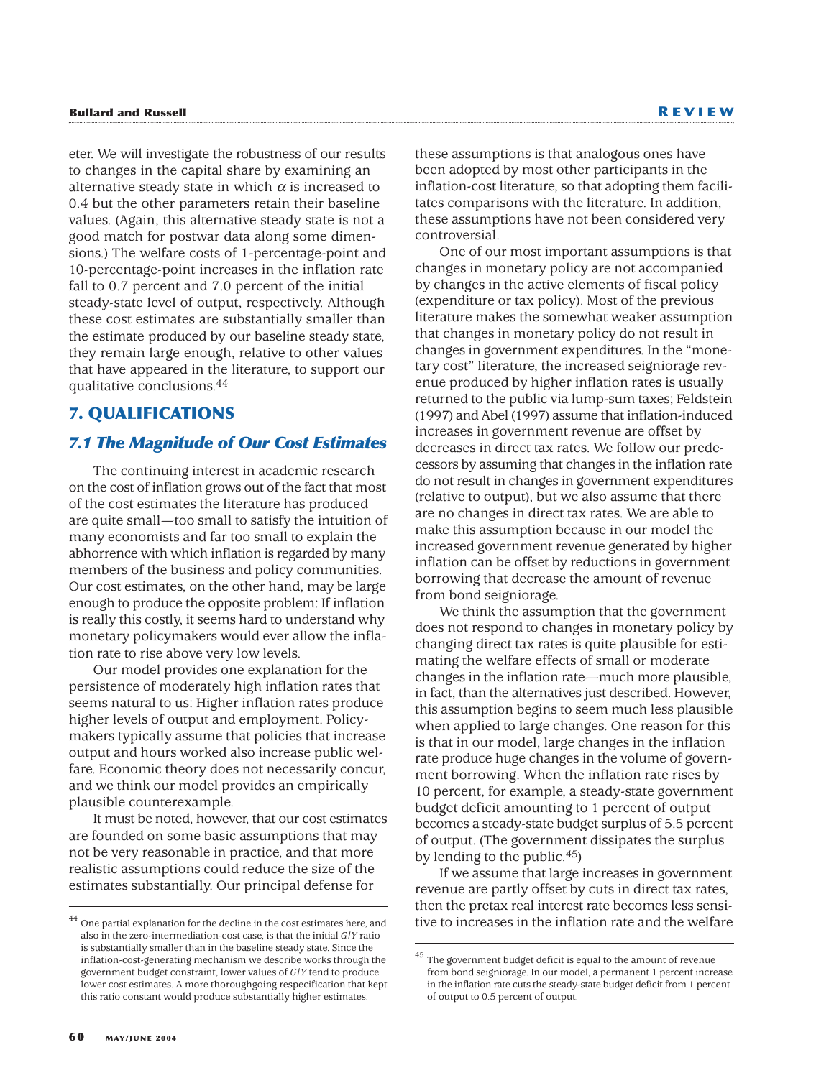# **Bullard and Russell R EVIEW**

eter. We will investigate the robustness of our results to changes in the capital share by examining an alternative steady state in which  $\alpha$  is increased to 0.4 but the other parameters retain their baseline values. (Again, this alternative steady state is not a good match for postwar data along some dimensions.) The welfare costs of 1-percentage-point and 10-percentage-point increases in the inflation rate fall to 0.7 percent and 7.0 percent of the initial steady-state level of output, respectively. Although these cost estimates are substantially smaller than the estimate produced by our baseline steady state, they remain large enough, relative to other values that have appeared in the literature, to support our qualitative conclusions.44

# **7. QUALIFICATIONS**

# *7.1 The Magnitude of Our Cost Estimates*

The continuing interest in academic research on the cost of inflation grows out of the fact that most of the cost estimates the literature has produced are quite small—too small to satisfy the intuition of many economists and far too small to explain the abhorrence with which inflation is regarded by many members of the business and policy communities. Our cost estimates, on the other hand, may be large enough to produce the opposite problem: If inflation is really this costly, it seems hard to understand why monetary policymakers would ever allow the inflation rate to rise above very low levels.

Our model provides one explanation for the persistence of moderately high inflation rates that seems natural to us: Higher inflation rates produce higher levels of output and employment. Policymakers typically assume that policies that increase output and hours worked also increase public welfare. Economic theory does not necessarily concur, and we think our model provides an empirically plausible counterexample.

It must be noted, however, that our cost estimates are founded on some basic assumptions that may not be very reasonable in practice, and that more realistic assumptions could reduce the size of the estimates substantially. Our principal defense for

these assumptions is that analogous ones have been adopted by most other participants in the inflation-cost literature, so that adopting them facilitates comparisons with the literature. In addition, these assumptions have not been considered very controversial.

One of our most important assumptions is that changes in monetary policy are not accompanied by changes in the active elements of fiscal policy (expenditure or tax policy). Most of the previous literature makes the somewhat weaker assumption that changes in monetary policy do not result in changes in government expenditures. In the "monetary cost" literature, the increased seigniorage revenue produced by higher inflation rates is usually returned to the public via lump-sum taxes; Feldstein (1997) and Abel (1997) assume that inflation-induced increases in government revenue are offset by decreases in direct tax rates. We follow our predecessors by assuming that changes in the inflation rate do not result in changes in government expenditures (relative to output), but we also assume that there are no changes in direct tax rates. We are able to make this assumption because in our model the increased government revenue generated by higher inflation can be offset by reductions in government borrowing that decrease the amount of revenue from bond seigniorage.

We think the assumption that the government does not respond to changes in monetary policy by changing direct tax rates is quite plausible for estimating the welfare effects of small or moderate changes in the inflation rate—much more plausible, in fact, than the alternatives just described. However, this assumption begins to seem much less plausible when applied to large changes. One reason for this is that in our model, large changes in the inflation rate produce huge changes in the volume of government borrowing. When the inflation rate rises by 10 percent, for example, a steady-state government budget deficit amounting to 1 percent of output becomes a steady-state budget surplus of 5.5 percent of output. (The government dissipates the surplus by lending to the public.45)

If we assume that large increases in government revenue are partly offset by cuts in direct tax rates, then the pretax real interest rate becomes less sensitive to increases in the inflation rate and the welfare

One partial explanation for the decline in the cost estimates here, and also in the zero-intermediation-cost case, is that the initial *G*/*Y* ratio is substantially smaller than in the baseline steady state. Since the inflation-cost-generating mechanism we describe works through the government budget constraint, lower values of *G*/*Y* tend to produce lower cost estimates. A more thoroughgoing respecification that kept this ratio constant would produce substantially higher estimates.

 $^{45}$  The government budget deficit is equal to the amount of revenue from bond seigniorage. In our model, a permanent 1 percent increase in the inflation rate cuts the steady-state budget deficit from 1 percent of output to 0.5 percent of output.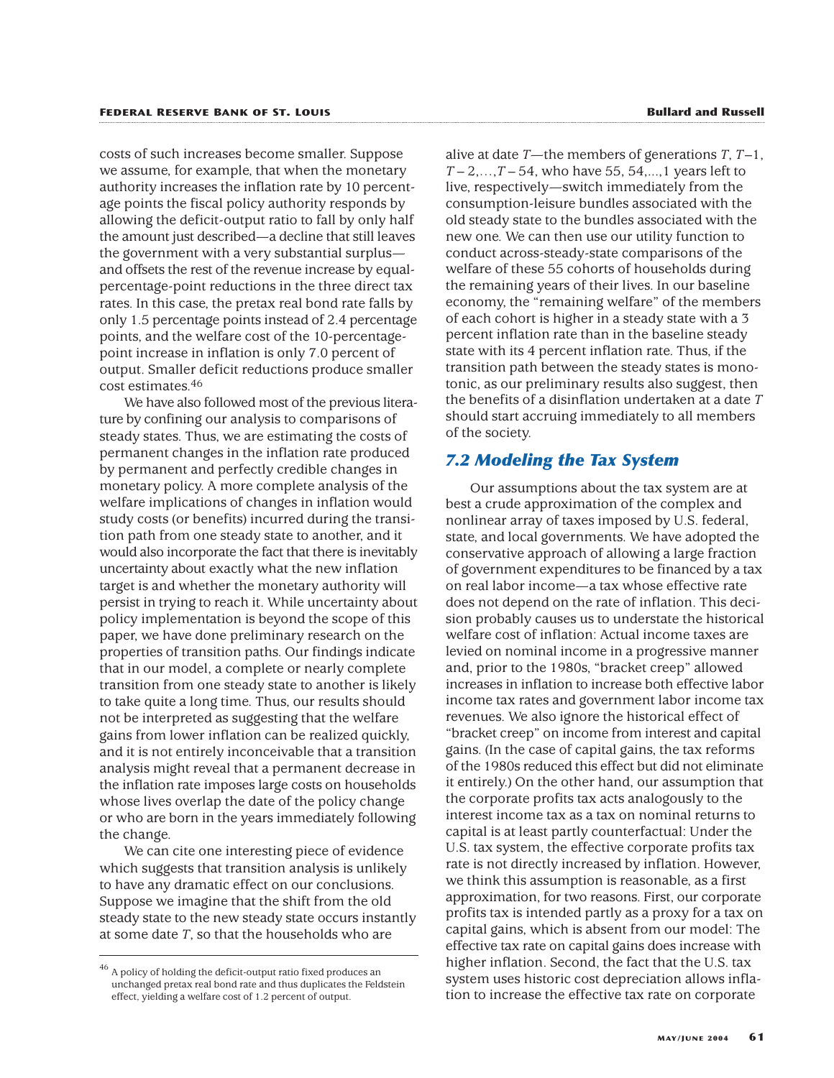costs of such increases become smaller. Suppose we assume, for example, that when the monetary authority increases the inflation rate by 10 percentage points the fiscal policy authority responds by allowing the deficit-output ratio to fall by only half the amount just described—a decline that still leaves the government with a very substantial surplus and offsets the rest of the revenue increase by equalpercentage-point reductions in the three direct tax rates. In this case, the pretax real bond rate falls by only 1.5 percentage points instead of 2.4 percentage points, and the welfare cost of the 10-percentagepoint increase in inflation is only 7.0 percent of output. Smaller deficit reductions produce smaller cost estimates.46

We have also followed most of the previous literature by confining our analysis to comparisons of steady states. Thus, we are estimating the costs of permanent changes in the inflation rate produced by permanent and perfectly credible changes in monetary policy. A more complete analysis of the welfare implications of changes in inflation would study costs (or benefits) incurred during the transition path from one steady state to another, and it would also incorporate the fact that there is inevitably uncertainty about exactly what the new inflation target is and whether the monetary authority will persist in trying to reach it. While uncertainty about policy implementation is beyond the scope of this paper, we have done preliminary research on the properties of transition paths. Our findings indicate that in our model, a complete or nearly complete transition from one steady state to another is likely to take quite a long time. Thus, our results should not be interpreted as suggesting that the welfare gains from lower inflation can be realized quickly, and it is not entirely inconceivable that a transition analysis might reveal that a permanent decrease in the inflation rate imposes large costs on households whose lives overlap the date of the policy change or who are born in the years immediately following the change.

We can cite one interesting piece of evidence which suggests that transition analysis is unlikely to have any dramatic effect on our conclusions. Suppose we imagine that the shift from the old steady state to the new steady state occurs instantly at some date *T*, so that the households who are

alive at date *T*—the members of generations *T*, *T*–1,  $T-2,...,T-54$ , who have 55, 54,...,1 years left to live, respectively—switch immediately from the consumption-leisure bundles associated with the old steady state to the bundles associated with the new one. We can then use our utility function to conduct across-steady-state comparisons of the welfare of these 55 cohorts of households during the remaining years of their lives. In our baseline economy, the "remaining welfare" of the members of each cohort is higher in a steady state with a 3 percent inflation rate than in the baseline steady state with its 4 percent inflation rate. Thus, if the transition path between the steady states is monotonic, as our preliminary results also suggest, then the benefits of a disinflation undertaken at a date *T* should start accruing immediately to all members of the society.

# *7.2 Modeling the Tax System*

Our assumptions about the tax system are at best a crude approximation of the complex and nonlinear array of taxes imposed by U.S. federal, state, and local governments. We have adopted the conservative approach of allowing a large fraction of government expenditures to be financed by a tax on real labor income—a tax whose effective rate does not depend on the rate of inflation. This decision probably causes us to understate the historical welfare cost of inflation: Actual income taxes are levied on nominal income in a progressive manner and, prior to the 1980s, "bracket creep" allowed increases in inflation to increase both effective labor income tax rates and government labor income tax revenues. We also ignore the historical effect of "bracket creep" on income from interest and capital gains. (In the case of capital gains, the tax reforms of the 1980s reduced this effect but did not eliminate it entirely.) On the other hand, our assumption that the corporate profits tax acts analogously to the interest income tax as a tax on nominal returns to capital is at least partly counterfactual: Under the U.S. tax system, the effective corporate profits tax rate is not directly increased by inflation. However, we think this assumption is reasonable, as a first approximation, for two reasons. First, our corporate profits tax is intended partly as a proxy for a tax on capital gains, which is absent from our model: The effective tax rate on capital gains does increase with higher inflation. Second, the fact that the U.S. tax system uses historic cost depreciation allows inflation to increase the effective tax rate on corporate

 $^{46}$  A policy of holding the deficit-output ratio fixed produces an unchanged pretax real bond rate and thus duplicates the Feldstein effect, yielding a welfare cost of 1.2 percent of output.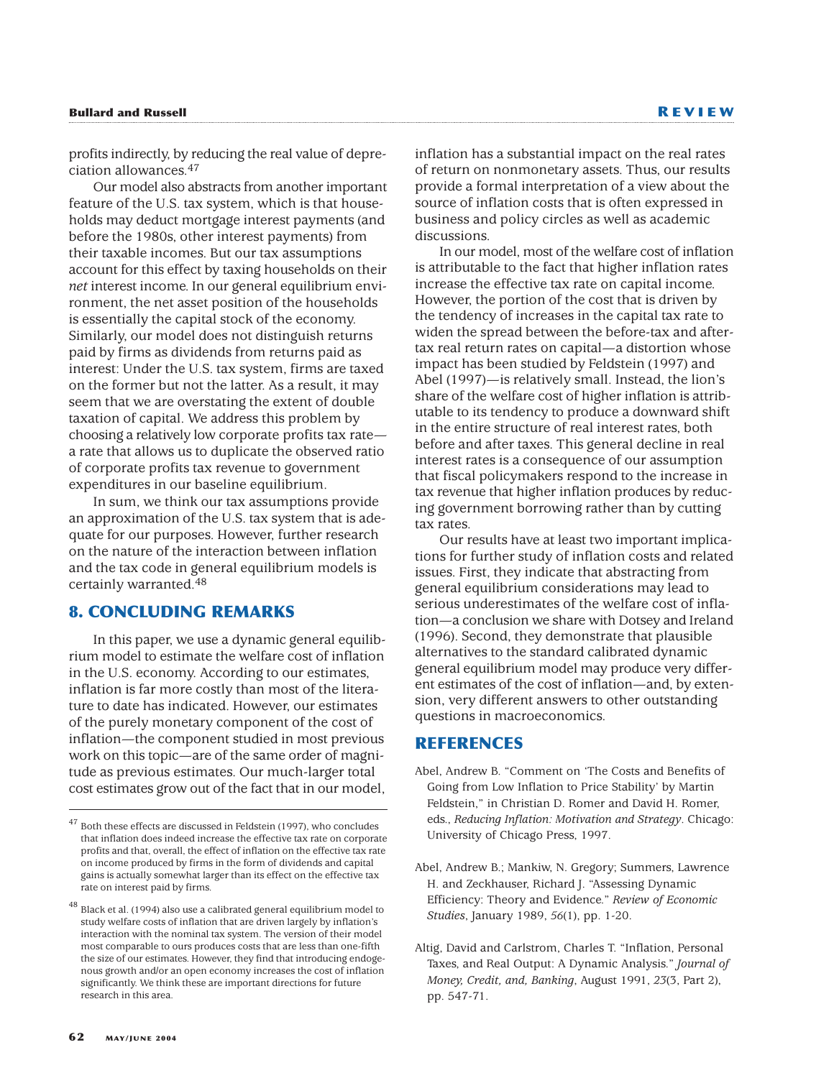# **Bullard and Russell R EVIEW**

profits indirectly, by reducing the real value of depreciation allowances.47

Our model also abstracts from another important feature of the U.S. tax system, which is that households may deduct mortgage interest payments (and before the 1980s, other interest payments) from their taxable incomes. But our tax assumptions account for this effect by taxing households on their *net* interest income. In our general equilibrium environment, the net asset position of the households is essentially the capital stock of the economy. Similarly, our model does not distinguish returns paid by firms as dividends from returns paid as interest: Under the U.S. tax system, firms are taxed on the former but not the latter. As a result, it may seem that we are overstating the extent of double taxation of capital. We address this problem by choosing a relatively low corporate profits tax rate a rate that allows us to duplicate the observed ratio of corporate profits tax revenue to government expenditures in our baseline equilibrium.

In sum, we think our tax assumptions provide an approximation of the U.S. tax system that is adequate for our purposes. However, further research on the nature of the interaction between inflation and the tax code in general equilibrium models is certainly warranted.48

# **8. CONCLUDING REMARKS**

In this paper, we use a dynamic general equilibrium model to estimate the welfare cost of inflation in the U.S. economy. According to our estimates, inflation is far more costly than most of the literature to date has indicated. However, our estimates of the purely monetary component of the cost of inflation—the component studied in most previous work on this topic—are of the same order of magnitude as previous estimates. Our much-larger total cost estimates grow out of the fact that in our model, inflation has a substantial impact on the real rates of return on nonmonetary assets. Thus, our results provide a formal interpretation of a view about the source of inflation costs that is often expressed in business and policy circles as well as academic discussions.

In our model, most of the welfare cost of inflation is attributable to the fact that higher inflation rates increase the effective tax rate on capital income. However, the portion of the cost that is driven by the tendency of increases in the capital tax rate to widen the spread between the before-tax and aftertax real return rates on capital—a distortion whose impact has been studied by Feldstein (1997) and Abel (1997)—is relatively small. Instead, the lion's share of the welfare cost of higher inflation is attributable to its tendency to produce a downward shift in the entire structure of real interest rates, both before and after taxes. This general decline in real interest rates is a consequence of our assumption that fiscal policymakers respond to the increase in tax revenue that higher inflation produces by reducing government borrowing rather than by cutting tax rates.

Our results have at least two important implications for further study of inflation costs and related issues. First, they indicate that abstracting from general equilibrium considerations may lead to serious underestimates of the welfare cost of inflation—a conclusion we share with Dotsey and Ireland (1996). Second, they demonstrate that plausible alternatives to the standard calibrated dynamic general equilibrium model may produce very different estimates of the cost of inflation—and, by extension, very different answers to other outstanding questions in macroeconomics.

# **REFERENCES**

Abel, Andrew B. "Comment on 'The Costs and Benefits of Going from Low Inflation to Price Stability' by Martin Feldstein," in Christian D. Romer and David H. Romer, eds., *Reducing Inflation: Motivation and Strategy*. Chicago: University of Chicago Press, 1997.

<sup>47</sup> Both these effects are discussed in Feldstein (1997), who concludes that inflation does indeed increase the effective tax rate on corporate profits and that, overall, the effect of inflation on the effective tax rate on income produced by firms in the form of dividends and capital gains is actually somewhat larger than its effect on the effective tax rate on interest paid by firms.

<sup>48</sup> Black et al. (1994) also use a calibrated general equilibrium model to study welfare costs of inflation that are driven largely by inflation's interaction with the nominal tax system. The version of their model most comparable to ours produces costs that are less than one-fifth the size of our estimates. However, they find that introducing endogenous growth and/or an open economy increases the cost of inflation significantly. We think these are important directions for future research in this area.

Abel, Andrew B.; Mankiw, N. Gregory; Summers, Lawrence H. and Zeckhauser, Richard J. "Assessing Dynamic Efficiency: Theory and Evidence." *Review of Economic Studies*, January 1989, *56*(1), pp. 1-20.

Altig, David and Carlstrom, Charles T. "Inflation, Personal Taxes, and Real Output: A Dynamic Analysis." *Journal of Money, Credit, and, Banking*, August 1991, *23*(3, Part 2), pp. 547-71.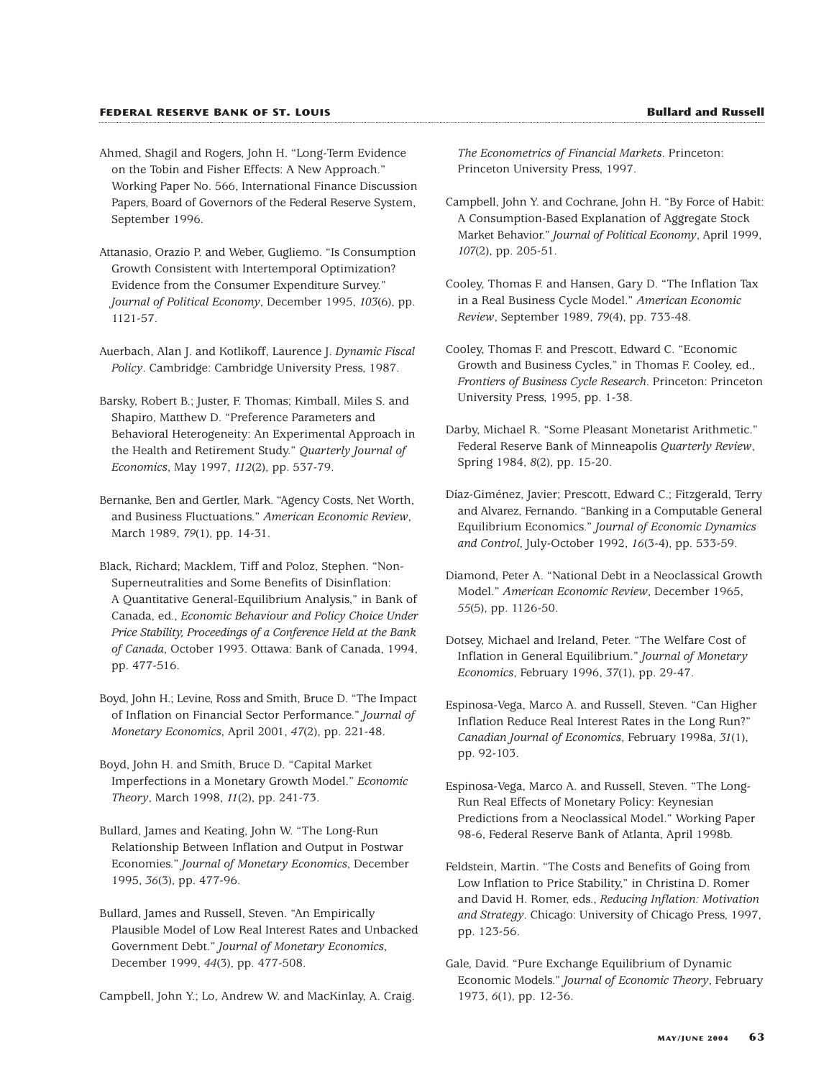- Ahmed, Shagil and Rogers, John H. "Long-Term Evidence on the Tobin and Fisher Effects: A New Approach." Working Paper No. 566, International Finance Discussion Papers, Board of Governors of the Federal Reserve System, September 1996.
- Attanasio, Orazio P. and Weber, Gugliemo. "Is Consumption Growth Consistent with Intertemporal Optimization? Evidence from the Consumer Expenditure Survey." *Journal of Political Economy*, December 1995, *103*(6), pp. 1121-57.
- Auerbach, Alan J. and Kotlikoff, Laurence J. *Dynamic Fiscal Policy*. Cambridge: Cambridge University Press, 1987.
- Barsky, Robert B.; Juster, F. Thomas; Kimball, Miles S. and Shapiro, Matthew D. "Preference Parameters and Behavioral Heterogeneity: An Experimental Approach in the Health and Retirement Study." *Quarterly Journal of Economics*, May 1997, *112*(2), pp. 537-79.
- Bernanke, Ben and Gertler, Mark. "Agency Costs, Net Worth, and Business Fluctuations." *American Economic Review*, March 1989, *79*(1), pp. 14-31.
- Black, Richard; Macklem, Tiff and Poloz, Stephen. "Non-Superneutralities and Some Benefits of Disinflation: A Quantitative General-Equilibrium Analysis," in Bank of Canada, ed., *Economic Behaviour and Policy Choice Under Price Stability, Proceedings of a Conference Held at the Bank of Canada*, October 1993. Ottawa: Bank of Canada, 1994, pp. 477-516.
- Boyd, John H.; Levine, Ross and Smith, Bruce D. "The Impact of Inflation on Financial Sector Performance." *Journal of Monetary Economics*, April 2001, *47*(2), pp. 221-48.
- Boyd, John H. and Smith, Bruce D. "Capital Market Imperfections in a Monetary Growth Model." *Economic Theory*, March 1998, *11*(2), pp. 241-73.
- Bullard, James and Keating, John W. "The Long-Run Relationship Between Inflation and Output in Postwar Economies." *Journal of Monetary Economics*, December 1995, *36*(3), pp. 477-96.
- Bullard, James and Russell, Steven. "An Empirically Plausible Model of Low Real Interest Rates and Unbacked Government Debt." *Journal of Monetary Economics*, December 1999, *44*(3), pp. 477-508.

Campbell, John Y.; Lo, Andrew W. and MacKinlay, A. Craig.

*The Econometrics of Financial Markets*. Princeton: Princeton University Press, 1997.

- Campbell, John Y. and Cochrane, John H. "By Force of Habit: A Consumption-Based Explanation of Aggregate Stock Market Behavior." *Journal of Political Economy*, April 1999, *107*(2), pp. 205-51.
- Cooley, Thomas F. and Hansen, Gary D. "The Inflation Tax in a Real Business Cycle Model." *American Economic Review*, September 1989, *79*(4), pp. 733-48.
- Cooley, Thomas F. and Prescott, Edward C. "Economic Growth and Business Cycles," in Thomas F. Cooley, ed., *Frontiers of Business Cycle Research*. Princeton: Princeton University Press, 1995, pp. 1-38.
- Darby, Michael R. "Some Pleasant Monetarist Arithmetic." Federal Reserve Bank of Minneapolis *Quarterly Review*, Spring 1984, *8*(2), pp. 15-20.
- Díaz-Giménez, Javier; Prescott, Edward C.; Fitzgerald, Terry and Alvarez, Fernando. "Banking in a Computable General Equilibrium Economics." *Journal of Economic Dynamics and Control*, July-October 1992, *16*(3-4), pp. 533-59.
- Diamond, Peter A. "National Debt in a Neoclassical Growth Model." *American Economic Review*, December 1965, *55*(5), pp. 1126-50.
- Dotsey, Michael and Ireland, Peter. "The Welfare Cost of Inflation in General Equilibrium." *Journal of Monetary Economics*, February 1996, *37*(1), pp. 29-47.
- Espinosa-Vega, Marco A. and Russell, Steven. "Can Higher Inflation Reduce Real Interest Rates in the Long Run?" *Canadian Journal of Economics*, February 1998a, *31*(1), pp. 92-103.
- Espinosa-Vega, Marco A. and Russell, Steven. "The Long-Run Real Effects of Monetary Policy: Keynesian Predictions from a Neoclassical Model." Working Paper 98-6, Federal Reserve Bank of Atlanta, April 1998b.
- Feldstein, Martin. "The Costs and Benefits of Going from Low Inflation to Price Stability," in Christina D. Romer and David H. Romer, eds., *Reducing Inflation: Motivation and Strategy*. Chicago: University of Chicago Press, 1997, pp. 123-56.
- Gale, David. "Pure Exchange Equilibrium of Dynamic Economic Models." *Journal of Economic Theory*, February 1973, *6*(1), pp. 12-36.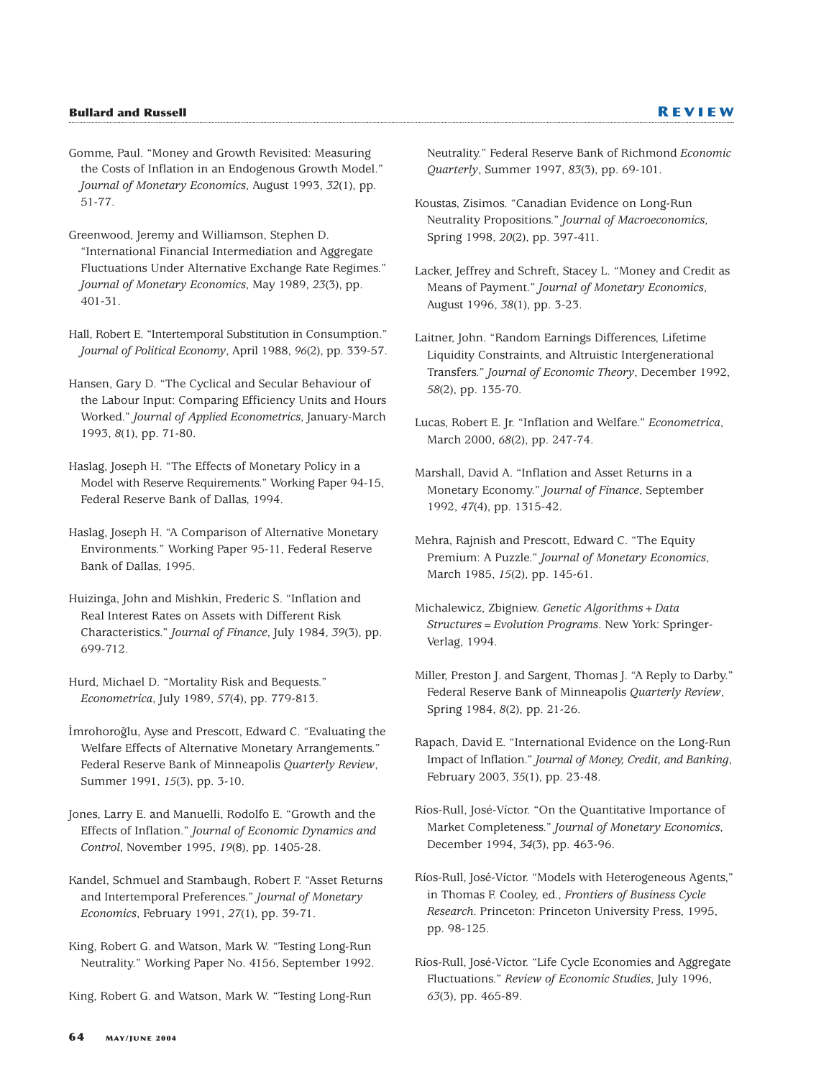Gomme, Paul. "Money and Growth Revisited: Measuring the Costs of Inflation in an Endogenous Growth Model." *Journal of Monetary Economics*, August 1993, *32*(1), pp. 51-77.

Greenwood, Jeremy and Williamson, Stephen D. "International Financial Intermediation and Aggregate Fluctuations Under Alternative Exchange Rate Regimes." *Journal of Monetary Economics*, May 1989, *23*(3), pp. 401-31.

Hall, Robert E. "Intertemporal Substitution in Consumption." *Journal of Political Economy*, April 1988, *96*(2), pp. 339-57.

Hansen, Gary D. "The Cyclical and Secular Behaviour of the Labour Input: Comparing Efficiency Units and Hours Worked." *Journal of Applied Econometrics*, January-March 1993, *8*(1), pp. 71-80.

Haslag, Joseph H. "The Effects of Monetary Policy in a Model with Reserve Requirements." Working Paper 94-15, Federal Reserve Bank of Dallas, 1994.

Haslag, Joseph H. "A Comparison of Alternative Monetary Environments." Working Paper 95-11, Federal Reserve Bank of Dallas, 1995.

Huizinga, John and Mishkin, Frederic S. "Inflation and Real Interest Rates on Assets with Different Risk Characteristics." *Journal of Finance*, July 1984, *39*(3), pp. 699-712.

Hurd, Michael D. "Mortality Risk and Bequests." *Econometrica*, July 1989, *57*(4), pp. 779-813.

İmrohoroğlu, Ayse and Prescott, Edward C. "Evaluating the Welfare Effects of Alternative Monetary Arrangements." Federal Reserve Bank of Minneapolis *Quarterly Review*, Summer 1991, *15*(3), pp. 3-10.

Jones, Larry E. and Manuelli, Rodolfo E. "Growth and the Effects of Inflation." *Journal of Economic Dynamics and Control*, November 1995, *19*(8), pp. 1405-28.

Kandel, Schmuel and Stambaugh, Robert F. "Asset Returns and Intertemporal Preferences." *Journal of Monetary Economics*, February 1991, *27*(1), pp. 39-71.

King, Robert G. and Watson, Mark W. "Testing Long-Run Neutrality." Working Paper No. 4156, September 1992.

King, Robert G. and Watson, Mark W. "Testing Long-Run

Neutrality." Federal Reserve Bank of Richmond *Economic Quarterly*, Summer 1997, *83*(3), pp. 69-101.

Koustas, Zisimos. "Canadian Evidence on Long-Run Neutrality Propositions." *Journal of Macroeconomics*, Spring 1998, *20*(2), pp. 397-411.

Lacker, Jeffrey and Schreft, Stacey L. "Money and Credit as Means of Payment." *Journal of Monetary Economics*, August 1996, *38*(1), pp. 3-23.

Laitner, John. "Random Earnings Differences, Lifetime Liquidity Constraints, and Altruistic Intergenerational Transfers." *Journal of Economic Theory*, December 1992, *58*(2), pp. 135-70.

Lucas, Robert E. Jr. "Inflation and Welfare." *Econometrica*, March 2000, *68*(2), pp. 247-74.

Marshall, David A. "Inflation and Asset Returns in a Monetary Economy." *Journal of Finance*, September 1992, *47*(4), pp. 1315-42.

Mehra, Rajnish and Prescott, Edward C. "The Equity Premium: A Puzzle." *Journal of Monetary Economics*, March 1985, *15*(2), pp. 145-61.

Michalewicz, Zbigniew. *Genetic Algorithms+Data Structures=Evolution Programs*. New York: Springer-Verlag, 1994.

Miller, Preston J. and Sargent, Thomas J. "A Reply to Darby." Federal Reserve Bank of Minneapolis *Quarterly Review*, Spring 1984, *8*(2), pp. 21-26.

Rapach, David E. "International Evidence on the Long-Run Impact of Inflation." *Journal of Money, Credit, and Banking*, February 2003, *35*(1), pp. 23-48.

Ríos-Rull, José-Víctor. "On the Quantitative Importance of Market Completeness." *Journal of Monetary Economics*, December 1994, *34*(3), pp. 463-96.

Ríos-Rull, José-Víctor. "Models with Heterogeneous Agents," in Thomas F. Cooley, ed., *Frontiers of Business Cycle Research*. Princeton: Princeton University Press, 1995, pp. 98-125.

Ríos-Rull, José-Víctor. "Life Cycle Economies and Aggregate Fluctuations." *Review of Economic Studies*, July 1996, *63*(3), pp. 465-89.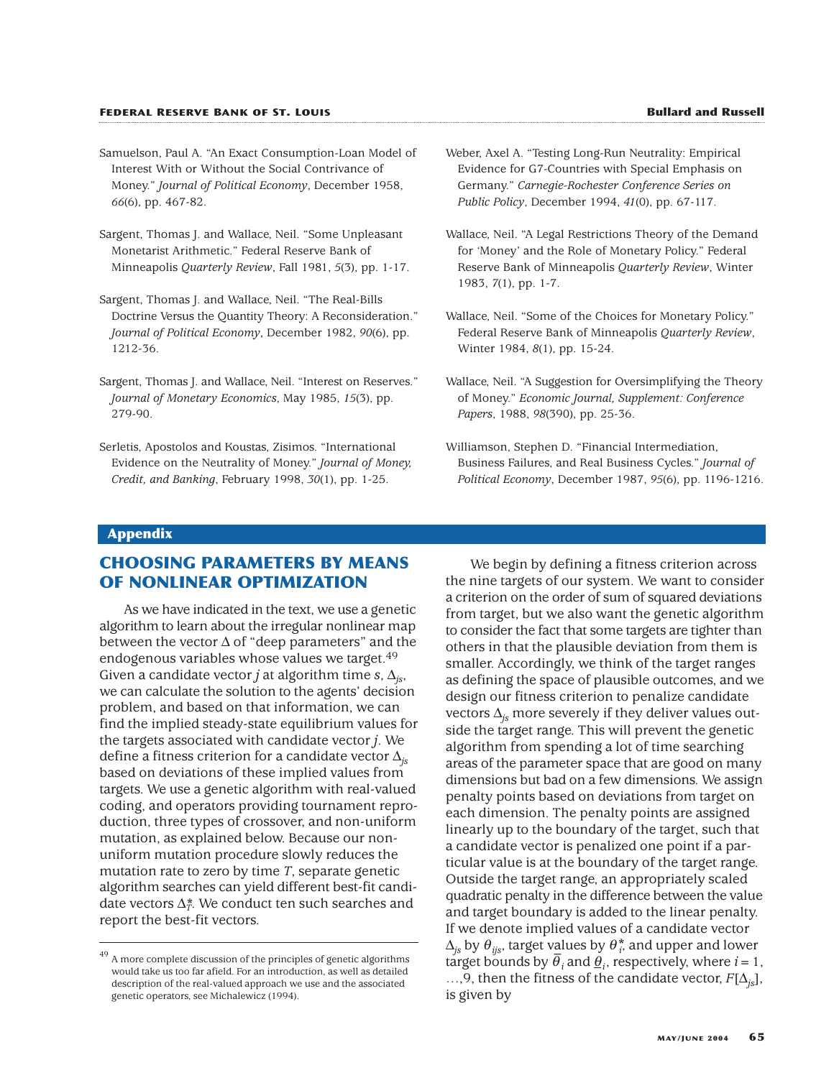- Samuelson, Paul A. "An Exact Consumption-Loan Model of Interest With or Without the Social Contrivance of Money." *Journal of Political Economy*, December 1958, *66*(6), pp. 467-82.
- Sargent, Thomas J. and Wallace, Neil. "Some Unpleasant Monetarist Arithmetic." Federal Reserve Bank of Minneapolis *Quarterly Review*, Fall 1981, *5*(3), pp. 1-17.
- Sargent, Thomas J. and Wallace, Neil. "The Real-Bills Doctrine Versus the Quantity Theory: A Reconsideration." *Journal of Political Economy*, December 1982, *90*(6), pp. 1212-36.
- Sargent, Thomas J. and Wallace, Neil. "Interest on Reserves." *Journal of Monetary Economics*, May 1985, *15*(3), pp. 279-90.
- Serletis, Apostolos and Koustas, Zisimos. "International Evidence on the Neutrality of Money." *Journal of Money, Credit, and Banking*, February 1998, *30*(1), pp. 1-25.
- Weber, Axel A. "Testing Long-Run Neutrality: Empirical Evidence for G7-Countries with Special Emphasis on Germany." *Carnegie-Rochester Conference Series on Public Policy*, December 1994, *41*(0), pp. 67-117.
- Wallace, Neil. "A Legal Restrictions Theory of the Demand for 'Money' and the Role of Monetary Policy." Federal Reserve Bank of Minneapolis *Quarterly Review*, Winter 1983, *7*(1), pp. 1-7.
- Wallace, Neil. "Some of the Choices for Monetary Policy." Federal Reserve Bank of Minneapolis *Quarterly Review*, Winter 1984, *8*(1), pp. 15-24.
- Wallace, Neil. "A Suggestion for Oversimplifying the Theory of Money." *Economic Journal, Supplement: Conference Papers*, 1988, *98*(390), pp. 25-36.
- Williamson, Stephen D. "Financial Intermediation, Business Failures, and Real Business Cycles." *Journal of Political Economy*, December 1987, *95*(6), pp. 1196-1216.

#### **Appendix**

# **CHOOSING PARAMETERS BY MEANS OF NONLINEAR OPTIMIZATION**

As we have indicated in the text, we use a genetic algorithm to learn about the irregular nonlinear map between the vector  $\Delta$  of "deep parameters" and the endogenous variables whose values we target.<sup>49</sup> Given a candidate vector *j* at algorithm time *s*, ∆*js*, we can calculate the solution to the agents' decision problem, and based on that information, we can find the implied steady-state equilibrium values for the targets associated with candidate vector *j*. We define a fitness criterion for a candidate vector ∆*js* based on deviations of these implied values from targets. We use a genetic algorithm with real-valued coding, and operators providing tournament reproduction, three types of crossover, and non-uniform mutation, as explained below. Because our nonuniform mutation procedure slowly reduces the mutation rate to zero by time *T*, separate genetic algorithm searches can yield different best-fit candidate vectors  $\Delta_{T}^*$ . We conduct ten such searches and report the best-fit vectors.

We begin by defining a fitness criterion across the nine targets of our system. We want to consider a criterion on the order of sum of squared deviations from target, but we also want the genetic algorithm to consider the fact that some targets are tighter than others in that the plausible deviation from them is smaller. Accordingly, we think of the target ranges as defining the space of plausible outcomes, and we design our fitness criterion to penalize candidate vectors ∆*js* more severely if they deliver values outside the target range. This will prevent the genetic algorithm from spending a lot of time searching areas of the parameter space that are good on many dimensions but bad on a few dimensions. We assign penalty points based on deviations from target on each dimension. The penalty points are assigned linearly up to the boundary of the target, such that a candidate vector is penalized one point if a particular value is at the boundary of the target range. Outside the target range, an appropriately scaled quadratic penalty in the difference between the value and target boundary is added to the linear penalty. If we denote implied values of a candidate vector  $\Delta_{js}$  by  $\theta_{ijs}$ , target v<u>a</u>lues by  $\theta_{i}^*$  and upper and lower  $\Delta_{js}$  by  $\sigma_{ijs}$ , angel values by  $\sigma_i$ , and appel and lower target bounds by  $\bar{\theta}_i$  and <u> $\theta_i$ </u>, respectively, where  $i = 1$ , …,9, then the fitness of the candidate vector, *F*[∆*js*], is given by

 $^{49}$  A more complete discussion of the principles of genetic algorithms would take us too far afield. For an introduction, as well as detailed description of the real-valued approach we use and the associated genetic operators, see Michalewicz (1994).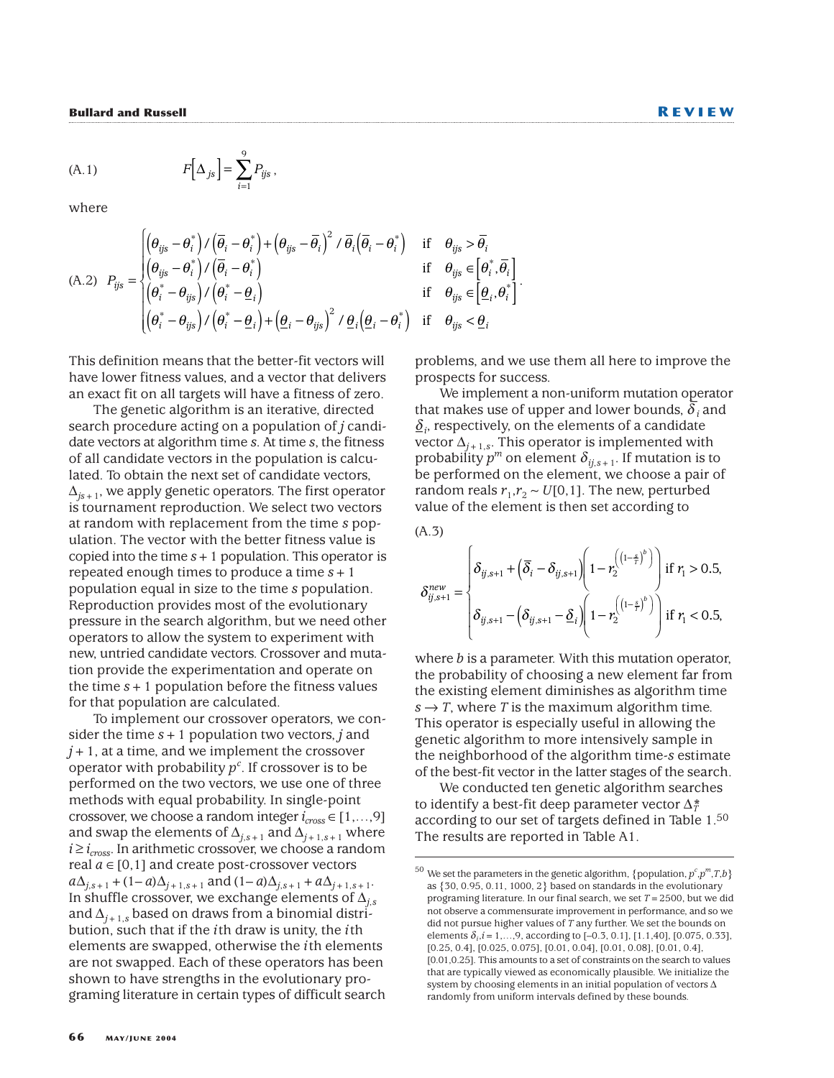$$
(A.1) \t F\Big[\Delta_{js}\Big] = \sum_{i=1}^{9} P_{ijs}\,,
$$

where

(A.2) 
$$
P_{ijs} = \begin{cases} \left(\theta_{ijs} - \theta_i^*\right) / \left(\overline{\theta}_i - \theta_i^*\right) + \left(\theta_{ijs} - \overline{\theta}_i\right)^2 / \overline{\theta}_i \left(\overline{\theta}_i - \theta_i^*\right) & \text{if } \theta_{ijs} > \overline{\theta}_i\\ \left(\theta_{ijs} - \theta_i^*\right) / \left(\overline{\theta}_i - \theta_i^*\right) & \text{if } \theta_{ijs} \in \left[\theta_i^*, \overline{\theta}_i\right] \\ \left(\theta_i^* - \theta_{ijs}\right) / \left(\theta_i^* - \underline{\theta}_i\right) & \text{if } \theta_{ijs} \in \left[\underline{\theta}_i, \theta_i^*\right] \\ \left(\theta_i^* - \theta_{ijs}\right) / \left(\theta_i^* - \underline{\theta}_i\right) + \left(\underline{\theta}_i - \theta_{ijs}\right)^2 / \underline{\theta}_i \left(\underline{\theta}_i - \theta_i^*\right) & \text{if } \theta_{ijs} < \underline{\theta}_i \end{cases}
$$

This definition means that the better-fit vectors will have lower fitness values, and a vector that delivers an exact fit on all targets will have a fitness of zero.

9

The genetic algorithm is an iterative, directed search procedure acting on a population of *j* candidate vectors at algorithm time *s*. At time *s*, the fitness of all candidate vectors in the population is calculated. To obtain the next set of candidate vectors, ∆*js*+1, we apply genetic operators. The first operator is tournament reproduction. We select two vectors at random with replacement from the time *s* population. The vector with the better fitness value is copied into the time *s*+1 population. This operator is repeated enough times to produce a time *s*+1 population equal in size to the time *s* population. Reproduction provides most of the evolutionary pressure in the search algorithm, but we need other operators to allow the system to experiment with new, untried candidate vectors. Crossover and mutation provide the experimentation and operate on the time  $s + 1$  population before the fitness values for that population are calculated.

To implement our crossover operators, we consider the time *s*+1 population two vectors, *j* and *j*+1, at a time, and we implement the crossover operator with probability  $p^c$ . If crossover is to be performed on the two vectors, we use one of three methods with equal probability. In single-point crossover, we choose a random integer  $i_{cross} \in [1,...,9]$ and swap the elements of  $\Delta_{j,s+1}$  and  $\Delta_{j+1,s+1}$  where  $i \ge i_{cross}$ . In arithmetic crossover, we choose a random real  $a \in [0,1]$  and create post-crossover vectors *a*∆<sub>*j*,*s*+1</sub> + (1– *a*)∆<sub>*j*+1,*s*+1</sub> and (1– *a*)∆<sub>*j*,*s*+1</sub> + *a*∆<sub>*j*+1,*s*+1.</sub> In shuffle crossover, we exchange elements of ∆*j*,*<sup>s</sup>* and  $\Delta$ <sub>*i*+1,*s*</sub> based on draws from a binomial distribution, such that if the *i*th draw is unity, the *i*th elements are swapped, otherwise the *i*th elements are not swapped. Each of these operators has been shown to have strengths in the evolutionary programing literature in certain types of difficult search

$$
\begin{aligned}\n\mathbf{f} \quad & \theta_{ijs} > \theta_i \\
\mathbf{f} \quad & \theta_{ijs} \in \left[\theta_i^*, \overline{\theta}_i\right] \\
\mathbf{f} \quad & \theta_{ijs} \in \left[\underline{\theta}_i, \theta_i^*\right] \\
\mathbf{f} \quad & \theta_{ijs} < \underline{\theta}_i\n\end{aligned}
$$

problems, and we use them all here to improve the prospects for success.

We implement a non-uniform mutation operator<br>Line use of unner and lawer hounds  $\sum_{n=1}^{\infty}$ that makes use of upper and lower bounds,  $\boldsymbol{\delta}_i$  and  $\delta_i$ , respectively, on the elements of a candidate vector  $\Delta$ <sup>*j*+1,*s*</sub>. This operator is implemented with</sup> probability  $p^m$  on element  $\delta_{i,j,s+1}$ . If mutation is to be performed on the element, we choose a pair of random reals  $r_1, r_2 \sim U[0, 1]$ . The new, perturbed value of the element is then set according to

(A.3)

$$
\delta_{ij,s+1}^{new} = \begin{cases} \delta_{ij,s+1} + \left(\overline{\delta}_{i} - \delta_{ij,s+1}\right) \left(1 - r_{2}^{\left(\left(1 - \frac{s}{\tau}\right)^{b}\right)}\right) \text{ if } r_{1} > 0.5, \\ \delta_{ij,s+1} - \left(\delta_{ij,s+1} - \underline{\delta}_{i}\right) \left(1 - r_{2}^{\left(\left(1 - \frac{s}{\tau}\right)^{b}\right)}\right) \text{ if } r_{1} < 0.5, \end{cases}
$$

where *b* is a parameter. With this mutation operator, the probability of choosing a new element far from the existing element diminishes as algorithm time  $s \rightarrow T$ , where *T* is the maximum algorithm time. This operator is especially useful in allowing the genetic algorithm to more intensively sample in the neighborhood of the algorithm time-*s* estimate of the best-fit vector in the latter stages of the search.

We conducted ten genetic algorithm searches to identify a best-fit deep parameter vector  $\Delta_T^*$ according to our set of targets defined in Table 1.50 The results are reported in Table A1.

 $^{50}$  We set the parameters in the genetic algorithm, {population,  $p^c, p^m, T, b$  } as {30, 0.95, 0.11, 1000, 2} based on standards in the evolutionary programing literature. In our final search, we set *T*=2500, but we did not observe a commensurate improvement in performance, and so we did not pursue higher values of *T* any further. We set the bounds on elements  $\delta_i$ , $i = 1,...,9$ , according to [-0.3, 0.1], [1.1,40], [0.075, 0.33], [0.25, 0.4], [0.025, 0.075], [0.01, 0.04], [0.01, 0.08], [0.01, 0.4], [0.01,0.25]. This amounts to a set of constraints on the search to values that are typically viewed as economically plausible. We initialize the system by choosing elements in an initial population of vectors ∆ randomly from uniform intervals defined by these bounds.